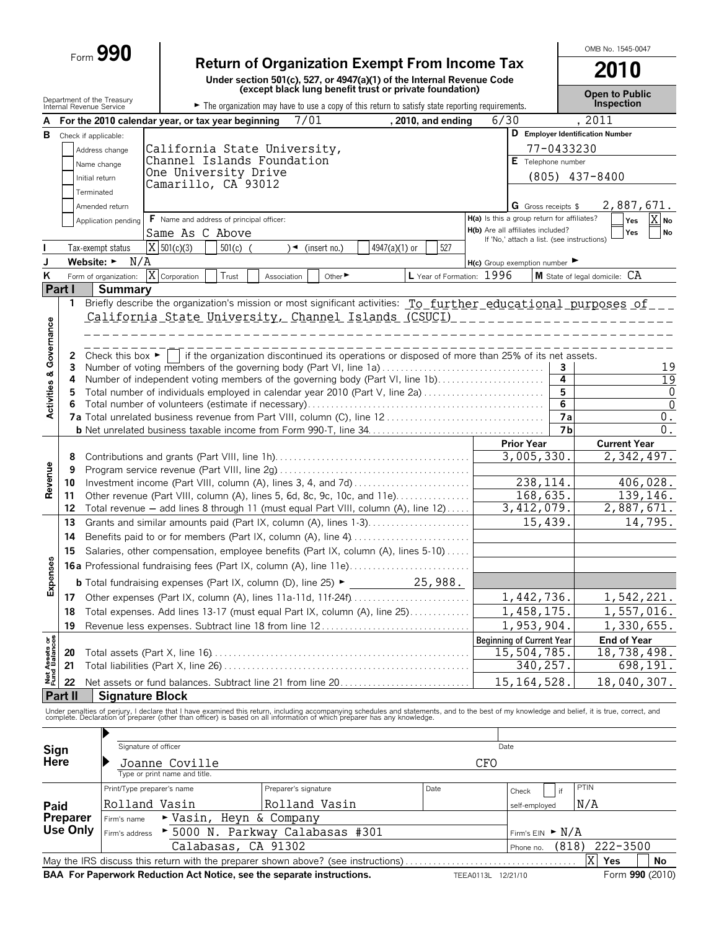# Form **990 Return of Organization Exempt From Income Tax**

**Under section 501(c), 527, or 4947(a)(1) of the Internal Revenue Code (except black lung benefit trust or private foundation)**

**2010 Open to Public**

OMB No. 1545-0047

|                                | Internal Revenue Service       | Department of the Treasury           |                                                   | The organization may have to use a copy of this return to satisfy state reporting requirements.                                                                                                                                   |               |                           |                                             |                                            | Open to Fublic<br>Inspection     |
|--------------------------------|--------------------------------|--------------------------------------|---------------------------------------------------|-----------------------------------------------------------------------------------------------------------------------------------------------------------------------------------------------------------------------------------|---------------|---------------------------|---------------------------------------------|--------------------------------------------|----------------------------------|
|                                |                                |                                      | For the 2010 calendar year, or tax year beginning | 7/01                                                                                                                                                                                                                              |               | , 2010, and ending        | 6/30                                        |                                            | , 2011                           |
|                                | <b>B</b> Check if applicable:  |                                      |                                                   |                                                                                                                                                                                                                                   |               |                           |                                             |                                            | D Employer Identification Number |
|                                |                                | Address change                       |                                                   | California State University,                                                                                                                                                                                                      |               |                           |                                             | 77-0433230                                 |                                  |
|                                |                                | Name change                          | Channel Islands Foundation                        |                                                                                                                                                                                                                                   |               |                           |                                             | E Telephone number                         |                                  |
|                                |                                | Initial return                       | One University Drive                              |                                                                                                                                                                                                                                   |               |                           |                                             |                                            | $(805)$ 437-8400                 |
|                                |                                | Terminated                           | Camarillo, CA 93012                               |                                                                                                                                                                                                                                   |               |                           |                                             |                                            |                                  |
|                                |                                | Amended return                       |                                                   |                                                                                                                                                                                                                                   |               |                           |                                             | <b>G</b> Gross receipts \$                 | 2,887,671.                       |
|                                |                                | Application pending                  | F Name and address of principal officer:          |                                                                                                                                                                                                                                   |               |                           | H(a) Is this a group return for affiliates? |                                            | X No<br>Yes                      |
|                                |                                |                                      | Same As C Above                                   |                                                                                                                                                                                                                                   |               |                           | H(b) Are all affiliates included?           |                                            | Yes<br><b>No</b>                 |
|                                |                                | Tax-exempt status                    | $\overline{X}$ 501(c)(3)<br>$501(c)$ (            | $\sqrt{ }$ (insert no.)                                                                                                                                                                                                           | 4947(a)(1) or | 527                       |                                             | If 'No,' attach a list. (see instructions) |                                  |
| J                              | Website: $\blacktriangleright$ | N/A                                  |                                                   |                                                                                                                                                                                                                                   |               |                           | $H(c)$ Group exemption number               |                                            |                                  |
| ĸ                              |                                | Form of organization:                | X Corporation<br>T <sub>rust</sub>                | Other <sup>&gt;</sup><br>Association                                                                                                                                                                                              |               | L Year of Formation: 1996 |                                             |                                            | M State of legal domicile: CA    |
|                                | Part I                         | <b>Summary</b>                       |                                                   |                                                                                                                                                                                                                                   |               |                           |                                             |                                            |                                  |
|                                | $\mathbf{1}$                   |                                      |                                                   | Briefly describe the organization's mission or most significant activities: To further educational purposes of                                                                                                                    |               |                           |                                             |                                            |                                  |
|                                |                                |                                      |                                                   | <u>California State University, Channel Islands (CSUCI) ______________________</u>                                                                                                                                                |               |                           |                                             |                                            |                                  |
|                                |                                |                                      |                                                   |                                                                                                                                                                                                                                   |               |                           |                                             |                                            |                                  |
|                                |                                |                                      |                                                   |                                                                                                                                                                                                                                   |               |                           |                                             |                                            |                                  |
| Governance                     | $\mathbf{z}$                   | Check this box $\blacktriangleright$ |                                                   | if the organization discontinued its operations or disposed of more than 25% of its net assets.                                                                                                                                   |               |                           |                                             |                                            |                                  |
|                                | 3<br>4                         |                                      |                                                   | Number of voting members of the governing body (Part VI, line 1a)<br>Number of independent voting members of the governing body (Part VI, line 1b)                                                                                |               |                           |                                             | 3<br>4                                     | 19<br>$\overline{19}$            |
| <b>Activities &amp;</b>        | 5                              |                                      |                                                   | Total number of individuals employed in calendar year 2010 (Part V, line 2a)                                                                                                                                                      |               |                           |                                             | 5                                          | 0                                |
|                                | 6                              |                                      |                                                   |                                                                                                                                                                                                                                   |               |                           |                                             | 6                                          | $\overline{0}$                   |
|                                |                                |                                      |                                                   |                                                                                                                                                                                                                                   |               |                           |                                             | 7a                                         | 0.                               |
|                                |                                |                                      |                                                   |                                                                                                                                                                                                                                   |               |                           |                                             | 7 <sub>b</sub>                             | 0.                               |
|                                |                                |                                      |                                                   |                                                                                                                                                                                                                                   |               |                           | <b>Prior Year</b>                           |                                            | <b>Current Year</b>              |
|                                | 8                              |                                      |                                                   |                                                                                                                                                                                                                                   |               |                           |                                             | 3,005,330.                                 | 2,342,497.                       |
| Revenue                        | 9                              |                                      |                                                   |                                                                                                                                                                                                                                   |               |                           |                                             |                                            |                                  |
|                                | 10                             |                                      |                                                   | Investment income (Part VIII, column (A), lines 3, 4, and 7d)                                                                                                                                                                     |               |                           |                                             | 238, 114.                                  | 406,028.                         |
|                                | 11                             |                                      |                                                   | Other revenue (Part VIII, column (A), lines 5, 6d, 8c, 9c, 10c, and 11e)                                                                                                                                                          |               |                           |                                             | 168, 635.<br>3,412,079.                    | 139,146.<br>2,887,671.           |
|                                | 12<br>13                       |                                      |                                                   | Total revenue - add lines 8 through 11 (must equal Part VIII, column (A), line 12)<br>Grants and similar amounts paid (Part IX, column (A), lines 1-3)                                                                            |               |                           |                                             | 15,439.                                    | 14,795.                          |
|                                | 14                             |                                      |                                                   | Benefits paid to or for members (Part IX, column (A), line 4)                                                                                                                                                                     |               |                           |                                             |                                            |                                  |
|                                | 15                             |                                      |                                                   | Salaries, other compensation, employee benefits (Part IX, column (A), lines 5-10)                                                                                                                                                 |               |                           |                                             |                                            |                                  |
|                                |                                |                                      |                                                   |                                                                                                                                                                                                                                   |               |                           |                                             |                                            |                                  |
| Expenses                       |                                |                                      |                                                   | 16a Professional fundraising fees (Part IX, column (A), line 11e)                                                                                                                                                                 |               |                           |                                             |                                            |                                  |
|                                |                                |                                      |                                                   |                                                                                                                                                                                                                                   |               |                           |                                             |                                            |                                  |
|                                |                                |                                      |                                                   |                                                                                                                                                                                                                                   |               |                           |                                             | 1,442,736.                                 | 1,542,221.                       |
|                                | 18                             |                                      |                                                   | Total expenses. Add lines 13-17 (must equal Part IX, column (A), line 25)                                                                                                                                                         |               |                           |                                             | 1,458,175.                                 | 1,557,016.                       |
|                                | 19                             |                                      |                                                   | Revenue less expenses. Subtract line 18 from line 12                                                                                                                                                                              |               |                           |                                             | 1,953,904.                                 | 1,330,655.                       |
| Net Assets or<br>Fund Balances |                                |                                      |                                                   |                                                                                                                                                                                                                                   |               |                           | <b>Beginning of Current Year</b>            |                                            | <b>End of Year</b>               |
|                                | 20<br>21                       |                                      |                                                   |                                                                                                                                                                                                                                   |               |                           |                                             | 15,504,785.<br>340,257.                    | 18,738,498.<br>698,191.          |
|                                |                                |                                      |                                                   |                                                                                                                                                                                                                                   |               |                           |                                             |                                            |                                  |
|                                | 22                             |                                      |                                                   | Net assets or fund balances. Subtract line 21 from line 20                                                                                                                                                                        |               |                           |                                             | 15, 164, 528.                              | 18,040,307.                      |
|                                | <b>Part II</b>                 | <b>Signature Block</b>               |                                                   |                                                                                                                                                                                                                                   |               |                           |                                             |                                            |                                  |
|                                |                                |                                      |                                                   | Under penalties of perjury, I declare that I have examined this return, including accompanying schedules and statements, and to the best of my knowledge and belief, it is true, correct, and<br>complete. Declaration of prepare |               |                           |                                             |                                            |                                  |
|                                |                                |                                      |                                                   |                                                                                                                                                                                                                                   |               |                           |                                             |                                            |                                  |
| Sign                           |                                | Signature of officer                 |                                                   |                                                                                                                                                                                                                                   |               |                           | Date                                        |                                            |                                  |
| <b>Here</b>                    |                                |                                      | Joanne Coville                                    |                                                                                                                                                                                                                                   |               |                           | CFO                                         |                                            |                                  |
|                                |                                |                                      | Type or print name and title.                     |                                                                                                                                                                                                                                   |               |                           |                                             |                                            |                                  |
|                                |                                | Print/Type preparer's name           |                                                   | Preparer's signature                                                                                                                                                                                                              |               | Date                      | Check                                       | if                                         | PTIN                             |
| Paid                           |                                | Rolland Vasin                        |                                                   | Rolland Vasin                                                                                                                                                                                                                     |               |                           |                                             | self-employed                              | N/A                              |
|                                | <b>Preparer</b>                | Firm's name                          | ► Vasin, Heyn & Company                           |                                                                                                                                                                                                                                   |               |                           |                                             |                                            |                                  |
|                                | Use Only                       | Firm's address                       |                                                   | ▶ 5000 N. Parkway Calabasas #301                                                                                                                                                                                                  |               |                           |                                             | Firm's $EIN \rightharpoonup N/A$           |                                  |
|                                |                                |                                      | Calabasas, CA 91302                               |                                                                                                                                                                                                                                   |               |                           |                                             | (818)<br>Phone no.                         | $222 - 3500$                     |
|                                |                                |                                      |                                                   | May the IRS discuss this return with the preparer shown above? (see instructions)                                                                                                                                                 |               |                           |                                             |                                            | $\overline{X}$<br>Yes<br>No      |
|                                |                                |                                      |                                                   | BAA For Paperwork Reduction Act Notice, see the separate instructions.                                                                                                                                                            |               |                           | TEEA0113L 12/21/10                          |                                            | Form 990 (2010)                  |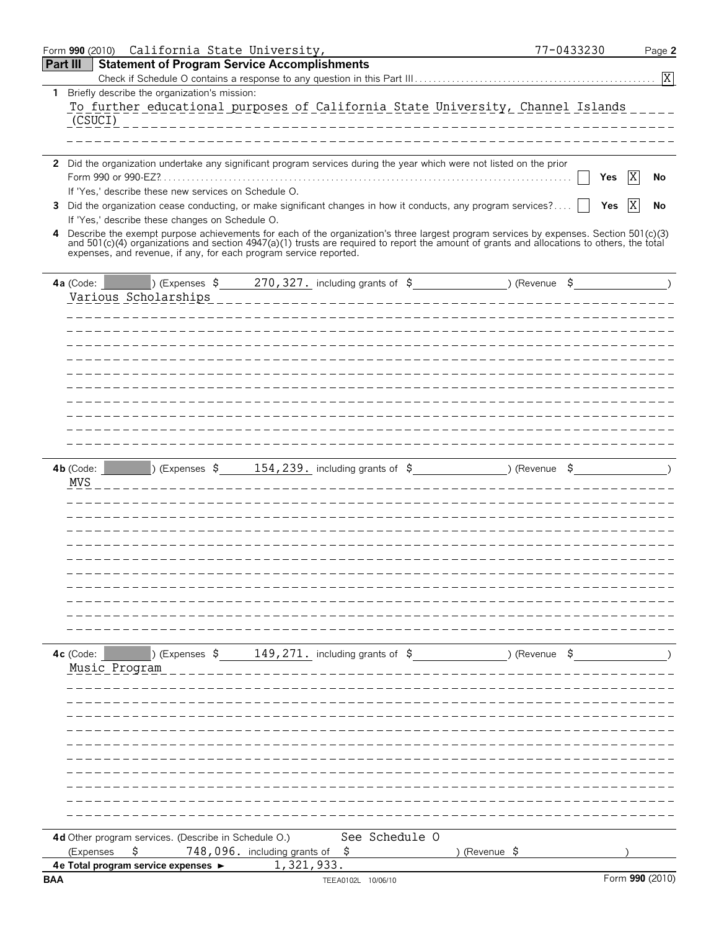| Form 990 (2010) California State University,                                                                                                                                                                                                                                                             | 77-0433230 | Page 2          |
|----------------------------------------------------------------------------------------------------------------------------------------------------------------------------------------------------------------------------------------------------------------------------------------------------------|------------|-----------------|
| <b>Part III</b><br><b>Statement of Program Service Accomplishments</b>                                                                                                                                                                                                                                   |            |                 |
|                                                                                                                                                                                                                                                                                                          |            | $\overline{X}$  |
| Briefly describe the organization's mission:<br>1.<br>To further educational purposes of California State University, Channel Islands<br>(CSUCI)                                                                                                                                                         |            |                 |
| 2 Did the organization undertake any significant program services during the year which were not listed on the prior                                                                                                                                                                                     |            |                 |
| Form 990 or 990-EZ?.<br>If 'Yes,' describe these new services on Schedule O.                                                                                                                                                                                                                             | Yes        | X<br>No         |
| Did the organization cease conducting, or make significant changes in how it conducts, any program services?<br>3<br>If 'Yes,' describe these changes on Schedule O.                                                                                                                                     | Yes        | X<br>No         |
| Describe the exempt purpose achievements for each of the organization's three largest program services by expenses. Section 501(c)(3) and 501(c)(4) organizations and section 4947(a)(1) trusts are required to report the amo<br>4<br>expenses, and revenue, if any, for each program service reported. |            |                 |
| 270, 327. including grants of $\sin 2\theta$ (Revenue $\sin 32\theta$ )<br><b>Expenses \$</b> 3<br>4a (Code: $\vert$<br>Various Scholarships                                                                                                                                                             |            |                 |
|                                                                                                                                                                                                                                                                                                          |            |                 |
|                                                                                                                                                                                                                                                                                                          |            |                 |
|                                                                                                                                                                                                                                                                                                          |            |                 |
|                                                                                                                                                                                                                                                                                                          |            |                 |
|                                                                                                                                                                                                                                                                                                          |            |                 |
|                                                                                                                                                                                                                                                                                                          |            |                 |
|                                                                                                                                                                                                                                                                                                          |            |                 |
| $\vert$ ) (Expenses \$ 154,239. including grants of \$ ) (Revenue \$ )<br>$4b$ (Code:<br>MVS                                                                                                                                                                                                             |            |                 |
|                                                                                                                                                                                                                                                                                                          |            |                 |
|                                                                                                                                                                                                                                                                                                          |            |                 |
|                                                                                                                                                                                                                                                                                                          |            |                 |
|                                                                                                                                                                                                                                                                                                          |            |                 |
| 4c (Code: $\Box$ ) (Expenses $\sin 149, 271$ , including grants of $\sin 5$ (Revenue $\sin 5$ (Revenue $\sin 5$                                                                                                                                                                                          |            |                 |
| Music Program                                                                                                                                                                                                                                                                                            |            |                 |
|                                                                                                                                                                                                                                                                                                          |            |                 |
|                                                                                                                                                                                                                                                                                                          |            |                 |
|                                                                                                                                                                                                                                                                                                          |            |                 |
|                                                                                                                                                                                                                                                                                                          |            |                 |
|                                                                                                                                                                                                                                                                                                          |            |                 |
|                                                                                                                                                                                                                                                                                                          |            |                 |
| See Schedule O<br>4d Other program services. (Describe in Schedule O.)<br>$748,096.$ including grants of $$$<br>\$<br>(Expenses<br>) (Revenue \$                                                                                                                                                         |            |                 |
| 1,321,933.<br>4e Total program service expenses ►                                                                                                                                                                                                                                                        |            |                 |
| <b>BAA</b><br>TEEA0102L 10/06/10                                                                                                                                                                                                                                                                         |            | Form 990 (2010) |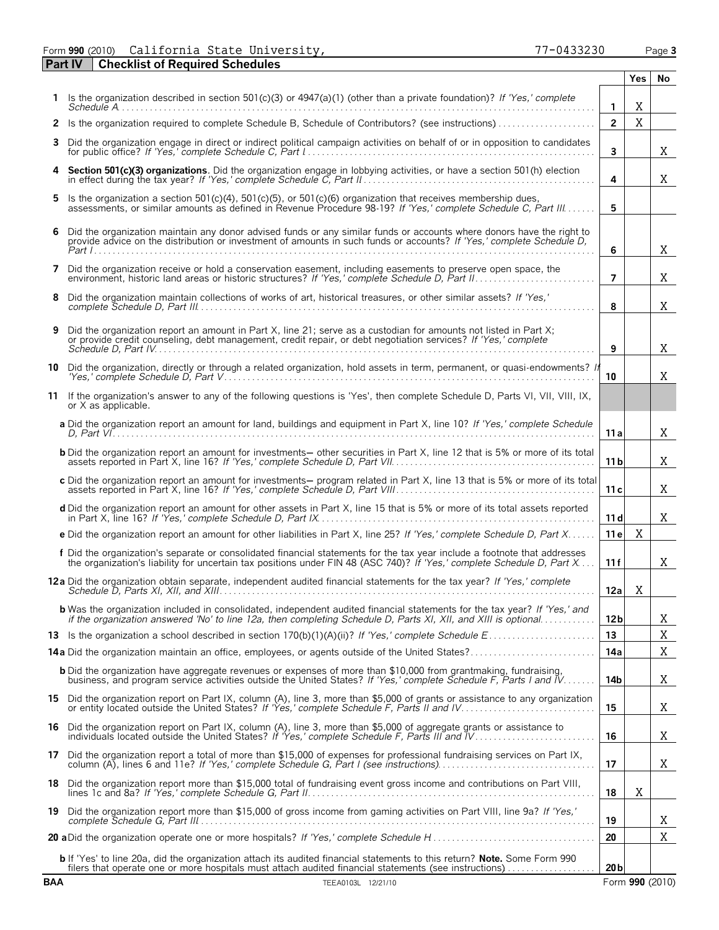Form **990** (2010) Page **3** California State University, 77-0433230

**Part IV Checklist of Required Schedules**

|            |                                                                                                                                                                                                                                                     |                 | Yes.        | No              |
|------------|-----------------------------------------------------------------------------------------------------------------------------------------------------------------------------------------------------------------------------------------------------|-----------------|-------------|-----------------|
|            | Is the organization described in section 501(c)(3) or $4947(a)(1)$ (other than a private foundation)? If 'Yes,' complete                                                                                                                            | $\mathbf{1}$    | X           |                 |
| 2          | Is the organization required to complete Schedule B, Schedule of Contributors? (see instructions)                                                                                                                                                   | $\overline{2}$  | $\mathbf X$ |                 |
| 3          | Did the organization engage in direct or indirect political campaign activities on behalf of or in opposition to candidates                                                                                                                         | $\mathbf{3}$    |             | X               |
|            | Section 501(c)(3) organizations. Did the organization engage in lobbying activities, or have a section 501(h) election                                                                                                                              | 4               |             | X               |
| 5          | Is the organization a section 501(c)(4), 501(c)(5), or 501(c)(6) organization that receives membership dues,<br>assessments, or similar amounts as defined in Revenue Procedure 98-19? If 'Yes,' complete Schedule C. Part III                      | 5               |             |                 |
| 6          | Did the organization maintain any donor advised funds or any similar funds or accounts where donors have the right to<br>provide advice on the distribution or investment of amounts in such funds or accounts? If 'Yes,' complete Schedule D,      | 6               |             | X               |
| 7          | Did the organization receive or hold a conservation easement, including easements to preserve open space, the                                                                                                                                       | $\overline{7}$  |             | X               |
| 8          | Did the organization maintain collections of works of art, historical treasures, or other similar assets? If 'Yes,'                                                                                                                                 | 8               |             | X               |
| 9          | Did the organization report an amount in Part X, line 21; serve as a custodian for amounts not listed in Part X;<br>or provide credit counseling, debt management, credit repair, or debt negotiation services? If 'Yes,' complete                  | 9               |             | X               |
|            | 10 Did the organization, directly or through a related organization, hold assets in term, permanent, or quasi-endowments? If<br>"Yes,' complete Schedule D. Part V…………………………………………………………………………………                                                   | 10              |             | X               |
|            | 11 If the organization's answer to any of the following questions is 'Yes', then complete Schedule D, Parts VI, VII, VIII, IX,<br>or X as applicable.                                                                                               |                 |             |                 |
|            | a Did the organization report an amount for land, buildings and equipment in Part X, line 10? If 'Yes,' complete Schedule                                                                                                                           | 11 a            |             | X               |
|            | <b>b</b> Did the organization report an amount for investments— other securities in Part X, line 12 that is 5% or more of its total                                                                                                                 | 11 b            |             | X               |
|            | c Did the organization report an amount for investments- program related in Part X, line 13 that is 5% or more of its total                                                                                                                         | 11 c            |             | X               |
|            | d Did the organization report an amount for other assets in Part X, line 15 that is 5% or more of its total assets reported                                                                                                                         | 11d             |             | X               |
|            | e Did the organization report an amount for other liabilities in Part X, line 25? If 'Yes,' complete Schedule D, Part X                                                                                                                             | 11 e            | X           |                 |
|            | f Did the organization's separate or consolidated financial statements for the tax year include a footnote that addresses<br>the organization's liability for uncertain tax positions under FIN 48 (ASC 740)? If 'Yes,' complete Schedule D, Part X | 11 f            |             | Χ               |
|            | 12a Did the organization obtain separate, independent audited financial statements for the tax year? If 'Yes,' complete                                                                                                                             | 12a             | X           |                 |
|            | <b>b</b> Was the organization included in consolidated, independent audited financial statements for the tax year? If 'Yes,' and<br>if the organization answered 'No' to line 12a, then completing Schedule D, Parts XI, XII, and XIII is optional  | 12 <sub>b</sub> |             | Χ               |
|            |                                                                                                                                                                                                                                                     | 13              |             | X               |
|            |                                                                                                                                                                                                                                                     | 14a             |             | X               |
|            | <b>b</b> Did the organization have aggregate revenues or expenses of more than \$10,000 from grantmaking, fundraising,<br>business, and program service activities outside the United States? If 'Yes,' complete Schedule F, Parts I and IV         | 14b             |             | X               |
|            | 15 Did the organization report on Part IX, column (A), line 3, more than \$5,000 of grants or assistance to any organization<br>or entity located outside the United States? If 'Yes,' complete Schedule F, Parts II and IV                         | 15              |             | X               |
| 16         | Did the organization report on Part IX, column (A), line 3, more than \$5,000 of aggregate grants or assistance to<br>individuals located outside the United States? If 'Yes,' complete Schedule F, Parts III and IV                                | 16              |             | X               |
|            | 17 Did the organization report a total of more than \$15,000 of expenses for professional fundraising services on Part IX,                                                                                                                          | 17              |             | X               |
| 18         | Did the organization report more than \$15,000 total of fundraising event gross income and contributions on Part VIII,                                                                                                                              | 18              | X           |                 |
|            | 19 Did the organization report more than \$15,000 of gross income from gaming activities on Part VIII, line 9a? If 'Yes,'                                                                                                                           | 19              |             | Χ               |
|            |                                                                                                                                                                                                                                                     | 20              |             | X               |
|            | <b>b</b> If 'Yes' to line 20a, did the organization attach its audited financial statements to this return? <b>Note.</b> Some Form 990<br>filers that operate one or more hospitals must attach audited financial statements (see instructions)     | 20 <sub>b</sub> |             |                 |
| <b>BAA</b> | TEEA0103L 12/21/10                                                                                                                                                                                                                                  |                 |             | Form 990 (2010) |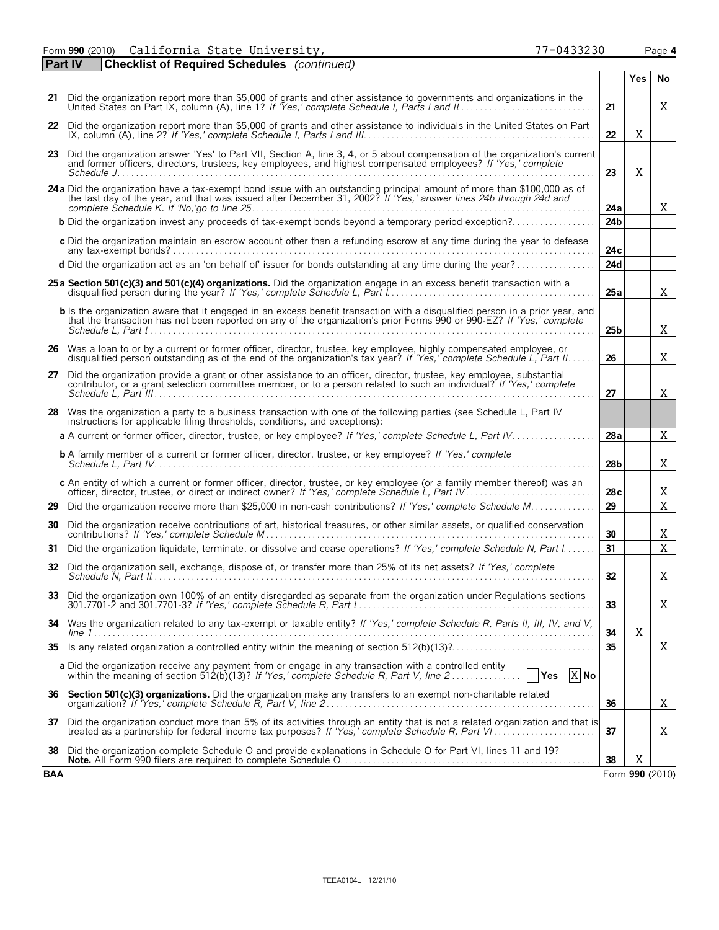Form **990** (2010) Page **4** California State University, 77-0433230

| Part IV    | <b>Checklist of Required Schedules</b> (continued)                                                                                                                                                                                              |                 |     |                 |
|------------|-------------------------------------------------------------------------------------------------------------------------------------------------------------------------------------------------------------------------------------------------|-----------------|-----|-----------------|
|            |                                                                                                                                                                                                                                                 |                 | Yes | No              |
|            | 21 Did the organization report more than \$5,000 of grants and other assistance to governments and organizations in the                                                                                                                         | 21              |     | X               |
|            | 22 Did the organization report more than \$5,000 of grants and other assistance to individuals in the United States on Part                                                                                                                     | 22              | Χ   |                 |
|            | 23 Did the organization answer 'Yes' to Part VII, Section A, line 3, 4, or 5 about compensation of the organization's current<br>and former officers, directors, trustees, key employees, and highest compensated employees? If 'Yes,' complete | 23              | Χ   |                 |
|            | 24a Did the organization have a tax-exempt bond issue with an outstanding principal amount of more than \$100,000 as of the last day of the year, and that was issued after December 31, 2002? If 'Yes,' answer lines 24b throu                 | 24a             |     | X               |
|            | <b>b</b> Did the organization invest any proceeds of tax-exempt bonds beyond a temporary period exception?                                                                                                                                      | 24 <sub>b</sub> |     |                 |
|            | c Did the organization maintain an escrow account other than a refunding escrow at any time during the year to defease                                                                                                                          | 24c             |     |                 |
|            | d Did the organization act as an 'on behalf of' issuer for bonds outstanding at any time during the year?                                                                                                                                       | 24d             |     |                 |
|            | 25 a Section 501(c)(3) and 501(c)(4) organizations. Did the organization engage in an excess benefit transaction with a                                                                                                                         | 25a             |     | X               |
|            | <b>b</b> Is the organization aware that it engaged in an excess benefit transaction with a disqualified person in a prior year, and that the transaction has not been reported on any of the organization's prior Forms 990 or 990-             | 25 <sub>b</sub> |     | X               |
|            | 26 Was a loan to or by a current or former officer, director, trustee, key employee, highly compensated employee, or<br>disqualified person outstanding as of the end of the organization's tax year? If 'Yes,' complete Schedule L, Part II.   | 26              |     | X               |
|            | 27 Did the organization provide a grant or other assistance to an officer, director, trustee, key employee, substantial<br>contributor, or a grant selection committee member, or to a person related to such an individual? If 'Yes,' complete | 27              |     | X               |
|            | 28 Was the organization a party to a business transaction with one of the following parties (see Schedule L, Part IV<br>instructions for applicable filing thresholds, conditions, and exceptions):                                             |                 |     |                 |
|            | a A current or former officer, director, trustee, or key employee? If 'Yes,' complete Schedule L, Part IV                                                                                                                                       | 28a             |     | X               |
|            | <b>b</b> A family member of a current or former officer, director, trustee, or key employee? If 'Yes,' complete                                                                                                                                 | 28 <sub>b</sub> |     | Χ               |
|            | c An entity of which a current or former officer, director, trustee, or key employee (or a family member thereof) was an                                                                                                                        | 28c             |     | Χ               |
|            | 29 Did the organization receive more than \$25,000 in non-cash contributions? If 'Yes,' complete Schedule M                                                                                                                                     | 29              |     | X               |
|            | 30 Did the organization receive contributions of art, historical treasures, or other similar assets, or qualified conservation                                                                                                                  | 30              |     | Χ               |
|            | 31 Did the organization liquidate, terminate, or dissolve and cease operations? If 'Yes,' complete Schedule N, Part I                                                                                                                           | 31              |     | X               |
|            | 32 Did the organization sell, exchange, dispose of, or transfer more than 25% of its net assets? If 'Yes,' complete                                                                                                                             | 32              |     | Χ               |
|            | 33 Did the organization own 100% of an entity disregarded as separate from the organization under Regulations sections                                                                                                                          | 33              |     | Χ               |
| 34         | Was the organization related to any tax-exempt or taxable entity? If 'Yes,' complete Schedule R, Parts II, III, IV, and V,                                                                                                                      | 34              | X   |                 |
| 35         |                                                                                                                                                                                                                                                 | 35              |     | X               |
|            | a Did the organization receive any payment from or engage in any transaction with a controlled entity<br>$\sqrt{Y}$ es $\overline{X}$ No                                                                                                        |                 |     |                 |
| 36         | Section 501(c)(3) organizations. Did the organization make any transfers to an exempt non-charitable related                                                                                                                                    | 36              |     | Χ               |
| 37         | Did the organization conduct more than 5% of its activities through an entity that is not a related organization and that is<br>treated as a partnership for federal income tax purposes? If 'Yes,' complete Schedule R, Part VI.               | 37              |     | Χ               |
| 38         | Did the organization complete Schedule O and provide explanations in Schedule O for Part VI, lines 11 and 19?                                                                                                                                   | 38              | X   |                 |
| <b>BAA</b> |                                                                                                                                                                                                                                                 |                 |     | Form 990 (2010) |

| 77-0433230 |  |  |  |  |
|------------|--|--|--|--|
|            |  |  |  |  |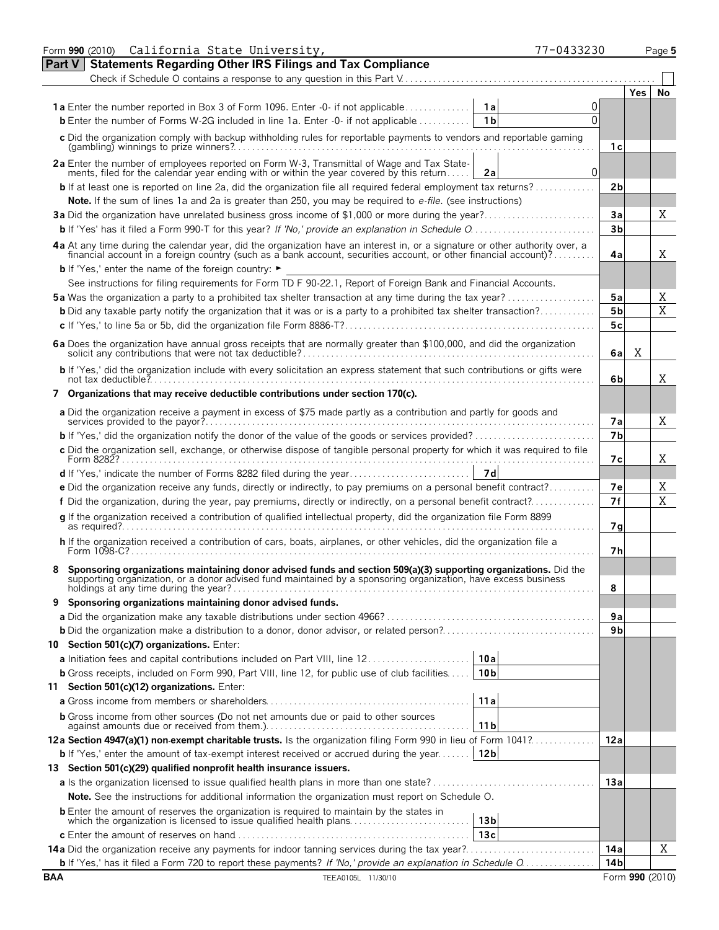| Form 990 (2010) California State University,<br>77-0433230                                                                                                                                                                     |                |            | Page 5 |
|--------------------------------------------------------------------------------------------------------------------------------------------------------------------------------------------------------------------------------|----------------|------------|--------|
| <b>Statements Regarding Other IRS Filings and Tax Compliance</b><br><b>Part V</b>                                                                                                                                              |                |            |        |
|                                                                                                                                                                                                                                |                |            |        |
|                                                                                                                                                                                                                                |                | <b>Yes</b> | No     |
| 0                                                                                                                                                                                                                              |                |            |        |
| 1 <sub>b</sub><br>0<br><b>b</b> Enter the number of Forms W-2G included in line 1a. Enter -0- if not applicable                                                                                                                |                |            |        |
| c Did the organization comply with backup withholding rules for reportable payments to vendors and reportable gaming                                                                                                           | 1 с            |            |        |
| 2a Enter the number of employees reported on Form W-3, Transmittal of Wage and Tax State-<br>ments, filed for the calendar year ending with or within the year covered by this return<br>$\Omega$<br>2a                        |                |            |        |
| <b>b</b> If at least one is reported on line 2a, did the organization file all required federal employment tax returns?                                                                                                        | 2b             |            |        |
| Note. If the sum of lines 1a and 2a is greater than 250, you may be required to e-file. (see instructions)                                                                                                                     |                |            |        |
|                                                                                                                                                                                                                                | Зa             |            | X      |
|                                                                                                                                                                                                                                | 3 <sub>b</sub> |            |        |
| 4a At any time during the calendar year, did the organization have an interest in, or a signature or other authority over, a financial account in a foreign country (such as a bank account, securities account, or other fina |                |            |        |
|                                                                                                                                                                                                                                | 4a             |            | X      |
| <b>b</b> If 'Yes,' enter the name of the foreign country: $\blacktriangleright$                                                                                                                                                |                |            |        |
| See instructions for filing requirements for Form TD F 90-22.1, Report of Foreign Bank and Financial Accounts.                                                                                                                 |                |            |        |
| <b>5a</b> Was the organization a party to a prohibited tax shelter transaction at any time during the tax year?                                                                                                                | 5a             |            | Χ      |
| <b>b</b> Did any taxable party notify the organization that it was or is a party to a prohibited tax shelter transaction?                                                                                                      | 5 <sub>b</sub> |            | X      |
|                                                                                                                                                                                                                                | 5c             |            |        |
|                                                                                                                                                                                                                                | 6a             | Χ          |        |
| b If 'Yes,' did the organization include with every solicitation an express statement that such contributions or gifts were                                                                                                    | 6b             |            | X      |
| 7 Organizations that may receive deductible contributions under section 170(c).                                                                                                                                                |                |            |        |
| a Did the organization receive a payment in excess of \$75 made partly as a contribution and partly for goods and                                                                                                              |                |            |        |
|                                                                                                                                                                                                                                | 7a             |            | X      |
|                                                                                                                                                                                                                                | 7 <sub>b</sub> |            |        |
| c Did the organization sell, exchange, or otherwise dispose of tangible personal property for which it was required to file                                                                                                    | 7с             |            | X      |
|                                                                                                                                                                                                                                |                |            |        |
| e Did the organization receive any funds, directly or indirectly, to pay premiums on a personal benefit contract?                                                                                                              | 7е             |            | Χ      |
| f Did the organization, during the year, pay premiums, directly or indirectly, on a personal benefit contract?                                                                                                                 | 7f             |            | X      |
| q If the organization received a contribution of qualified intellectual property, did the organization file Form 8899                                                                                                          | 7q             |            |        |
| h If the organization received a contribution of cars, boats, airplanes, or other vehicles, did the organization file a                                                                                                        | 7h             |            |        |
|                                                                                                                                                                                                                                |                |            |        |
| Sponsoring organizations maintaining donor advised funds and section 509(a)(3) supporting organizations. Did the supporting organization, or a donor advised fund maintained by a sponsoring organization, have excess busines |                |            |        |
|                                                                                                                                                                                                                                | 8              |            |        |
| 9 Sponsoring organizations maintaining donor advised funds.                                                                                                                                                                    | 9а             |            |        |
|                                                                                                                                                                                                                                | 9b             |            |        |
| 10 Section 501(c)(7) organizations. Enter:                                                                                                                                                                                     |                |            |        |
| 10a<br>a Initiation fees and capital contributions included on Part VIII, line 12                                                                                                                                              |                |            |        |
| 10 <sub>b</sub><br><b>b</b> Gross receipts, included on Form 990, Part VIII, line 12, for public use of club facilities                                                                                                        |                |            |        |
| 11 Section 501(c)(12) organizations. Enter:                                                                                                                                                                                    |                |            |        |
| 11a                                                                                                                                                                                                                            |                |            |        |
| <b>b</b> Gross income from other sources (Do not net amounts due or paid to other sources<br>11 <sub>b</sub>                                                                                                                   |                |            |        |
| 12a Section 4947(a)(1) non-exempt charitable trusts. Is the organization filing Form 990 in lieu of Form 1041?                                                                                                                 | 12a            |            |        |
| 12 <sub>b</sub><br><b>b</b> If 'Yes,' enter the amount of tax-exempt interest received or accrued during the year                                                                                                              |                |            |        |
| 13 Section 501(c)(29) qualified nonprofit health insurance issuers.                                                                                                                                                            |                |            |        |
|                                                                                                                                                                                                                                | 13a            |            |        |
| Note. See the instructions for additional information the organization must report on Schedule O.                                                                                                                              |                |            |        |
| <b>b</b> Enter the amount of reserves the organization is required to maintain by the states in                                                                                                                                |                |            |        |
| 13 <sub>b</sub><br>which the organization is licensed to issue qualified health plans<br>13c                                                                                                                                   |                |            |        |
| 14a Did the organization receive any payments for indoor tanning services during the tax year?                                                                                                                                 | 14a            |            | Χ      |
| <b>b</b> If 'Yes,' has it filed a Form 720 to report these payments? If 'No,' provide an explanation in Schedule O                                                                                                             | 14 b           |            |        |
|                                                                                                                                                                                                                                |                |            |        |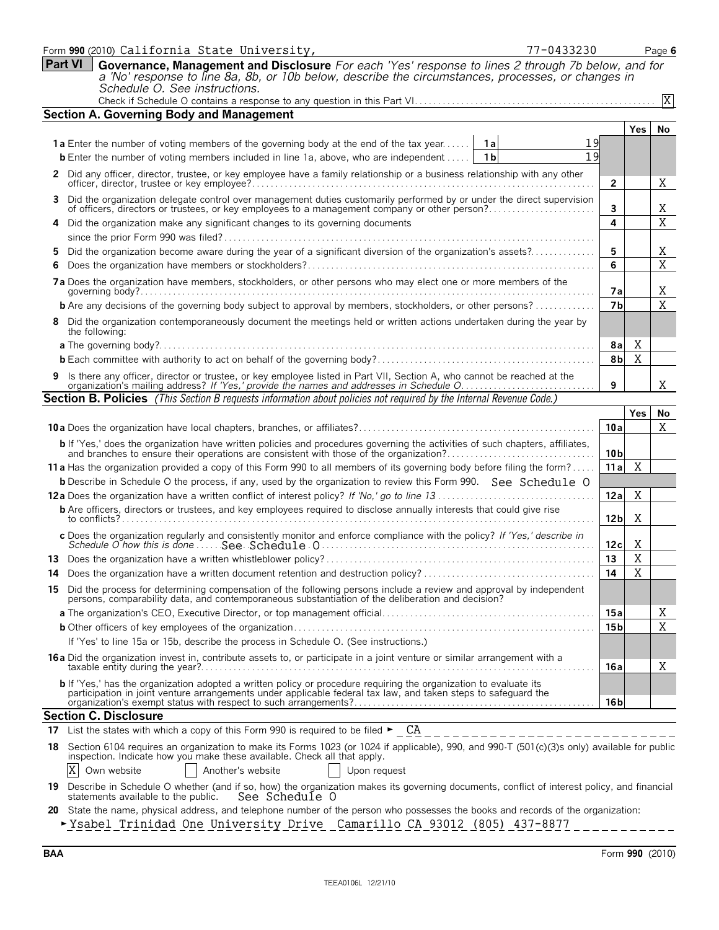|     | 77-0433230<br>Form 990 (2010) California State University,                                                                                                                                                                                                |                 |                | Page 6      |
|-----|-----------------------------------------------------------------------------------------------------------------------------------------------------------------------------------------------------------------------------------------------------------|-----------------|----------------|-------------|
|     | Part VI<br>Governance, Management and Disclosure For each 'Yes' response to lines 2 through 7b below, and for                                                                                                                                             |                 |                |             |
|     | a 'No' response to line 8a, 8b, or 10b below, describe the circumstances, processes, or changes in                                                                                                                                                        |                 |                |             |
|     | Schedule O. See instructions.                                                                                                                                                                                                                             |                 |                |             |
|     | <b>Section A. Governing Body and Management</b>                                                                                                                                                                                                           |                 |                | X           |
|     |                                                                                                                                                                                                                                                           |                 |                |             |
|     | 19                                                                                                                                                                                                                                                        |                 | Yes            | <b>No</b>   |
|     | <b>1a</b> Enter the number of voting members of the governing body at the end of the tax year<br>1al<br>19<br>1 <sub>b</sub>                                                                                                                              |                 |                |             |
|     | <b>b</b> Enter the number of voting members included in line 1a, above, who are independent                                                                                                                                                               |                 |                |             |
| 2   | Did any officer, director, trustee, or key employee have a family relationship or a business relationship with any other                                                                                                                                  | $\overline{2}$  |                | Χ           |
| 3   | Did the organization delegate control over management duties customarily performed by or under the direct supervision of officers, directors or trustees, or key employees to a management company or other person?                                       | 3               |                | Χ           |
|     | Did the organization make any significant changes to its governing documents                                                                                                                                                                              | 4               |                | X           |
|     |                                                                                                                                                                                                                                                           |                 |                |             |
|     | Did the organization become aware during the year of a significant diversion of the organization's assets?                                                                                                                                                | 5               |                | Χ           |
|     |                                                                                                                                                                                                                                                           | 6               |                | $\mathbf X$ |
|     | 7a Does the organization have members, stockholders, or other persons who may elect one or more members of the                                                                                                                                            | 7а              |                | Χ           |
|     | <b>b</b> Are any decisions of the governing body subject to approval by members, stockholders, or other persons?                                                                                                                                          | 7 <sub>b</sub>  |                | X           |
|     | 8 Did the organization contemporaneously document the meetings held or written actions undertaken during the year by                                                                                                                                      |                 |                |             |
|     | the following:                                                                                                                                                                                                                                            |                 |                |             |
|     |                                                                                                                                                                                                                                                           | 8a              | X              |             |
|     |                                                                                                                                                                                                                                                           | 8 <sub>b</sub>  | X              |             |
|     | 9 Is there any officer, director or trustee, or key employee listed in Part VII, Section A, who cannot be reached at the organization's mailing address? If 'Yes,' provide the names and addresses in Schedule O                                          | 9               |                | Χ           |
|     | <b>Section B. Policies</b> (This Section B requests information about policies not required by the Internal Revenue Code.)                                                                                                                                |                 |                |             |
|     |                                                                                                                                                                                                                                                           |                 | Yes            | No          |
|     |                                                                                                                                                                                                                                                           | 10a             |                | X           |
|     | <b>b</b> If 'Yes,' does the organization have written policies and procedures governing the activities of such chapters, affiliates,<br>and branches to ensure their operations are consistent with those of the organization?                            | 10 b            |                |             |
|     | 11 a Has the organization provided a copy of this Form 990 to all members of its governing body before filing the form?                                                                                                                                   | 11a             | Χ              |             |
|     | <b>b</b> Describe in Schedule O the process, if any, used by the organization to review this Form 990. See Schedule O                                                                                                                                     |                 |                |             |
|     |                                                                                                                                                                                                                                                           | 12a             | Χ              |             |
|     | <b>b</b> Are officers, directors or trustees, and key employees required to disclose annually interests that could give rise                                                                                                                              | 12 <sub>b</sub> | X              |             |
|     | c Does the organization regularly and consistently monitor and enforce compliance with the policy? If 'Yes,' describe in                                                                                                                                  | 12c             | X              |             |
|     |                                                                                                                                                                                                                                                           | 13              | X              |             |
|     | 14 Does the organization have a written document retention and destruction policy?                                                                                                                                                                        | 14              | $\overline{X}$ |             |
|     | 15 Did the process for determining compensation of the following persons include a review and approval by independent persons, comparability data, and contemporaneous substantiation of the deliberation and decision?                                   |                 |                |             |
|     |                                                                                                                                                                                                                                                           | 15a             |                | Χ           |
|     |                                                                                                                                                                                                                                                           | 15 <sub>b</sub> |                | X           |
|     | If 'Yes' to line 15a or 15b, describe the process in Schedule O. (See instructions.)                                                                                                                                                                      |                 |                |             |
|     |                                                                                                                                                                                                                                                           |                 |                |             |
|     | 16a Did the organization invest in, contribute assets to, or participate in a joint venture or similar arrangement with a                                                                                                                                 | 16a             |                | Χ           |
|     | <b>b</b> If 'Yes,' has the organization adopted a written policy or procedure requiring the organization to evaluate its                                                                                                                                  |                 |                |             |
|     | participation in joint venture arrangements under applicable federal tax law, and taken steps to safeguard the                                                                                                                                            | 16 b            |                |             |
|     | <b>Section C. Disclosure</b>                                                                                                                                                                                                                              |                 |                |             |
| 17  |                                                                                                                                                                                                                                                           |                 |                |             |
|     |                                                                                                                                                                                                                                                           |                 |                |             |
| 18. | List the states with which a copy of this Form 990 is required to be filed $\blacktriangleright$ $\Box$ CA<br>Section 6104 requires an organization to make its Forms 1023 (or 1024 if applicable), 990, and 990-T (501(c)(3)s only) available for public |                 |                |             |
|     | inspection. Indicate how you make these available. Check all that apply.<br>X<br>Another's website<br>Own website<br>Upon request                                                                                                                         |                 |                |             |

- **20** State the name, physical address, and telephone number of the person who possesses the books and records of the organization:
- **-**Ysabel Trinidad One University Drive Camarillo CA 93012 (805) 437-8877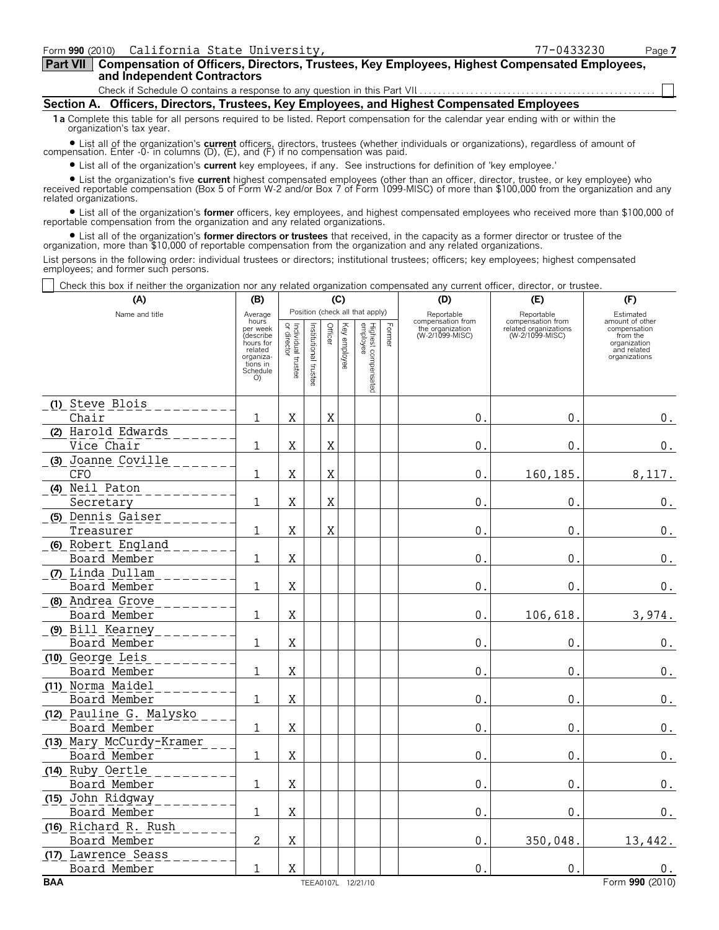| Part VII   Compensation of Officers, Directors, Trustees, Key Employees, Highest Compensated Employees, |
|---------------------------------------------------------------------------------------------------------|
| and Independent Contractors                                                                             |

Check if Schedule O contains a response to any question in this Part VII

**Section A. Officers, Directors, Trustees, Key Employees, and Highest Compensated Employees**

**1a** Complete this table for all persons required to be listed. Report compensation for the calendar year ending with or within the organization's tax year.

? List all of the organization's **current** officers, directors, trustees (whether individuals or organizations), regardless of amount of compensation. Enter -0- in columns (D), (E), and (F) if no compensation was paid.

? List all of the organization's **current** key employees, if any. See instructions for definition of 'key employee.'

? List the organization's five **current** highest compensated employees (other than an officer, director, trustee, or key employee) who received reportable compensation (Box 5 of Form W-2 and/or Box 7 of Form 1099-MISC) of more than \$100,000 from the organization and any related organizations.

? List all of the organization's **former** officers, key employees, and highest compensated employees who received more than \$100,000 of reportable compensation from the organization and any related organizations.

? List all of the organization's **former directors or trustees** that received, in the capacity as a former director or trustee of the organization, more than \$10,000 of reportable compensation from the organization and any related organizations.

List persons in the following order: individual trustees or directors; institutional trustees; officers; key employees; highest compensated employees; and former such persons.

Check this box if neither the organization nor any related organization compensated any current officer, director, or trustee.

| (A)                                      | (B)                               |                                   |                       |         | (C)          |                                 |        | (D)                                 | (E)                                      | (F)                                          |
|------------------------------------------|-----------------------------------|-----------------------------------|-----------------------|---------|--------------|---------------------------------|--------|-------------------------------------|------------------------------------------|----------------------------------------------|
| Name and title                           | Average<br>hours<br>per week      |                                   |                       |         |              | Position (check all that apply) |        | Reportable<br>compensation from     | Reportable<br>compensation from          | Estimated<br>amount of other<br>compensation |
|                                          | (describe<br>hours for<br>related | Individual trustee<br>or director | Institutional trustee | Officer | Key employee | Highest compensated<br>employee | Former | the organization<br>(W-2/1099-MISC) | related organizations<br>(W-2/1099-MISC) | from the<br>organization<br>and related      |
|                                          | organiza-<br>tions in             |                                   |                       |         |              |                                 |        |                                     |                                          | organizations                                |
|                                          | Schedule<br>O                     |                                   |                       |         |              |                                 |        |                                     |                                          |                                              |
| (1) Steve Blois                          |                                   |                                   |                       |         |              |                                 |        |                                     |                                          |                                              |
| Chair                                    | 1                                 | X                                 |                       | X       |              |                                 |        | 0.                                  | 0.                                       | 0.                                           |
| (2) Harold Edwards                       |                                   |                                   |                       |         |              |                                 |        |                                     |                                          |                                              |
| Vice Chair                               | $\mathbf 1$                       | X                                 |                       | Χ       |              |                                 |        | $\mathsf{O}$ .                      | $\mathbf{0}$ .                           | 0.                                           |
| (3) Joanne Coville                       |                                   |                                   |                       |         |              |                                 |        |                                     |                                          |                                              |
| <b>CFO</b>                               | $\mathbf{1}$                      | $\mathbf X$                       |                       | Χ       |              |                                 |        | 0.                                  | 160, 185.                                | 8,117.                                       |
| (4) Neil Paton                           |                                   |                                   |                       |         |              |                                 |        |                                     |                                          |                                              |
| Secretary                                | $\mathbf{1}$                      | $\mathbf X$                       |                       | Χ       |              |                                 |        | 0.                                  | $\mathbf 0$                              | $\boldsymbol{0}$ .                           |
| (5) Dennis Gaiser                        |                                   |                                   |                       |         |              |                                 |        |                                     |                                          |                                              |
| Treasurer                                | $\mathbf{1}$                      | X                                 |                       | X       |              |                                 |        | 0.                                  | 0.                                       | $0$ .                                        |
| (6) Robert England<br>Board Member       | 1                                 | X                                 |                       |         |              |                                 |        | 0.                                  | 0.                                       | $\boldsymbol{0}$ .                           |
| (7) Linda Dullam                         |                                   |                                   |                       |         |              |                                 |        |                                     |                                          |                                              |
| Board Member                             | 1                                 | X                                 |                       |         |              |                                 |        | $\mathbf{0}$ .                      | $\mathbf{0}$ .                           | $\boldsymbol{0}$ .                           |
| (8) Andrea Grove                         |                                   |                                   |                       |         |              |                                 |        |                                     |                                          |                                              |
| Board Member                             | $\mathbf{1}$                      | X                                 |                       |         |              |                                 |        | $0$ .                               | 106,618.                                 | 3,974.                                       |
| (9) Bill Kearney                         |                                   |                                   |                       |         |              |                                 |        |                                     |                                          |                                              |
| Board Member                             | 1                                 | X                                 |                       |         |              |                                 |        | 0.                                  | $0$ .                                    | $\boldsymbol{0}$ .                           |
| (10) George Leis                         |                                   |                                   |                       |         |              |                                 |        |                                     |                                          |                                              |
| Board Member                             | 1                                 | X                                 |                       |         |              |                                 |        | 0.                                  | 0.                                       | $0_{\cdot}$                                  |
| (11) Norma Maidel                        |                                   |                                   |                       |         |              |                                 |        |                                     |                                          |                                              |
| Board Member                             | 1                                 | $\mathbf X$                       |                       |         |              |                                 |        | $\mathbf 0$                         | $\mathbf 0$                              | $\boldsymbol{0}$ .                           |
| (12) Pauline G. Malysko                  |                                   |                                   |                       |         |              |                                 |        |                                     |                                          |                                              |
| Board Member                             | 1                                 | $\mathbf X$                       |                       |         |              |                                 |        | $\mathbf{0}$ .                      | $\mathbf{0}$ .                           | $0$ .                                        |
| (13) Mary McCurdy-Kramer<br>Board Member | 1                                 | X                                 |                       |         |              |                                 |        | 0.                                  | 0.                                       | $\boldsymbol{0}$ .                           |
| (14) Ruby Oertle                         |                                   |                                   |                       |         |              |                                 |        |                                     |                                          |                                              |
| Board Member                             | 1                                 | $\mathbf X$                       |                       |         |              |                                 |        | 0.                                  | $\mathbf{0}$ .                           | $\mathbf 0$ .                                |
| (15) John Ridgway                        |                                   |                                   |                       |         |              |                                 |        |                                     |                                          |                                              |
| Board Member                             | 1                                 | X                                 |                       |         |              |                                 |        | 0.                                  | 0.                                       | 0.                                           |
| (16) Richard R. Rush                     |                                   |                                   |                       |         |              |                                 |        |                                     |                                          |                                              |
| Board Member                             | 2                                 | $\mathbf X$                       |                       |         |              |                                 |        | 0.                                  | 350,048.                                 | 13,442.                                      |
| (17) Lawrence Seass                      |                                   |                                   |                       |         |              |                                 |        |                                     |                                          |                                              |
| Board Member                             | 1                                 | $\mathbf X$                       |                       |         |              |                                 |        | 0.                                  | $\mathbf{0}$ .                           | υ.                                           |
| <b>BAA</b>                               |                                   |                                   |                       |         |              | TEEA0107L 12/21/10              |        |                                     |                                          | Form 990 (2010)                              |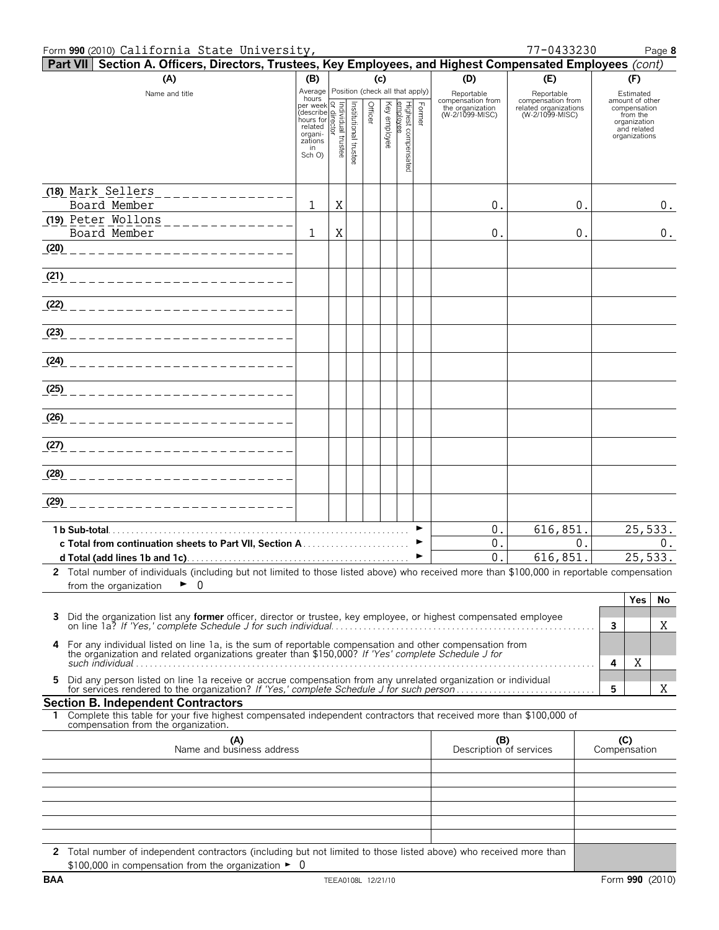#### Form **990** (2010) Page **8** California State University, 77-0433230

| Part VII Section A. Officers, Directors, Trustees, Key Employees, and Highest Compensated Employees (cont)                                                  |                                                                                                        |   |                       |         |          |                             |        |                                                     |                                                          |   |                                              |
|-------------------------------------------------------------------------------------------------------------------------------------------------------------|--------------------------------------------------------------------------------------------------------|---|-----------------------|---------|----------|-----------------------------|--------|-----------------------------------------------------|----------------------------------------------------------|---|----------------------------------------------|
| (A)                                                                                                                                                         | (B)                                                                                                    |   |                       |         | (c)      |                             |        | (D)                                                 | (E)                                                      |   | (F)                                          |
| Name and title                                                                                                                                              | Average Position (check all that apply)<br>hours                                                       |   |                       |         | Key      |                             |        | Reportable<br>compensation from<br>the organization | Reportable<br>compensation from<br>related organizations |   | Estimated<br>amount of other<br>compensation |
|                                                                                                                                                             | mours<br>per week<br>(describe mours for<br>hours for<br>related<br>organi-<br>zations<br>in<br>Sch O) |   | Institutional trustee | Officer |          | Highest compens<br>employee | Former | (W-2/1099-MISC)                                     | (W-2/1099-MISC)                                          |   | from the<br>organization                     |
|                                                                                                                                                             |                                                                                                        |   |                       |         | employee |                             |        |                                                     |                                                          |   | and related<br>organizations                 |
|                                                                                                                                                             |                                                                                                        |   |                       |         |          |                             |        |                                                     |                                                          |   |                                              |
|                                                                                                                                                             |                                                                                                        |   |                       |         |          | g                           |        |                                                     |                                                          |   |                                              |
| (18) Mark Sellers<br>--------------                                                                                                                         |                                                                                                        |   |                       |         |          |                             |        |                                                     |                                                          |   |                                              |
| Board Member                                                                                                                                                | 1                                                                                                      | X |                       |         |          |                             |        | 0.                                                  | 0.                                                       |   | $0$ .                                        |
| (19) Peter Wollons<br>______________<br>Board Member                                                                                                        | $\mathbf{1}$                                                                                           | X |                       |         |          |                             |        | 0.                                                  | 0.                                                       |   | $\boldsymbol{0}$ .                           |
| (20)<br>------------------------                                                                                                                            |                                                                                                        |   |                       |         |          |                             |        |                                                     |                                                          |   |                                              |
|                                                                                                                                                             |                                                                                                        |   |                       |         |          |                             |        |                                                     |                                                          |   |                                              |
| <u>(21) ________________________</u>                                                                                                                        |                                                                                                        |   |                       |         |          |                             |        |                                                     |                                                          |   |                                              |
|                                                                                                                                                             |                                                                                                        |   |                       |         |          |                             |        |                                                     |                                                          |   |                                              |
|                                                                                                                                                             |                                                                                                        |   |                       |         |          |                             |        |                                                     |                                                          |   |                                              |
| (2 <u>3)</u> _____________________________                                                                                                                  |                                                                                                        |   |                       |         |          |                             |        |                                                     |                                                          |   |                                              |
| (24) ___________________________                                                                                                                            |                                                                                                        |   |                       |         |          |                             |        |                                                     |                                                          |   |                                              |
|                                                                                                                                                             |                                                                                                        |   |                       |         |          |                             |        |                                                     |                                                          |   |                                              |
|                                                                                                                                                             |                                                                                                        |   |                       |         |          |                             |        |                                                     |                                                          |   |                                              |
|                                                                                                                                                             |                                                                                                        |   |                       |         |          |                             |        |                                                     |                                                          |   |                                              |
|                                                                                                                                                             |                                                                                                        |   |                       |         |          |                             |        |                                                     |                                                          |   |                                              |
|                                                                                                                                                             |                                                                                                        |   |                       |         |          |                             |        |                                                     |                                                          |   |                                              |
|                                                                                                                                                             |                                                                                                        |   |                       |         |          |                             |        |                                                     |                                                          |   |                                              |
| (29)<br>------------------------                                                                                                                            |                                                                                                        |   |                       |         |          |                             |        |                                                     |                                                          |   |                                              |
|                                                                                                                                                             |                                                                                                        |   |                       |         |          |                             |        |                                                     |                                                          |   |                                              |
|                                                                                                                                                             |                                                                                                        |   |                       |         |          |                             | ►<br>▶ | 0.<br>0.                                            | 616,851.<br>0.                                           |   | 25,533.<br>0.                                |
|                                                                                                                                                             |                                                                                                        |   |                       |         |          |                             | ►      | 0.                                                  | 616,851.                                                 |   | 25,533.                                      |
| 2 Total number of individuals (including but not limited to those listed above) who received more than \$100,000 in reportable compensation                 |                                                                                                        |   |                       |         |          |                             |        |                                                     |                                                          |   |                                              |
| 0<br>►<br>from the organization                                                                                                                             |                                                                                                        |   |                       |         |          |                             |        |                                                     |                                                          |   |                                              |
|                                                                                                                                                             |                                                                                                        |   |                       |         |          |                             |        |                                                     |                                                          |   | Yes<br>No                                    |
| Did the organization list any former officer, director or trustee, key employee, or highest compensated employee<br>3                                       |                                                                                                        |   |                       |         |          |                             |        |                                                     |                                                          | 3 | Χ                                            |
| For any individual listed on line 1a, is the sum of reportable compensation and other compensation from<br>4                                                |                                                                                                        |   |                       |         |          |                             |        |                                                     |                                                          |   |                                              |
| the organization and related organizations greater than \$150,000? If 'Yes' complete Schedule J for                                                         |                                                                                                        |   |                       |         |          |                             |        |                                                     |                                                          | 4 | Χ                                            |
| Did any person listed on line 1a receive or accrue compensation from any unrelated organization or individual<br>5.                                         |                                                                                                        |   |                       |         |          |                             |        |                                                     |                                                          | 5 | Χ                                            |
| <b>Section B. Independent Contractors</b>                                                                                                                   |                                                                                                        |   |                       |         |          |                             |        |                                                     |                                                          |   |                                              |
| 1 Complete this table for your five highest compensated independent contractors that received more than \$100,000 of<br>compensation from the organization. |                                                                                                        |   |                       |         |          |                             |        |                                                     |                                                          |   |                                              |
| (A)<br>Name and business address                                                                                                                            |                                                                                                        |   |                       |         |          |                             |        | (B)<br>Description of services                      |                                                          |   | (C)<br>Compensation                          |
|                                                                                                                                                             |                                                                                                        |   |                       |         |          |                             |        |                                                     |                                                          |   |                                              |
|                                                                                                                                                             |                                                                                                        |   |                       |         |          |                             |        |                                                     |                                                          |   |                                              |
|                                                                                                                                                             |                                                                                                        |   |                       |         |          |                             |        |                                                     |                                                          |   |                                              |
|                                                                                                                                                             |                                                                                                        |   |                       |         |          |                             |        |                                                     |                                                          |   |                                              |
|                                                                                                                                                             |                                                                                                        |   |                       |         |          |                             |        |                                                     |                                                          |   |                                              |
| 2 Total number of independent contractors (including but not limited to those listed above) who received more than                                          |                                                                                                        |   |                       |         |          |                             |        |                                                     |                                                          |   |                                              |
| \$100,000 in compensation from the organization $\blacktriangleright$ 0                                                                                     |                                                                                                        |   |                       |         |          |                             |        |                                                     |                                                          |   |                                              |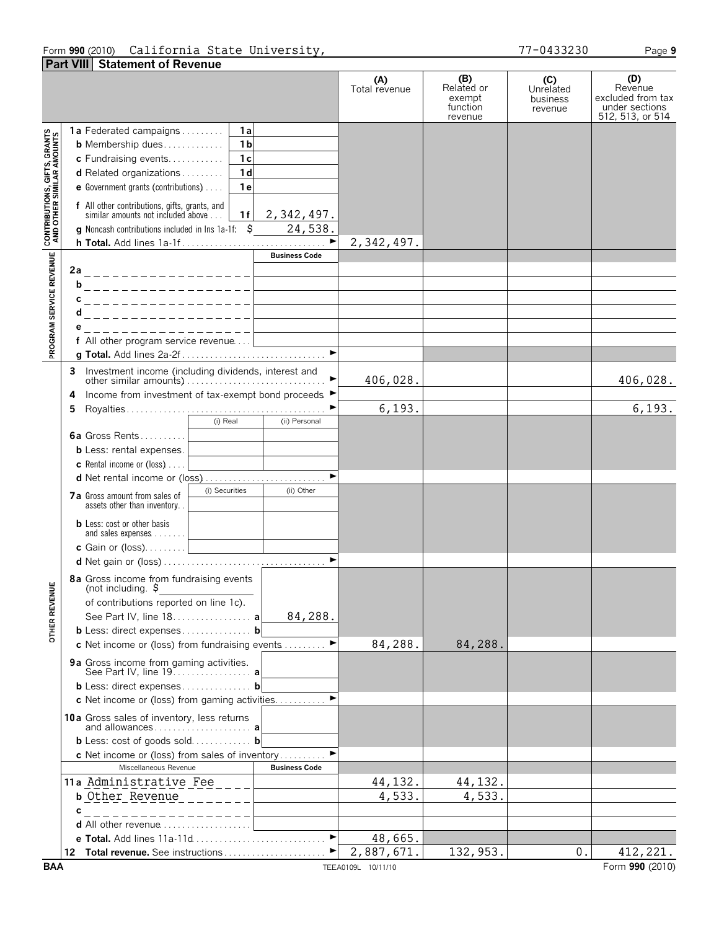# Form **990** (2010) Page **9** California State University, 77-0433230

| UIII YYV ILVIVI | CUIILUILLU DEULE UNIVEIDICY,   |               |                                                   |  |
|-----------------|--------------------------------|---------------|---------------------------------------------------|--|
|                 | Part VIII Statement of Revenue |               |                                                   |  |
|                 |                                | Total revenue | (B<br>Related or<br>exempt<br>function<br>revenue |  |

|                                                           |                                                                                              | (A)<br>Total revenue | (B)<br>Related or<br>exempt<br>function | (C)<br>Unrelated<br>business<br>revenue | (D)<br>Revenue<br>excluded from tax<br>under sections |
|-----------------------------------------------------------|----------------------------------------------------------------------------------------------|----------------------|-----------------------------------------|-----------------------------------------|-------------------------------------------------------|
|                                                           |                                                                                              |                      | revenue                                 |                                         | 512, 513, or 514                                      |
|                                                           | 1a Federated campaigns<br>- 1 a                                                              |                      |                                         |                                         |                                                       |
|                                                           | 1 <sub>b</sub><br><b>b</b> Membership dues                                                   |                      |                                         |                                         |                                                       |
|                                                           | c Fundraising events<br>1c                                                                   |                      |                                         |                                         |                                                       |
|                                                           | 1 <sub>d</sub><br>d Related organizations                                                    |                      |                                         |                                         |                                                       |
|                                                           | e Government grants (contributions)<br>1 e                                                   |                      |                                         |                                         |                                                       |
| CONTRIBUTIONS, GIFTS, GRANTS<br>AND OTHER SIMILAR AMOUNTS | f All other contributions, gifts, grants, and<br>similar amounts not included above<br>1f    |                      |                                         |                                         |                                                       |
|                                                           | 2,342,497.<br>g Noncash contributions included in Ins 1a-1f: \$ 24,538.                      |                      |                                         |                                         |                                                       |
|                                                           |                                                                                              | 2,342,497.           |                                         |                                         |                                                       |
|                                                           | <b>Business Code</b>                                                                         |                      |                                         |                                         |                                                       |
| PROGRAM SERVICE REVENUE                                   | 2a____________________                                                                       |                      |                                         |                                         |                                                       |
|                                                           | b____________________                                                                        |                      |                                         |                                         |                                                       |
|                                                           | c____________________                                                                        |                      |                                         |                                         |                                                       |
|                                                           | d____________________                                                                        |                      |                                         |                                         |                                                       |
|                                                           | е<br>_________________                                                                       |                      |                                         |                                         |                                                       |
|                                                           | f All other program service revenue                                                          |                      |                                         |                                         |                                                       |
|                                                           |                                                                                              |                      |                                         |                                         |                                                       |
|                                                           | 3 Investment income (including dividends, interest and                                       |                      |                                         |                                         |                                                       |
|                                                           |                                                                                              | 406,028.             |                                         |                                         | 406,028.                                              |
|                                                           | Income from investment of tax-exempt bond proceeds ▶<br>4                                    |                      |                                         |                                         |                                                       |
|                                                           | 5                                                                                            | 6, 193.              |                                         |                                         | 6, 193.                                               |
|                                                           | (i) Real<br>(ii) Personal                                                                    |                      |                                         |                                         |                                                       |
|                                                           | 6a Gross Rents<br><b>b</b> Less: rental expenses.                                            |                      |                                         |                                         |                                                       |
|                                                           | the contract of the contract of the contract of<br><b>c</b> Rental income or (loss) $\ldots$ |                      |                                         |                                         |                                                       |
|                                                           | d Net rental income or (loss)                                                                |                      |                                         |                                         |                                                       |
|                                                           | (i) Securities<br>(ii) Other                                                                 |                      |                                         |                                         |                                                       |
|                                                           | <b>7a</b> Gross amount from sales of<br>assets other than inventory                          |                      |                                         |                                         |                                                       |
|                                                           | <b>b</b> Less: cost or other basis                                                           |                      |                                         |                                         |                                                       |
|                                                           |                                                                                              |                      |                                         |                                         |                                                       |
|                                                           | c Gain or (loss)<br>$\blacktriangleright$                                                    |                      |                                         |                                         |                                                       |
|                                                           |                                                                                              |                      |                                         |                                         |                                                       |
| <b>TENUE</b>                                              | 8a Gross income from fundraising events<br>(not including. $\frac{1}{2}$                     |                      |                                         |                                         |                                                       |
|                                                           | of contributions reported on line 1c).                                                       |                      |                                         |                                         |                                                       |
| OTHER RE'                                                 | 84,288.<br>See Part IV, line 18. <b>a</b>                                                    |                      |                                         |                                         |                                                       |
|                                                           | b Less: direct expenses b                                                                    |                      |                                         |                                         |                                                       |
|                                                           | c Net income or (loss) from fundraising events                                               | 84,288.              | 84,288.                                 |                                         |                                                       |
|                                                           | 9a Gross income from gaming activities.<br>See Part IV, line 19. <b>a</b>                    |                      |                                         |                                         |                                                       |
|                                                           | b Less: direct expenses b                                                                    |                      |                                         |                                         |                                                       |
|                                                           | c Net income or (loss) from gaming activities<br>▶                                           |                      |                                         |                                         |                                                       |
|                                                           | 10a Gross sales of inventory, less returns                                                   |                      |                                         |                                         |                                                       |
|                                                           | and allowances a                                                                             |                      |                                         |                                         |                                                       |
|                                                           | <b>b</b> Less: cost of goods sold <b>b</b>                                                   |                      |                                         |                                         |                                                       |
|                                                           | c Net income or (loss) from sales of inventory                                               |                      |                                         |                                         |                                                       |
|                                                           | Miscellaneous Revenue<br><b>Business Code</b><br>11a Administrative Fee                      |                      |                                         |                                         |                                                       |
|                                                           | <b>b</b> Other Revenue                                                                       | 44, 132.<br>4,533.   | 44, 132.<br>4,533.                      |                                         |                                                       |
|                                                           |                                                                                              |                      |                                         |                                         |                                                       |
|                                                           | $- - - - - - - - - -$<br><b>d</b> All other revenue $\ldots \ldots \ldots \ldots \ldots$     |                      |                                         |                                         |                                                       |
|                                                           | $\blacktriangleright$                                                                        | 48,665.              |                                         |                                         |                                                       |
|                                                           | Total revenue. See instructions<br>12.                                                       | 2,887,671.           | 132,953.                                | 0.                                      | 412,221.                                              |
| <b>BAA</b>                                                |                                                                                              | TEEA0109L 10/11/10   |                                         |                                         | Form 990 (2010)                                       |

**(D)**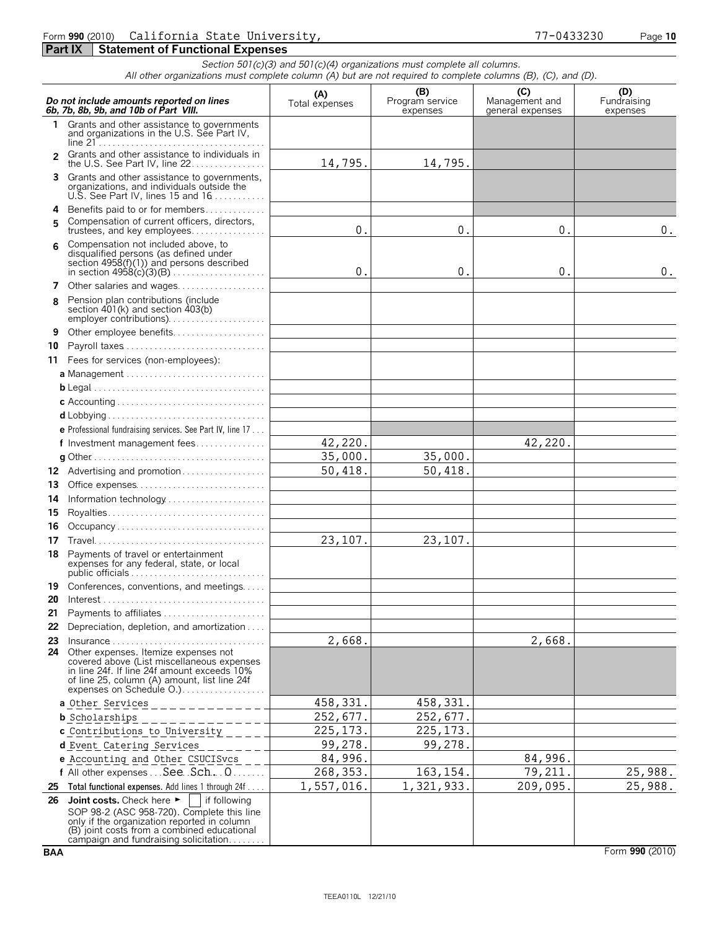### Form **990** (2010) Page **10** California State University, 77-0433230 **Part IX | Statement of Functional Expenses**

*Section 501(c)(3) and 501(c)(4) organizations must complete all columns. All other organizations must complete column (A) but are not required to complete columns (B), (C), and (D).*

|                | Do not include amounts reported on lines<br>6b, 7b, 8b, 9b, and 10b of Part VIII.                                                                                                                                                                  | (A)<br>Total expenses | (B)<br>Program service<br>expenses | (C)<br>Management and<br>general expenses | (D)<br>Fundraising<br>expenses |
|----------------|----------------------------------------------------------------------------------------------------------------------------------------------------------------------------------------------------------------------------------------------------|-----------------------|------------------------------------|-------------------------------------------|--------------------------------|
|                | 1 Grants and other assistance to governments<br>and organizations in the U.S. See Part IV,                                                                                                                                                         |                       |                                    |                                           |                                |
| $\overline{2}$ | Grants and other assistance to individuals in<br>the U.S. See Part IV, line 22.                                                                                                                                                                    | 14,795.               | 14,795.                            |                                           |                                |
|                | Grants and other assistance to governments,<br>organizations, and individuals outside the<br>U.S. See Part IV, lines 15 and $16$                                                                                                                   |                       |                                    |                                           |                                |
| 4              | Benefits paid to or for members                                                                                                                                                                                                                    |                       |                                    |                                           |                                |
| 5              | Compensation of current officers, directors,<br>trustees, and key employees                                                                                                                                                                        | 0.                    | 0.                                 | 0.                                        | 0.                             |
| 6              | Compensation not included above, to<br>disqualified persons (as defined under<br>section $4958(f)(1)$ and persons described<br>in section $4958(c)(3)(B)$                                                                                          | 0.                    | $\mathbf 0$ .                      | 0.                                        | 0.                             |
| 7              | Other salaries and wages                                                                                                                                                                                                                           |                       |                                    |                                           |                                |
| 8              | Pension plan contributions (include<br>section 401(k) and section 403(b)<br>employer contributions)                                                                                                                                                |                       |                                    |                                           |                                |
| 9              | Other employee benefits                                                                                                                                                                                                                            |                       |                                    |                                           |                                |
| 10             | Payroll taxes                                                                                                                                                                                                                                      |                       |                                    |                                           |                                |
|                | 11 Fees for services (non-employees):                                                                                                                                                                                                              |                       |                                    |                                           |                                |
|                |                                                                                                                                                                                                                                                    |                       |                                    |                                           |                                |
|                |                                                                                                                                                                                                                                                    |                       |                                    |                                           |                                |
|                |                                                                                                                                                                                                                                                    |                       |                                    |                                           |                                |
|                |                                                                                                                                                                                                                                                    |                       |                                    |                                           |                                |
|                | e Professional fundraising services. See Part IV, line 17                                                                                                                                                                                          |                       |                                    |                                           |                                |
|                | f Investment management fees                                                                                                                                                                                                                       | 42,220.               |                                    | 42,220.                                   |                                |
|                |                                                                                                                                                                                                                                                    | 35,000.               | 35,000.                            |                                           |                                |
|                |                                                                                                                                                                                                                                                    | 50,418.               | 50,418.                            |                                           |                                |
| 13             | Office expenses                                                                                                                                                                                                                                    |                       |                                    |                                           |                                |
| 14             |                                                                                                                                                                                                                                                    |                       |                                    |                                           |                                |
| 15             |                                                                                                                                                                                                                                                    |                       |                                    |                                           |                                |
| 16             | Occupancy                                                                                                                                                                                                                                          |                       |                                    |                                           |                                |
| 17             |                                                                                                                                                                                                                                                    | 23,107.               | 23,107.                            |                                           |                                |
| 18             | Payments of travel or entertainment<br>expenses for any federal, state, or local<br>public officials $\ldots \ldots \ldots \ldots \ldots \ldots \ldots \ldots \ldots$                                                                              |                       |                                    |                                           |                                |
| 19             | Conferences, conventions, and meetings                                                                                                                                                                                                             |                       |                                    |                                           |                                |
| 20             |                                                                                                                                                                                                                                                    |                       |                                    |                                           |                                |
| 21             | Payments to affiliates                                                                                                                                                                                                                             |                       |                                    |                                           |                                |
| 22             | Depreciation, depletion, and amortization                                                                                                                                                                                                          |                       |                                    |                                           |                                |
| 23             | 24 Other expenses. Itemize expenses not                                                                                                                                                                                                            | 2,668.                |                                    | 2,668.                                    |                                |
|                | covered above (List miscellaneous expenses<br>in line 24f. If line 24f amount exceeds 10%<br>of line 25, column (A) amount, list line 24f<br>expenses on Schedule O.)                                                                              |                       |                                    |                                           |                                |
|                | a Other Services                                                                                                                                                                                                                                   | 458, 331.             | 458, 331.                          |                                           |                                |
|                | <b>b</b> Scholarships                                                                                                                                                                                                                              | 252,677.              | 252,677.                           |                                           |                                |
|                | c Contributions to University                                                                                                                                                                                                                      | 225, 173.             | 225, 173.                          |                                           |                                |
|                | d Event Catering Services                                                                                                                                                                                                                          | 99,278.               | 99,278.                            |                                           |                                |
|                | e Accounting and Other CSUCISvcs                                                                                                                                                                                                                   | 84,996.               |                                    | 84,996.                                   |                                |
|                | f All other expenses  See Sch. 0                                                                                                                                                                                                                   | 268, 353.             | 163, 154.                          | 79,211.                                   | 25,988.                        |
| 25             | Total functional expenses. Add lines 1 through 24f                                                                                                                                                                                                 | 1,557,016.            | 1,321,933.                         | 209,095.                                  | 25,988.                        |
| 26             | Joint costs. Check here $\blacktriangleright$<br>if following<br>SOP 98-2 (ASC 958-720). Complete this line<br>only if the organization reported in column<br>(B) joint costs from a combined educational<br>campaign and fundraising solicitation |                       |                                    |                                           |                                |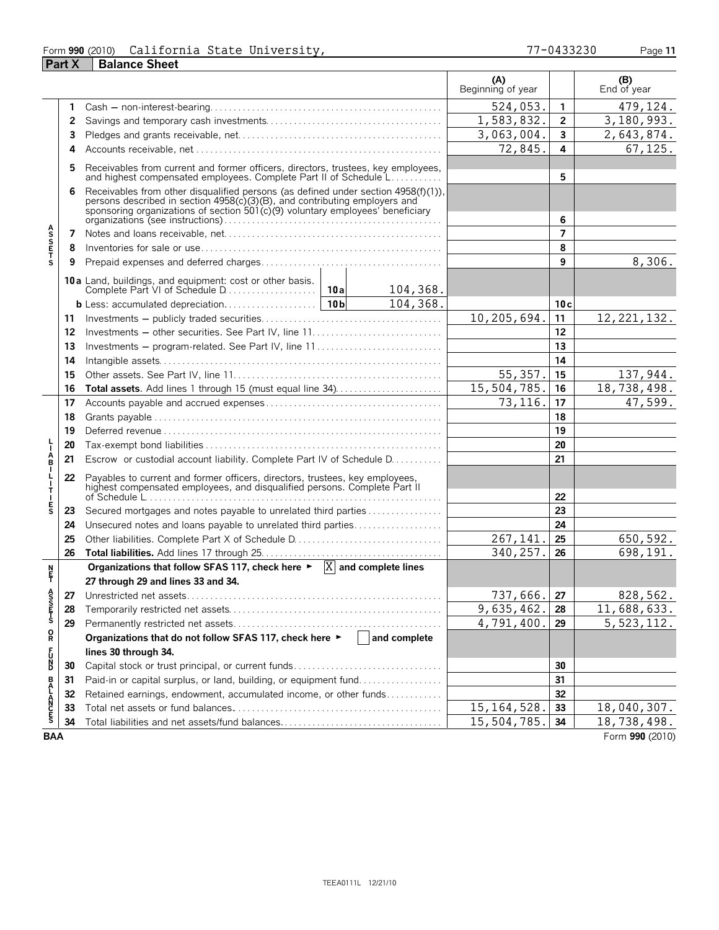#### Form **990** (2010) Page **11** California State University, 77-0433230

|                       | <b>Part X</b> | <b>Balance Sheet</b>                                                                                                                                                                                                                            |     |                         |                            |                |                    |  |
|-----------------------|---------------|-------------------------------------------------------------------------------------------------------------------------------------------------------------------------------------------------------------------------------------------------|-----|-------------------------|----------------------------|----------------|--------------------|--|
|                       |               |                                                                                                                                                                                                                                                 |     |                         | (A)<br>Beginning of year   |                | (B)<br>End of year |  |
|                       | 1             |                                                                                                                                                                                                                                                 |     |                         | 524,053.                   | $\mathbf{1}$   | 479,124.           |  |
|                       | 2             |                                                                                                                                                                                                                                                 |     |                         | 1,583,832.                 | $\overline{2}$ | 3,180,993.         |  |
|                       | 3             |                                                                                                                                                                                                                                                 |     |                         | $\overline{3}$ , 063, 004. | $\mathbf{3}$   | 2,643,874.         |  |
|                       | 4             |                                                                                                                                                                                                                                                 |     |                         | 72,845.                    | 4              | 67,125.            |  |
|                       | 5             | Receivables from current and former officers, directors, trustees, key employees,<br>and highest compensated employees. Complete Part II of Schedule L                                                                                          |     |                         |                            | 5              |                    |  |
|                       | 6             | Receivables from other disqualified persons (as defined under section 4958(f)(1)), persons described in section 4958(c)(3)(B), and contributing employers and<br>sponsoring organizations of section 501(c)(9) voluntary employees' beneficiary |     | 6                       |                            |                |                    |  |
|                       | 7             |                                                                                                                                                                                                                                                 |     |                         |                            | $\overline{7}$ |                    |  |
| <b>ASSETS</b>         | 8             |                                                                                                                                                                                                                                                 |     |                         |                            | 8              |                    |  |
|                       | 9             |                                                                                                                                                                                                                                                 |     |                         |                            | 9              | 8,306.             |  |
|                       |               | <b>10a</b> Land, buildings, and equipment: cost or other basis.<br>Complete Part VI of Schedule D                                                                                                                                               | 10a | 104,368.                |                            |                |                    |  |
|                       |               |                                                                                                                                                                                                                                                 |     | $\overline{104}$ , 368. |                            | 10c            |                    |  |
|                       |               |                                                                                                                                                                                                                                                 |     |                         | 10,205,694.                | 11             | 12, 221, 132.      |  |
|                       | 11<br>12      |                                                                                                                                                                                                                                                 |     |                         |                            | 12             |                    |  |
|                       | 13            | Investments – program-related. See Part IV, line 11                                                                                                                                                                                             |     |                         |                            | 13             |                    |  |
|                       | 14            |                                                                                                                                                                                                                                                 |     |                         |                            | 14             |                    |  |
|                       | 15            |                                                                                                                                                                                                                                                 |     |                         | 55, 357.                   | 15             | 137,944.           |  |
|                       | 16            | Total assets. Add lines 1 through 15 (must equal line 34)                                                                                                                                                                                       |     |                         | 15,504,785.                | 16             | 18,738,498.        |  |
|                       | 17            |                                                                                                                                                                                                                                                 |     |                         | 73, 116.                   | 17             | 47,599.            |  |
|                       | 18            |                                                                                                                                                                                                                                                 |     |                         |                            | 18             |                    |  |
|                       | 19            |                                                                                                                                                                                                                                                 |     |                         |                            | 19             |                    |  |
|                       | 20            |                                                                                                                                                                                                                                                 |     |                         |                            |                |                    |  |
| ÁB.                   | 21            | Escrow or custodial account liability. Complete Part IV of Schedule D.                                                                                                                                                                          |     |                         |                            | 20<br>21       |                    |  |
|                       |               |                                                                                                                                                                                                                                                 |     |                         |                            |                |                    |  |
|                       | 22            | Payables to current and former officers, directors, trustees, key employees,<br>highest compensated employees, and disqualified persons. Complete Part II                                                                                       |     |                         |                            | 22             |                    |  |
| $\frac{E}{S}$         | 23            | Secured mortgages and notes payable to unrelated third parties                                                                                                                                                                                  |     |                         |                            | 23             |                    |  |
|                       | 24            | Unsecured notes and loans payable to unrelated third parties                                                                                                                                                                                    |     |                         |                            | 24             |                    |  |
|                       | 25            |                                                                                                                                                                                                                                                 |     |                         | 267,141.                   | 25             | 650,592.           |  |
|                       | 26            |                                                                                                                                                                                                                                                 |     |                         | 340,257.                   | 26             | 698,191.           |  |
| <u>N</u><br>투         |               | Organizations that follow SFAS 117, check here $\triangleright \quad \boxed{X}$ and complete lines<br>27 through 29 and lines 33 and 34.                                                                                                        |     |                         |                            |                |                    |  |
|                       | 27            |                                                                                                                                                                                                                                                 |     |                         | 737,666.                   | 27             | 828,562.           |  |
| A<br>S<br>T<br>T<br>S | 28            |                                                                                                                                                                                                                                                 |     |                         | 9,635,462.                 | 28             | 11,688,633.        |  |
|                       | 29            |                                                                                                                                                                                                                                                 |     |                         | 4,791,400.                 | 29             | 5, 523, 112.       |  |
| Q                     |               | Organizations that do not follow SFAS 117, check here ▶                                                                                                                                                                                         |     | and complete            |                            |                |                    |  |
|                       |               | lines 30 through 34.                                                                                                                                                                                                                            |     |                         |                            |                |                    |  |
| <b>PACL</b>           | 30            | Capital stock or trust principal, or current funds                                                                                                                                                                                              |     |                         |                            | 30             |                    |  |
|                       | 31            | Paid-in or capital surplus, or land, building, or equipment fund                                                                                                                                                                                |     |                         |                            | 31             |                    |  |
|                       | 32            | Retained earnings, endowment, accumulated income, or other funds                                                                                                                                                                                |     |                         |                            | 32             |                    |  |
| <b>BALANCES</b>       | 33            |                                                                                                                                                                                                                                                 |     |                         | 15, 164, 528.              | 33             | 18,040,307.        |  |
|                       | 34            |                                                                                                                                                                                                                                                 |     |                         | 15,504,785.                | 34             | 18,738,498.        |  |
| <b>BAA</b>            |               |                                                                                                                                                                                                                                                 |     |                         |                            |                | Form 990 (2010)    |  |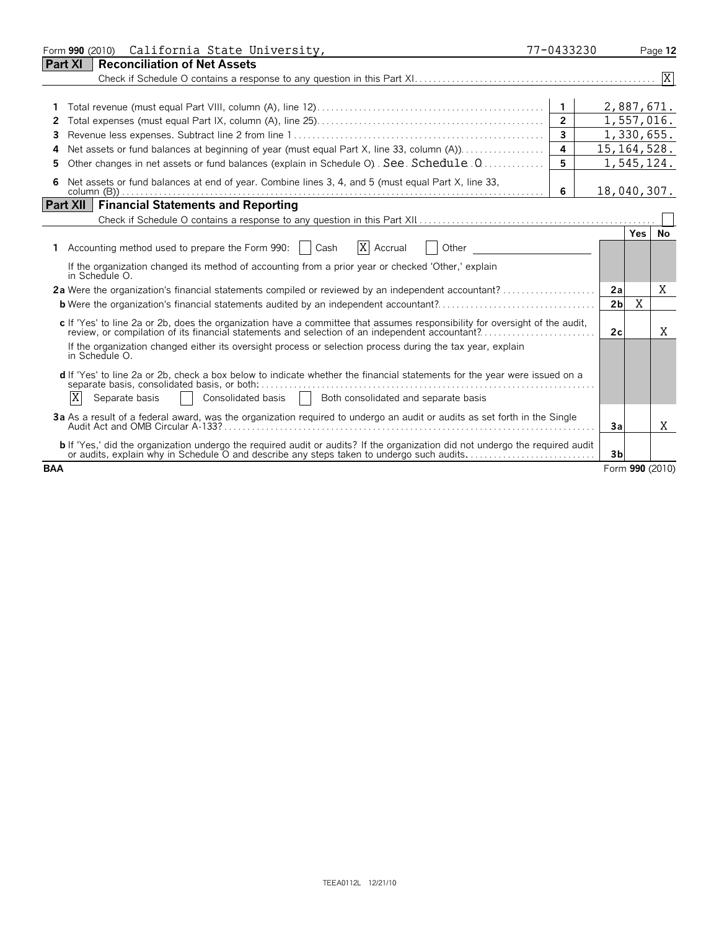|                 | California State University,<br>Form 990 (2010)                                                                                                                                                                                                                                                             | 77-0433230     |                |            | Page 12         |
|-----------------|-------------------------------------------------------------------------------------------------------------------------------------------------------------------------------------------------------------------------------------------------------------------------------------------------------------|----------------|----------------|------------|-----------------|
| Part XI         | <b>Reconciliation of Net Assets</b>                                                                                                                                                                                                                                                                         |                |                |            |                 |
|                 |                                                                                                                                                                                                                                                                                                             |                |                |            |                 |
|                 |                                                                                                                                                                                                                                                                                                             |                |                |            |                 |
|                 |                                                                                                                                                                                                                                                                                                             | $\mathbf{1}$   |                | 2,887,671. |                 |
| 2               |                                                                                                                                                                                                                                                                                                             | $\overline{2}$ |                | 1,557,016. |                 |
|                 |                                                                                                                                                                                                                                                                                                             | $\overline{3}$ |                | 1,330,655. |                 |
| 4               | Net assets or fund balances at beginning of year (must equal Part X, line 33, column (A)).                                                                                                                                                                                                                  | 4              | 15, 164, 528.  |            |                 |
|                 | Other changes in net assets or fund balances (explain in Schedule O). See. Schedule . Q                                                                                                                                                                                                                     | 5              |                | 1,545,124. |                 |
| 6               | Net assets or fund balances at end of year. Combine lines 3, 4, and 5 (must equal Part X, line 33,                                                                                                                                                                                                          | 6              | 18,040,307.    |            |                 |
| <b>Part XII</b> | <b>Financial Statements and Reporting</b>                                                                                                                                                                                                                                                                   |                |                |            |                 |
|                 |                                                                                                                                                                                                                                                                                                             |                |                |            |                 |
|                 | X Accrual<br>1 Accounting method used to prepare the Form 990:   Cash<br><b>Other Contract Contract Contract Contract Contract Contract Contract Contract Contract Contract Contract Contract Contract Contract Contract Contract Contract Contract Contract Contract Contract Contract Contract Contra</b> |                |                | <b>Yes</b> | No              |
|                 | If the organization changed its method of accounting from a prior year or checked 'Other,' explain<br>in Schedule O.                                                                                                                                                                                        |                |                |            |                 |
|                 |                                                                                                                                                                                                                                                                                                             |                | 2a             |            | X               |
|                 | <b>b</b> Were the organization's financial statements audited by an independent accountant?                                                                                                                                                                                                                 |                | 2 <sub>b</sub> | X          |                 |
|                 | c If 'Yes' to line 2a or 2b, does the organization have a committee that assumes responsibility for oversight of the audit,<br>review, or compilation of its financial statements and selection of an independent accountant?                                                                               |                | 2c             |            | X               |
|                 | If the organization changed either its oversight process or selection process during the tax year, explain<br>in Schedule O.                                                                                                                                                                                |                |                |            |                 |
|                 | d If 'Yes' to line 2a or 2b, check a box below to indicate whether the financial statements for the year were issued on a<br>separate basis, consolidated basis, or both:                                                                                                                                   |                |                |            |                 |
|                 | ΙX<br>Consolidated basis   Both consolidated and separate basis<br>Separate basis                                                                                                                                                                                                                           |                |                |            |                 |
|                 | 3a As a result of a federal award, was the organization required to undergo an audit or audits as set forth in the Single                                                                                                                                                                                   |                | 3a             |            | X               |
|                 | <b>b</b> If 'Yes,' did the organization undergo the required audit or audits? If the organization did not undergo the required audit<br>or audits, explain why in Schedule O and describe any steps taken to undergo such audits.                                                                           |                | 3 <sub>b</sub> |            |                 |
| <b>BAA</b>      |                                                                                                                                                                                                                                                                                                             |                |                |            | Form 990 (2010) |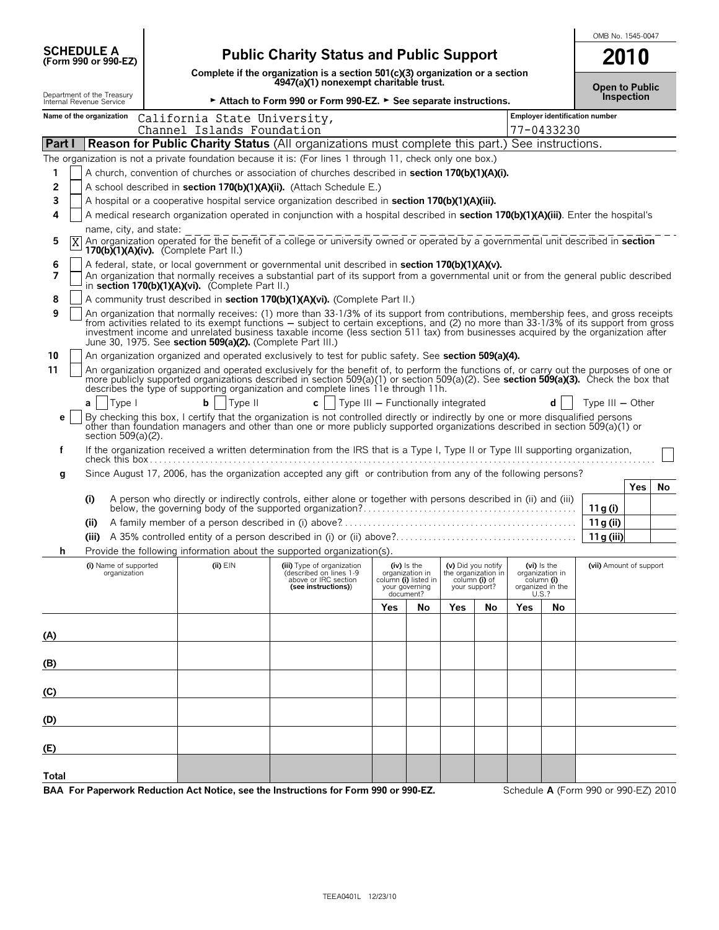|                                                        |                                                                                                                                                                                                                                                                                                                                                                                                                                                                                    |                                                                                                                         |     |                                                     |               |                                           |     |                                         | OMB No. 1545-0047                    |
|--------------------------------------------------------|------------------------------------------------------------------------------------------------------------------------------------------------------------------------------------------------------------------------------------------------------------------------------------------------------------------------------------------------------------------------------------------------------------------------------------------------------------------------------------|-------------------------------------------------------------------------------------------------------------------------|-----|-----------------------------------------------------|---------------|-------------------------------------------|-----|-----------------------------------------|--------------------------------------|
| <b>SCHEDULE A</b><br>(Form 990 or 990-EZ)              |                                                                                                                                                                                                                                                                                                                                                                                                                                                                                    | <b>Public Charity Status and Public Support</b>                                                                         |     |                                                     |               |                                           |     |                                         | 2010                                 |
|                                                        |                                                                                                                                                                                                                                                                                                                                                                                                                                                                                    | Complete if the organization is a section 501(c)(3) organization or a section<br>4947(a)(1) nonexempt charitable trust. |     |                                                     |               |                                           |     |                                         | <b>Open to Public</b>                |
| Department of the Treasury<br>Internal Revenue Service |                                                                                                                                                                                                                                                                                                                                                                                                                                                                                    | Attach to Form 990 or Form 990-EZ. > See separate instructions.                                                         |     |                                                     |               |                                           |     |                                         | Inspection                           |
| Name of the organization                               | California State University,<br>Channel Islands Foundation                                                                                                                                                                                                                                                                                                                                                                                                                         |                                                                                                                         |     |                                                     |               |                                           |     | 77-0433230                              | Employer identification number       |
| Part I                                                 | <b>Reason for Public Charity Status (All organizations must complete this part.) See instructions.</b>                                                                                                                                                                                                                                                                                                                                                                             |                                                                                                                         |     |                                                     |               |                                           |     |                                         |                                      |
|                                                        | The organization is not a private foundation because it is: (For lines 1 through 11, check only one box.)                                                                                                                                                                                                                                                                                                                                                                          |                                                                                                                         |     |                                                     |               |                                           |     |                                         |                                      |
| 1                                                      | A church, convention of churches or association of churches described in <b>section 170(b)(1)(A)(i)</b> .                                                                                                                                                                                                                                                                                                                                                                          |                                                                                                                         |     |                                                     |               |                                           |     |                                         |                                      |
| 2                                                      | A school described in section 170(b)(1)(A)(ii). (Attach Schedule E.)                                                                                                                                                                                                                                                                                                                                                                                                               |                                                                                                                         |     |                                                     |               |                                           |     |                                         |                                      |
| 3                                                      | A hospital or a cooperative hospital service organization described in section 170(b)(1)(A)(iii).                                                                                                                                                                                                                                                                                                                                                                                  |                                                                                                                         |     |                                                     |               |                                           |     |                                         |                                      |
| 4                                                      | A medical research organization operated in conjunction with a hospital described in section 170(b)(1)(A)(iii). Enter the hospital's                                                                                                                                                                                                                                                                                                                                               |                                                                                                                         |     |                                                     |               |                                           |     |                                         |                                      |
| name, city, and state:<br>5<br>$\mathbf{X}$            | An organization operated for the benefit of a college or university owned or operated by a governmental unit described in <b>section</b><br>170(b)(1)(A)(iv). (Complete Part II.)                                                                                                                                                                                                                                                                                                  |                                                                                                                         |     |                                                     |               |                                           |     |                                         |                                      |
| 6                                                      | A federal, state, or local government or governmental unit described in section 170(b)(1)(A)(v).                                                                                                                                                                                                                                                                                                                                                                                   |                                                                                                                         |     |                                                     |               |                                           |     |                                         |                                      |
| 7                                                      | An organization that normally receives a substantial part of its support from a governmental unit or from the general public described<br>in section 170(b)(1)(A)(vi). (Complete Part II.)                                                                                                                                                                                                                                                                                         |                                                                                                                         |     |                                                     |               |                                           |     |                                         |                                      |
| 8                                                      | A community trust described in section 170(b)(1)(A)(vi). (Complete Part II.)                                                                                                                                                                                                                                                                                                                                                                                                       |                                                                                                                         |     |                                                     |               |                                           |     |                                         |                                      |
| 9                                                      | An organization that normally receives: (1) more than 33-1/3% of its support from contributions, membership fees, and gross receipts<br>from activities related to its exempt functions – subject to certain exceptions, and (2) no more than 33-1/3% of its support from gross<br>investment income and unrelated business taxable income (less section 511 tax) from businesses acquired by the organization after<br>June 30, 1975. See section 509(a)(2). (Complete Part III.) |                                                                                                                         |     |                                                     |               |                                           |     |                                         |                                      |
| 10                                                     | An organization organized and operated exclusively to test for public safety. See section 509(a)(4).                                                                                                                                                                                                                                                                                                                                                                               |                                                                                                                         |     |                                                     |               |                                           |     |                                         |                                      |
| 11                                                     | An organization organized and operated exclusively for the benefit of, to perform the functions of, or carry out the purposes of one or<br>more publicly supported organizations described in section 509(a)(1) or section 509(a)(2). See section 509(a)(3). Check the box that describes the type of supporting organization and complete lines 11e through 11h.                                                                                                                  |                                                                                                                         |     |                                                     |               |                                           |     |                                         |                                      |
| Type I<br>a                                            | b<br>Type II                                                                                                                                                                                                                                                                                                                                                                                                                                                                       | $c$     Type III – Functionally integrated                                                                              |     |                                                     |               |                                           |     | d                                       | Type $III - Other$                   |
| е<br>section 509(a)(2).                                | By checking this box, I certify that the organization is not controlled directly or indirectly by one or more disqualified persons<br>other than foundation managers and other than one or more publicly supported organizations described in section 509(a)(1) or                                                                                                                                                                                                                 |                                                                                                                         |     |                                                     |               |                                           |     |                                         |                                      |
| f                                                      | If the organization received a written determination from the IRS that is a Type I, Type II or Type III supporting organization,                                                                                                                                                                                                                                                                                                                                                   |                                                                                                                         |     |                                                     |               |                                           |     |                                         |                                      |
| g                                                      | Since August 17, 2006, has the organization accepted any gift or contribution from any of the following persons?                                                                                                                                                                                                                                                                                                                                                                   |                                                                                                                         |     |                                                     |               |                                           |     |                                         |                                      |
|                                                        |                                                                                                                                                                                                                                                                                                                                                                                                                                                                                    |                                                                                                                         |     |                                                     |               |                                           |     |                                         | <b>Yes</b><br>No                     |
| (i)                                                    | A person who directly or indirectly controls, either alone or together with persons described in (ii) and (iii)                                                                                                                                                                                                                                                                                                                                                                    |                                                                                                                         |     |                                                     |               |                                           |     |                                         | 11 g (i)                             |
| (ii)                                                   |                                                                                                                                                                                                                                                                                                                                                                                                                                                                                    |                                                                                                                         |     |                                                     |               |                                           |     |                                         | 11 g (ii)                            |
| (iii)                                                  |                                                                                                                                                                                                                                                                                                                                                                                                                                                                                    |                                                                                                                         |     |                                                     |               |                                           |     |                                         | 11g (iii)                            |
|                                                        | Provide the following information about the supported organization(s).                                                                                                                                                                                                                                                                                                                                                                                                             |                                                                                                                         |     |                                                     |               |                                           |     |                                         |                                      |
| (i) Name of supported<br>organization                  | (ii) $EIN$                                                                                                                                                                                                                                                                                                                                                                                                                                                                         | (iii) Type of organization<br>(described on lines 1-9                                                                   |     | $(iv)$ is the<br>organization in                    |               | (v) Did you notify<br>the organization in |     | (vi) is the<br>organization in          | (vii) Amount of support              |
|                                                        |                                                                                                                                                                                                                                                                                                                                                                                                                                                                                    | above or IRC section<br>(see instructions))                                                                             |     | column (i) listed in<br>your governing<br>document? | your support? | column (i) of                             |     | column (i)<br>organized in the<br>U.S.? |                                      |
|                                                        |                                                                                                                                                                                                                                                                                                                                                                                                                                                                                    |                                                                                                                         | Yes | No                                                  | Yes           | No                                        | Yes | No                                      |                                      |
|                                                        |                                                                                                                                                                                                                                                                                                                                                                                                                                                                                    |                                                                                                                         |     |                                                     |               |                                           |     |                                         |                                      |
| (A)                                                    |                                                                                                                                                                                                                                                                                                                                                                                                                                                                                    |                                                                                                                         |     |                                                     |               |                                           |     |                                         |                                      |
|                                                        |                                                                                                                                                                                                                                                                                                                                                                                                                                                                                    |                                                                                                                         |     |                                                     |               |                                           |     |                                         |                                      |
| (B)                                                    |                                                                                                                                                                                                                                                                                                                                                                                                                                                                                    |                                                                                                                         |     |                                                     |               |                                           |     |                                         |                                      |
|                                                        |                                                                                                                                                                                                                                                                                                                                                                                                                                                                                    |                                                                                                                         |     |                                                     |               |                                           |     |                                         |                                      |
| (C)                                                    |                                                                                                                                                                                                                                                                                                                                                                                                                                                                                    |                                                                                                                         |     |                                                     |               |                                           |     |                                         |                                      |
| (D)                                                    |                                                                                                                                                                                                                                                                                                                                                                                                                                                                                    |                                                                                                                         |     |                                                     |               |                                           |     |                                         |                                      |
| (E)                                                    |                                                                                                                                                                                                                                                                                                                                                                                                                                                                                    |                                                                                                                         |     |                                                     |               |                                           |     |                                         |                                      |
| Total                                                  |                                                                                                                                                                                                                                                                                                                                                                                                                                                                                    |                                                                                                                         |     |                                                     |               |                                           |     |                                         |                                      |
|                                                        | BAA For Paperwork Reduction Act Notice, see the Instructions for Form 990 or 990-EZ.                                                                                                                                                                                                                                                                                                                                                                                               |                                                                                                                         |     |                                                     |               |                                           |     |                                         | Schedule A (Form 990 or 990-EZ) 2010 |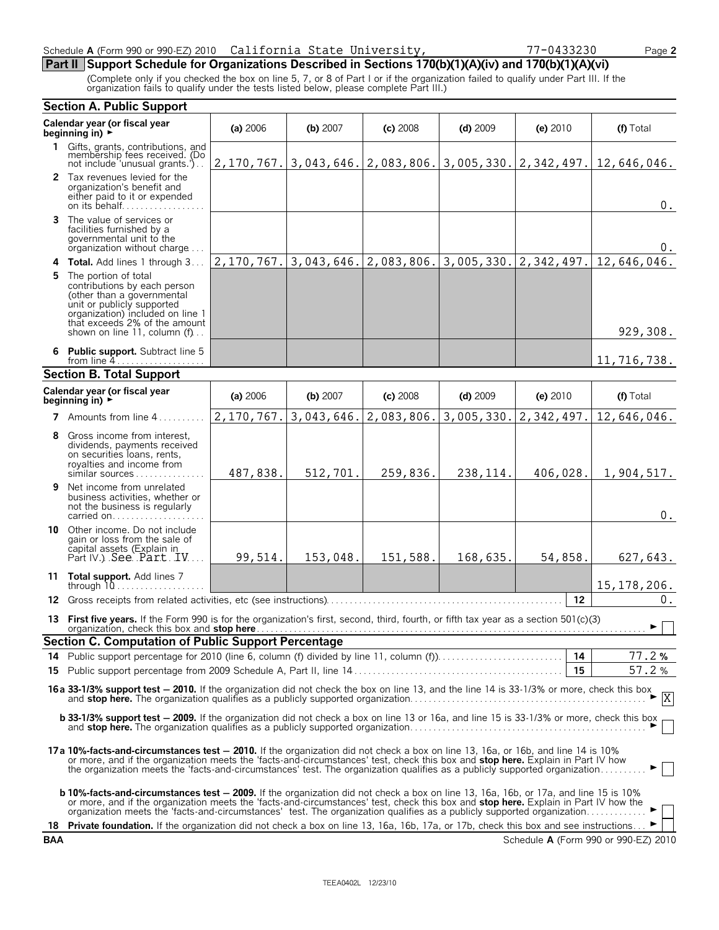### Schedule **A** (Form 990 or 990-EZ) 2010 Page **2** California State University, 77-0433230

# **Part II Support Schedule for Organizations Described in Sections 170(b)(1)(A)(iv) and 170(b)(1)(A)(vi)**

(Complete only if you checked the box on line 5, 7, or 8 of Part I or if the organization failed to qualify under Part III. If the organization fails to qualify under the tests listed below, please complete Part III.)

|           | <b>Section A. Public Support</b>                                                                                                                                                                                                                                                                                                                                                                            |            |            |            |            |                           |                                      |
|-----------|-------------------------------------------------------------------------------------------------------------------------------------------------------------------------------------------------------------------------------------------------------------------------------------------------------------------------------------------------------------------------------------------------------------|------------|------------|------------|------------|---------------------------|--------------------------------------|
|           | Calendar year (or fiscal year<br>beginning in) $\rightarrow$                                                                                                                                                                                                                                                                                                                                                | (a) 2006   | (b) 2007   | $(c)$ 2008 | $(d)$ 2009 | (e) 2010                  | (f) Total                            |
|           | 1 Gifts, grants, contributions, and<br>membership fees received. (Do<br>not include 'unusual grants.')                                                                                                                                                                                                                                                                                                      | 2,170,767. | 3,043,646. | 2,083,806. |            | $3,005,330.$ $2,342,497.$ | 12,646,046.                          |
|           | 2 Tax revenues levied for the<br>organization's benefit and<br>either paid to it or expended<br>on its behalf                                                                                                                                                                                                                                                                                               |            |            |            |            |                           | $0$ .                                |
|           | <b>3</b> The value of services or<br>facilities furnished by a<br>governmental unit to the<br>organization without charge                                                                                                                                                                                                                                                                                   |            |            |            |            |                           | 0.                                   |
|           | 4 Total. Add lines 1 through 3                                                                                                                                                                                                                                                                                                                                                                              | 2,170,767. | 3,043,646. | 2,083,806. | 3,005,330. | 2,342,497.                | 12,646,046.                          |
|           | 5 The portion of total<br>contributions by each person<br>(other than a governmental<br>unit or publicly supported<br>organization) included on line 1<br>that exceeds 2% of the amount<br>shown on line 11, column $(f)$                                                                                                                                                                                   |            |            |            |            |                           | 929,308.                             |
|           | 6 Public support. Subtract line 5<br>from line $4$                                                                                                                                                                                                                                                                                                                                                          |            |            |            |            |                           | 11,716,738.                          |
|           | <b>Section B. Total Support</b>                                                                                                                                                                                                                                                                                                                                                                             |            |            |            |            |                           |                                      |
|           | Calendar year (or fiscal year<br>beainning in) $\rightarrow$                                                                                                                                                                                                                                                                                                                                                | (a) 2006   | (b) 2007   | $(c)$ 2008 | $(d)$ 2009 | (e) 2010                  | (f) Total                            |
|           | 7 Amounts from line 4                                                                                                                                                                                                                                                                                                                                                                                       | 2,170,767  | 3,043,646. | 2,083,806. | 3,005,330. | 2,342,497                 | 12,646,046.                          |
| 8         | Gross income from interest.<br>dividends, payments received<br>on securities loans, rents,<br>royalties and income from<br>similar sources                                                                                                                                                                                                                                                                  | 487,838.   | 512,701.   | 259,836.   | 238, 114.  | 406,028.                  | 1,904,517.                           |
| 9         | Net income from unrelated<br>business activities, whether or<br>not the business is regularly<br>carried on                                                                                                                                                                                                                                                                                                 |            |            |            |            |                           | 0.                                   |
|           | <b>10</b> Other income. Do not include<br>gain or loss from the sale of<br>capital assets (Explain in<br>Part IV.) See Part IV                                                                                                                                                                                                                                                                              | 99,514.    | 153,048.   | 151,588.   | 168,635.   | 54,858.                   | 627,643.                             |
|           | 11 Total support. Add lines 7<br>through 10                                                                                                                                                                                                                                                                                                                                                                 |            |            |            |            |                           | 15, 178, 206.                        |
| 12.       |                                                                                                                                                                                                                                                                                                                                                                                                             |            |            |            |            | 12                        | 0.                                   |
|           | 13 First five years. If the Form 990 is for the organization's first, second, third, fourth, or fifth tax year as a section 501(c)(3)                                                                                                                                                                                                                                                                       |            |            |            |            |                           | $\blacktriangleright \Box$           |
|           | Section C. Computation of Public Support Percentage                                                                                                                                                                                                                                                                                                                                                         |            |            |            |            |                           |                                      |
|           | 14 Public support percentage for 2010 (line 6, column (f) divided by line 11, column (f)                                                                                                                                                                                                                                                                                                                    |            |            |            |            | 14<br>15                  | 77.2%<br>57.2%                       |
|           |                                                                                                                                                                                                                                                                                                                                                                                                             |            |            |            |            |                           |                                      |
|           | 16a 33-1/3% support test - 2010. If the organization did not check the box on line 13, and the line 14 is 33-1/3% or more, check this box                                                                                                                                                                                                                                                                   |            |            |            |            |                           |                                      |
|           | <b>b 33-1/3% support test - 2009.</b> If the organization did not check a box on line 13 or 16a, and line 15 is 33-1/3% or more, check this box                                                                                                                                                                                                                                                             |            |            |            |            |                           |                                      |
|           | 17a 10%-facts-and-circumstances test – 2010. If the organization did not check a box on line 13, 16a, or 16b, and line 14 is 10%<br>or more, and if the organization meets the 'facts-and-circumstances' test, check this box and <b>stop here.</b> Explain in Part IV how<br>the organization meets the 'facts-and-circumstances' test. The organization qualifies as a publicly supported organization    |            |            |            |            |                           |                                      |
|           | b 10%-facts-and-circumstances test - 2009. If the organization did not check a box on line 13, 16a, 16b, or 17a, and line 15 is 10%<br>or more, and if the organization meets the 'facts-and-circumstances' test, check this box and <b>stop here.</b> Explain in Part IV how the<br>organization meets the 'facts-and-circumstances' test. The organization qualifies as a publicly supported organization |            |            |            |            |                           |                                      |
| 18<br>BAA | <b>Private foundation.</b> If the organization did not check a box on line 13, 16a, 16b, 17a, or 17b, check this box and see instructions                                                                                                                                                                                                                                                                   |            |            |            |            |                           | Schedule A (Form 990 or 990-EZ) 2010 |
|           |                                                                                                                                                                                                                                                                                                                                                                                                             |            |            |            |            |                           |                                      |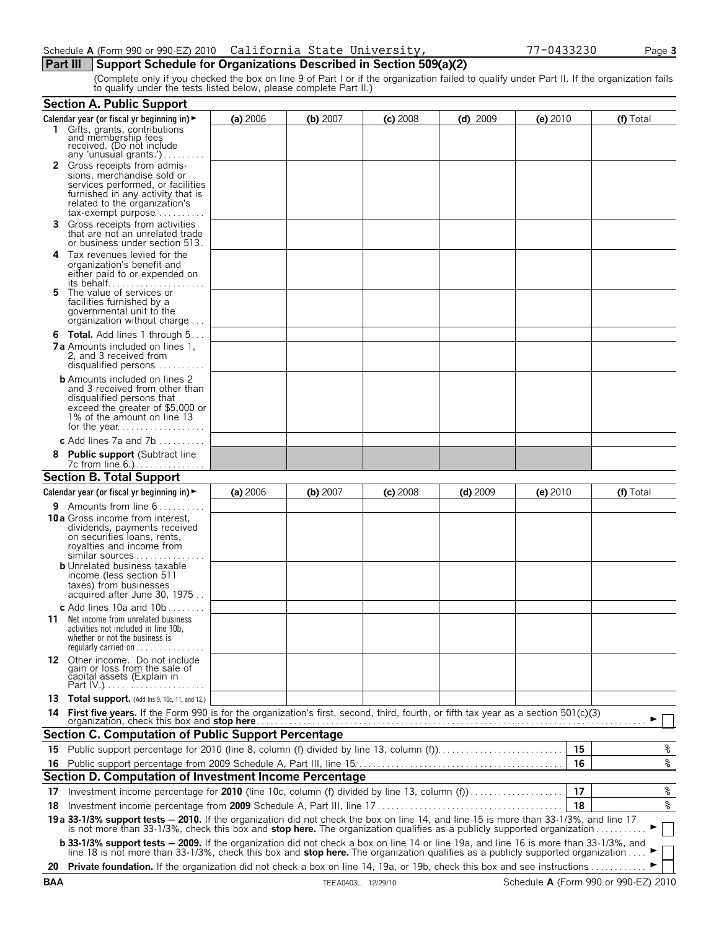# **Part III** Support Schedule for Organizations Described in Section 509(a)(2)

(Complete only if you checked the box on line 9 of Part I or if the organization failed to qualify under Part II. If the organization fails to qualify under the tests listed below, please complete Part II.)

|    | <b>Section A. Public Support</b>                                                                                                                                                                                                                                          |          |          |            |            |            |    |           |
|----|---------------------------------------------------------------------------------------------------------------------------------------------------------------------------------------------------------------------------------------------------------------------------|----------|----------|------------|------------|------------|----|-----------|
|    | Calendar year (or fiscal yr beginning in) $\blacktriangleright$                                                                                                                                                                                                           | (a) 2006 | (b) 2007 | $(c)$ 2008 | $(d)$ 2009 | $(e)$ 2010 |    | (f) Total |
|    | 1 Gifts, grants, contributions<br>and membership fees<br>received. (Do not include<br>any 'unusual grants.')                                                                                                                                                              |          |          |            |            |            |    |           |
|    | <b>2</b> Gross receipts from admis-<br>sions, merchandise sold or<br>services performed, or facilities<br>furnished in any activity that is<br>related to the organization's<br>tax-exempt purpose                                                                        |          |          |            |            |            |    |           |
| 3. | Gross receipts from activities<br>that are not an unrelated trade<br>or business under section 513.                                                                                                                                                                       |          |          |            |            |            |    |           |
| 4  | Tax revenues levied for the<br>organization's benefit and<br>either paid to or expended on                                                                                                                                                                                |          |          |            |            |            |    |           |
| 5. | The value of services or<br>facilities furnished by a<br>governmental unit to the<br>organization without charge                                                                                                                                                          |          |          |            |            |            |    |           |
|    | <b>6 Total.</b> Add lines 1 through 5<br><b>7a</b> Amounts included on lines 1,<br>2, and 3 received from<br>disqualified persons                                                                                                                                         |          |          |            |            |            |    |           |
|    | <b>b</b> Amounts included on lines 2<br>and 3 received from other than<br>disqualified persons that<br>exceed the greater of \$5,000 or<br>1% of the amount on line 13                                                                                                    |          |          |            |            |            |    |           |
|    | c Add lines $7a$ and $7b$                                                                                                                                                                                                                                                 |          |          |            |            |            |    |           |
|    | 8 Public support (Subtract line                                                                                                                                                                                                                                           |          |          |            |            |            |    |           |
|    | <b>Section B. Total Support</b>                                                                                                                                                                                                                                           |          |          |            |            |            |    |           |
|    | Calendar year (or fiscal yr beginning in) $\blacktriangleright$                                                                                                                                                                                                           | (a) 2006 | (b) 2007 | $(c)$ 2008 | $(d)$ 2009 | $(e)$ 2010 |    | (f) Total |
|    | <b>9</b> Amounts from line $6 \ldots \ldots$<br><b>10a</b> Gross income from interest,<br>dividends, payments received<br>on securities loans, rents,<br>royalties and income from<br>similar sources<br><b>b</b> Unrelated business taxable<br>income (less section 511) |          |          |            |            |            |    |           |
|    | taxes) from businesses<br>acquired after June 30, 1975<br>c Add lines 10a and $10b$                                                                                                                                                                                       |          |          |            |            |            |    |           |
|    | <b>11</b> Net income from unrelated business<br>activities not included in line 10b,<br>whether or not the business is<br>regularly carried on                                                                                                                            |          |          |            |            |            |    |           |
|    | 12 Other income. Do not include<br>gain or loss from the sale of<br>capital assets (Explain in                                                                                                                                                                            |          |          |            |            |            |    |           |
|    | 13 Total support. (Add Ins 9, 10c, 11, and 12.)                                                                                                                                                                                                                           |          |          |            |            |            |    |           |
|    |                                                                                                                                                                                                                                                                           |          |          |            |            |            |    |           |
|    | <b>Section C. Computation of Public Support Percentage</b>                                                                                                                                                                                                                |          |          |            |            |            |    |           |
|    | 15 Public support percentage for 2010 (line 8, column (f) divided by line 13, column (f)                                                                                                                                                                                  |          |          |            |            |            | 15 | %         |
|    |                                                                                                                                                                                                                                                                           |          |          |            |            |            | 16 | %         |
|    | Section D. Computation of Investment Income Percentage                                                                                                                                                                                                                    |          |          |            |            |            |    |           |
| 17 | Investment income percentage for 2010 (line 10c, column (f) divided by line 13, column (f)                                                                                                                                                                                |          |          |            |            |            | 17 | $\,$ $\,$ |
| 18 |                                                                                                                                                                                                                                                                           |          |          |            |            |            | 18 | %         |
|    | 19a 33-1/3% support tests - 2010. If the organization did not check the box on line 14, and line 15 is more than 33-1/3%, and line 17<br>is not more than 33-1/3%, check this box and stop here. The organization qualifies as a publicly supported organization          |          |          |            |            |            |    |           |
|    | <b>b 33-1/3% support tests - 2009.</b> If the organization did not check a box on line 14 or line 19a, and line 16 is more than 33-1/3%, and line 18 is not more than 33-1/3%, check this box and <b>stop here.</b> The organization qua                                  |          |          |            |            |            |    |           |
|    | 20 Private foundation. If the organization did not check a box on line 14, 19a, or 19b, check this box and see instructions                                                                                                                                               |          |          |            |            |            |    |           |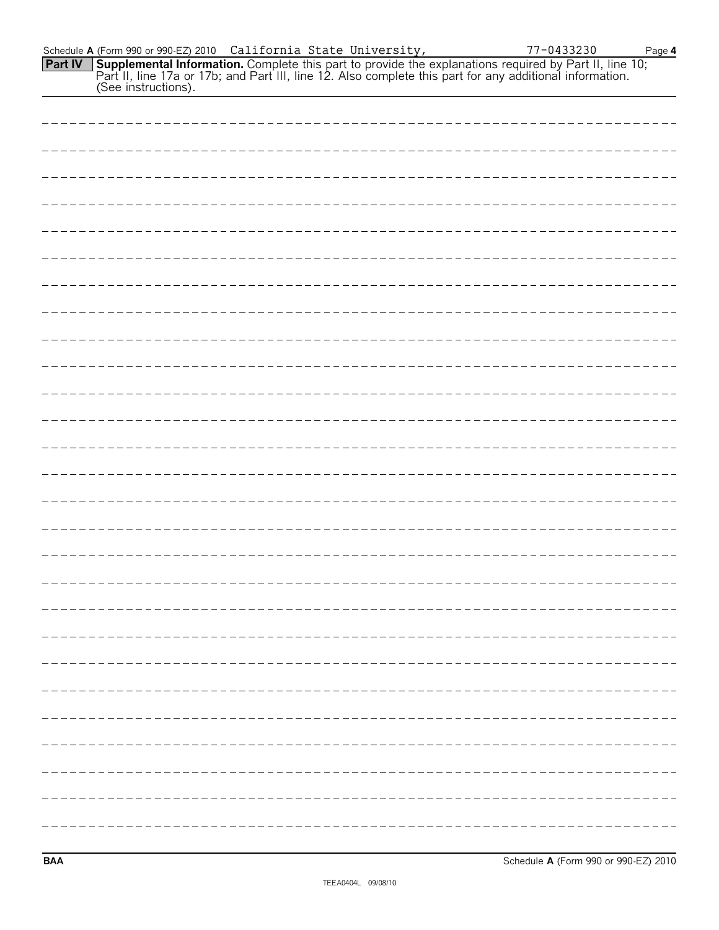| Schedule <b>A</b> (Form 990 or 990-EZ) 2010   California State University, |  | 77-0433230                                                                                                            | Page 4 |
|----------------------------------------------------------------------------|--|-----------------------------------------------------------------------------------------------------------------------|--------|
|                                                                            |  | <b>Part IV</b> Supplemental Information. Complete this part to provide the explanations required by Part II, line 10; |        |
|                                                                            |  | Part II, line 17a or 17b; and Part III, line 12. Also complete this part for any additional information.              |        |
| (See instructions).                                                        |  |                                                                                                                       |        |

| ----------------------    |  |
|---------------------------|--|
|                           |  |
|                           |  |
|                           |  |
|                           |  |
|                           |  |
|                           |  |
|                           |  |
|                           |  |
|                           |  |
|                           |  |
|                           |  |
|                           |  |
|                           |  |
|                           |  |
| ------------------------- |  |
|                           |  |
|                           |  |
|                           |  |
|                           |  |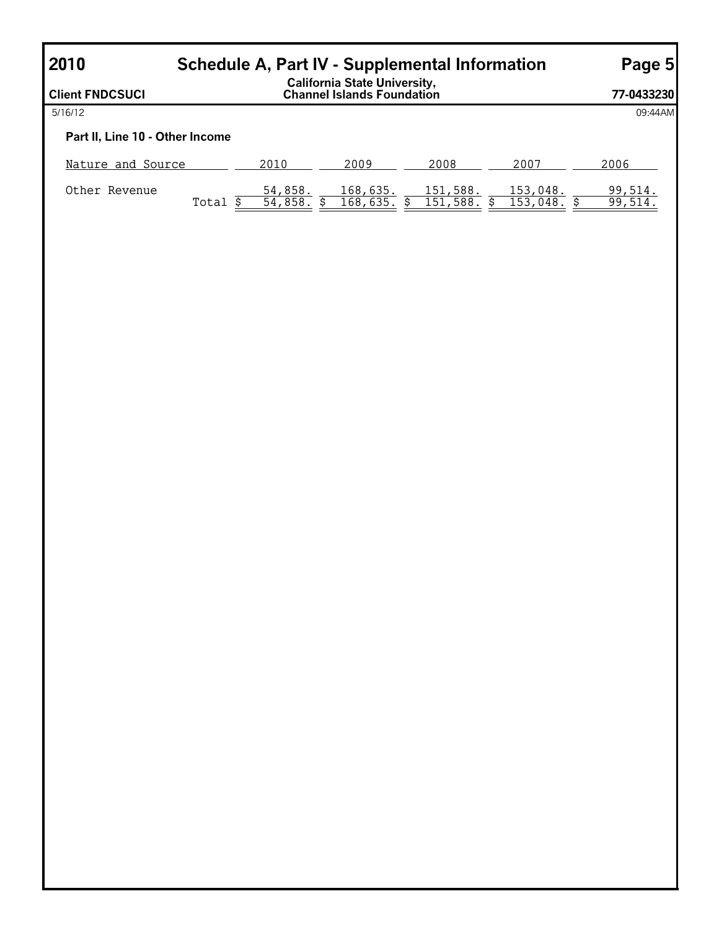| 2010<br><b>Schedule A, Part IV - Supplemental Information</b> | Page 5 |                    |                                                                    |                      |                      |                   |
|---------------------------------------------------------------|--------|--------------------|--------------------------------------------------------------------|----------------------|----------------------|-------------------|
| <b>Client FNDCSUCI</b>                                        |        |                    | <b>California State University,<br/>Channel Islands Foundation</b> |                      |                      | 77-0433230        |
| 5/16/12                                                       |        |                    |                                                                    |                      |                      | 09:44AM           |
| Part II, Line 10 - Other Income                               |        |                    |                                                                    |                      |                      |                   |
| Nature and Source                                             |        | 2010               | 2009                                                               | 2008                 | 2007                 | 2006              |
| Other Revenue                                                 | Total  | 54,858.<br>54,858. | 168,635.<br>168,635.                                               | 151,588.<br>151,588. | 153,048.<br>153,048. | 99,514.<br>99,514 |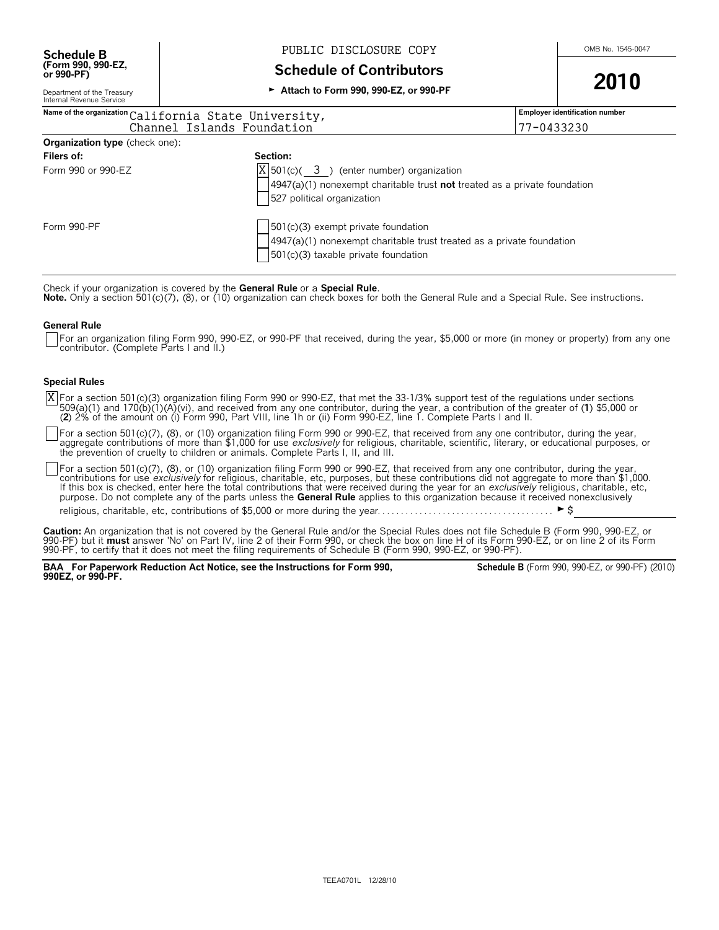**(Form 990, 990-EZ,**

# **Schedule B** Mexicosure RUBLIC DISCLOSURE COPY Mexican COMB No. 1545-0047

**Schedule of Contributors** 

<sup>G</sup> **Attach to Form 990, 990-EZ, or 990-PF 2010**

Department of the Treasury Internal Revenue Service

# **Name of the organization Employer identification number** California State University, Form 990 or 990-EZ  $|X|$ 501(c)( $\frac{3}{ }$ ) (enter number) organization 4947(a)(1) nonexempt charitable trust **not** treated as a private foundation 527 political organization Form 990-PF  $\vert$   $\vert$  501(c)(3) exempt private foundation 4947(a)(1) nonexempt charitable trust treated as a private foundation 501(c)(3) taxable private foundation **Organization type** (check one): **Filers of: Section:** Channel Islands Foundation 77-0433230

Check if your organization is covered by the **General Rule** or a **Special Rule**.<br>**Note.** Only a section 501(c)(7), (8), or (10) organization can check boxes for both the General Rule and a Special Rule. See instructions.

#### **General Rule**

For an organization filing Form 990, 990-EZ, or 990-PF that received, during the year, \$5,000 or more (in money or property) from any one contributor. (Complete Parts I and II.)

#### **Special Rules**

For a section 501(c)(3) organization filing Form 990 or 990-EZ, that met the 33-1/3% support test of the regulations under sections 509(a)(1) and 170(b)(1)(A)(vi), and received from any one contributor, during the year, a contribution of the greater of (1) \$5,000 or<br>(2) 2% of the amount on (i) Form 990, Part VIII, line 1h or (ii) Form 990-EZ, line 1. C X

For a section 501(c)(7), (8), or (10) organization filing Form 990 or 990-EZ, that received from any one contributor, during the year, aggregate contributions of more than \$1,000 for use *exclusively* for religious, charitable, scientific, literary, or educational purposes, or<br>the prevention of cruelty to children or animals. Complete Parts I, II, and III

For a section 501(c)(7), (8), or (10) organization filing Form 990 or 990-EZ, that received from any one contributor, during the year, contributions for use *exclusively* for religious, charitable, etc, purposes, but these contributions did not aggregate to more than \$1,000.<br>If this box is checked, enter here the total contributions that were received dur purpose. Do not complete any of the parts unless the **General Rule** applies to this organization because it received nonexclusively

religious, charitable, etc, contributions of \$5,000 or more during the year. . . . . . . . . . . . . . . . . . . . . . . . . . . . . . . . . . . . . . G\$

**Caution:** An organization that is not covered by the General Rule and/or the Special Rules does not file Schedule B (Form 990, 990-EZ, or<br>990-PF) but it **must** answer 'No' on Part IV, line 2 of their Form 990, or check th 990-PF, to certify that it does not meet the filing requirements of Schedule B (Form 990, 990-EZ, or 990-PF).

**BAA For Paperwork Reduction Act Notice, see the Instructions for Form 990, 990EZ, or 990-PF.**

**Schedule B** (Form 990, 990-EZ, or 990-PF) (2010)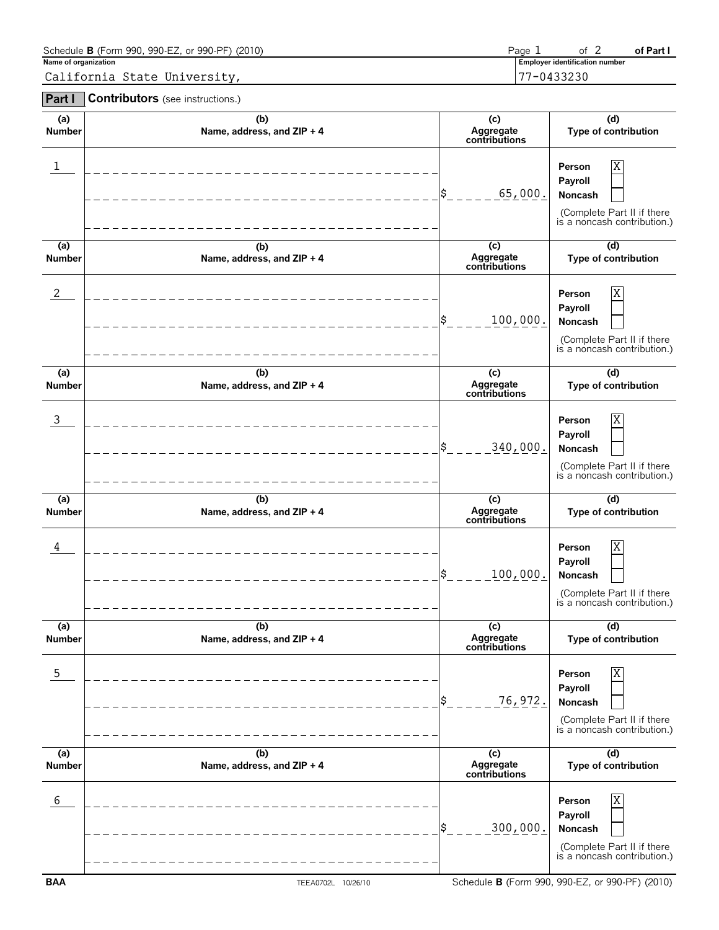| Schedule <b>B</b> (Form 990, 990-EZ, or 990-PF) (2010) | Page |                                       | of Part |
|--------------------------------------------------------|------|---------------------------------------|---------|
| Name of organization                                   |      | <b>Employer identification number</b> |         |
| California State University,                           |      | 7-0433230                             |         |

**Part I Contributors** (see instructions.)

| (a)<br><b>Number</b> | (b)<br>Name, address, and ZIP + 4 | (c)<br>Aggregate<br>contributions | (d)<br>Type of contribution                                                                    |
|----------------------|-----------------------------------|-----------------------------------|------------------------------------------------------------------------------------------------|
| ı                    |                                   | 65,000.                           | Χ<br>Person<br>Payroll<br>Noncash<br>(Complete Part II if there<br>is a noncash contribution.) |
| (a)<br><b>Number</b> | (b)<br>Name, address, and ZIP + 4 | (c)<br>Aggregate<br>contributions | (d)<br>Type of contribution                                                                    |
| 2                    |                                   | 100,000.<br>\$                    | Χ<br>Person<br>Payroll<br>Noncash<br>(Complete Part II if there<br>is a noncash contribution.) |
| (a)<br><b>Number</b> | (b)<br>Name, address, and ZIP + 4 | (c)<br>Aggregate<br>contributions | (d)<br>Type of contribution                                                                    |
| $\mathbf{3}$         |                                   | 340,000.                          | Χ<br>Person<br>Payroll<br>Noncash<br>(Complete Part II if there<br>is a noncash contribution.) |
| (a)                  | (b)                               | (c)<br>Aggregate                  | (d)                                                                                            |
| <b>Number</b>        | Name, address, and ZIP + 4        | contributions                     | Type of contribution                                                                           |
| 4                    |                                   | 100,000.                          | Χ<br>Person<br>Payroll<br>Noncash<br>(Complete Part II if there<br>is a noncash contribution.) |
| (a)<br>Number        | (b)<br>Name, address, and ZIP + 4 | (c)<br>Aggregate<br>contributions | (d)<br>Type of contribution                                                                    |
| $\mathsf S$          |                                   | 76,972.<br>\$                     | Χ<br>Person<br>Payroll<br>Noncash<br>(Complete Part II if there<br>is a noncash contribution.) |
| (a)<br><b>Number</b> | (b)<br>Name, address, and ZIP + 4 | (c)<br>Aggregate<br>contributions | (d)<br>Type of contribution                                                                    |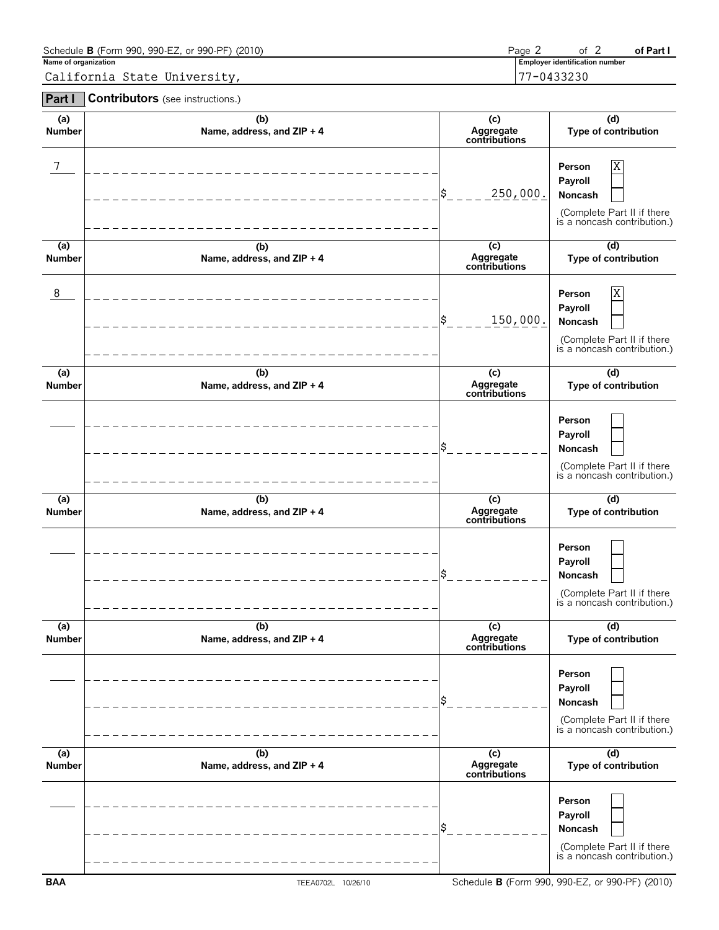| Schedule <b>B</b> (Form 990, 990-EZ, or 990-PF) (2010) | Page, | 0t.                                   | of Part |
|--------------------------------------------------------|-------|---------------------------------------|---------|
| Name of organization                                   |       | <b>Employer identification number</b> |         |
| California State University,                           |       | 77-0433230                            |         |

**Part I Contributors** (see instructions.)

| (a)<br><b>Number</b>            | (b)<br>Name, address, and ZIP + 4 | (c)<br>Aggregate<br>contributions | (d)<br>Type of contribution                                                                    |
|---------------------------------|-----------------------------------|-----------------------------------|------------------------------------------------------------------------------------------------|
| 7                               |                                   | 250,000.<br>\$                    | Χ<br>Person<br>Payroll<br>Noncash<br>(Complete Part II if there<br>is a noncash contribution.) |
| (a)<br><b>Number</b>            | (b)<br>Name, address, and ZIP + 4 | (c)<br>Aggregate<br>contributions | (d)<br>Type of contribution                                                                    |
| 8                               |                                   | \$<br>150,000.                    | Χ<br>Person<br>Payroll<br>Noncash<br>(Complete Part II if there<br>is a noncash contribution.) |
| (a)<br><b>Number</b>            | (b)<br>Name, address, and ZIP + 4 | (c)<br>Aggregate<br>contributions | (d)<br>Type of contribution                                                                    |
|                                 |                                   | \$                                | Person<br>Payroll<br>Noncash<br>(Complete Part II if there<br>is a noncash contribution.)      |
| $\overline{a}$<br><b>Number</b> | (b)<br>Name, address, and ZIP + 4 | (c)<br>Aggregate<br>contributions | (d)<br>Type of contribution                                                                    |
|                                 |                                   | \$                                | Person<br>Payroll<br>Noncash<br>(Complete Part II if there<br>is a noncash contribution.)      |
| (a)<br><b>Number</b>            | (b)<br>Name, address, and ZIP + 4 | (c)<br>Aggregate<br>contributions | (d)<br>Type of contribution                                                                    |
|                                 |                                   | \$                                | Person<br>Payroll<br>Noncash<br>(Complete Part II if there<br>is a noncash contribution.)      |
| $\overline{a}$<br><b>Number</b> | (b)<br>Name, address, and ZIP + 4 | (c)<br>Aggregate<br>contributions | $\overline{d}$<br>Type of contribution                                                         |
|                                 |                                   | \$                                | Person<br>Payroll<br>Noncash<br>(Complete Part II if there<br>is a noncash contribution.)      |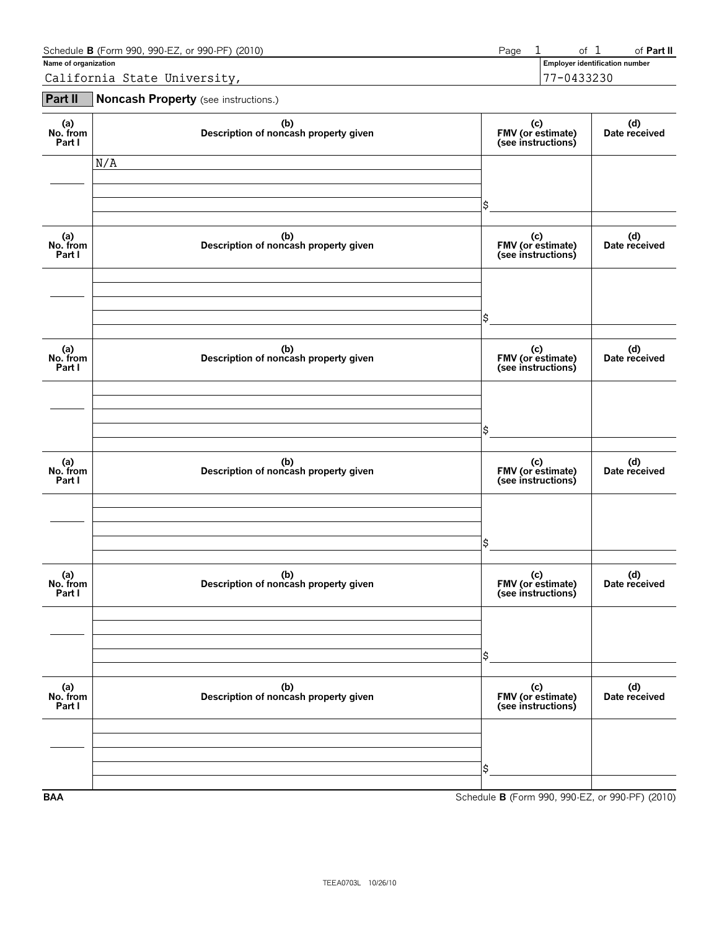| Schedule <b>B</b> (Form 990, 990-EZ, or 990-PF) (2010) | Page |                                | of <b>Part II</b> |
|--------------------------------------------------------|------|--------------------------------|-------------------|
| Name of organization                                   |      | Employer identification number |                   |
| California State University,                           |      | 7-0433230                      |                   |

**Part II Noncash Property** (see instructions.)

| (a)<br>No. from<br>Part I | (b)<br>Description of noncash property given | (c)<br>FMV (or estimate)<br>(see instructions) | (d)<br>Date received |
|---------------------------|----------------------------------------------|------------------------------------------------|----------------------|
|                           | N/A                                          |                                                |                      |
|                           |                                              | \$                                             |                      |
| (a)<br>No. from<br>Part I | (b)<br>Description of noncash property given | (c)<br>FMV (or estimate)<br>(see instructions) | (d)<br>Date received |
|                           |                                              |                                                |                      |
|                           |                                              | \$                                             |                      |
| (a)<br>No. from<br>Part I | (b)<br>Description of noncash property given | (c)<br>FMV (or estimate)<br>(see instructions) | (d)<br>Date received |
|                           |                                              |                                                |                      |
|                           |                                              | \$                                             |                      |
| (a)<br>No. from<br>Part I | (b)<br>Description of noncash property given | (c)<br>FMV (or estimate)<br>(see instructions) | (d)<br>Date received |
|                           |                                              |                                                |                      |
|                           |                                              | \$                                             |                      |
| (a)<br>No. from<br>Part I | (b)<br>Description of noncash property given | (c)<br>FMV (or estimate)<br>(see instructions) | (d)<br>Date received |
|                           |                                              |                                                |                      |
|                           |                                              | \$                                             |                      |
| (a)<br>No. from<br>Part I | (b)<br>Description of noncash property given | (c)<br>FMV (or estimate)<br>(see instructions) | (d)<br>Date received |
|                           |                                              |                                                |                      |
|                           |                                              | \$                                             |                      |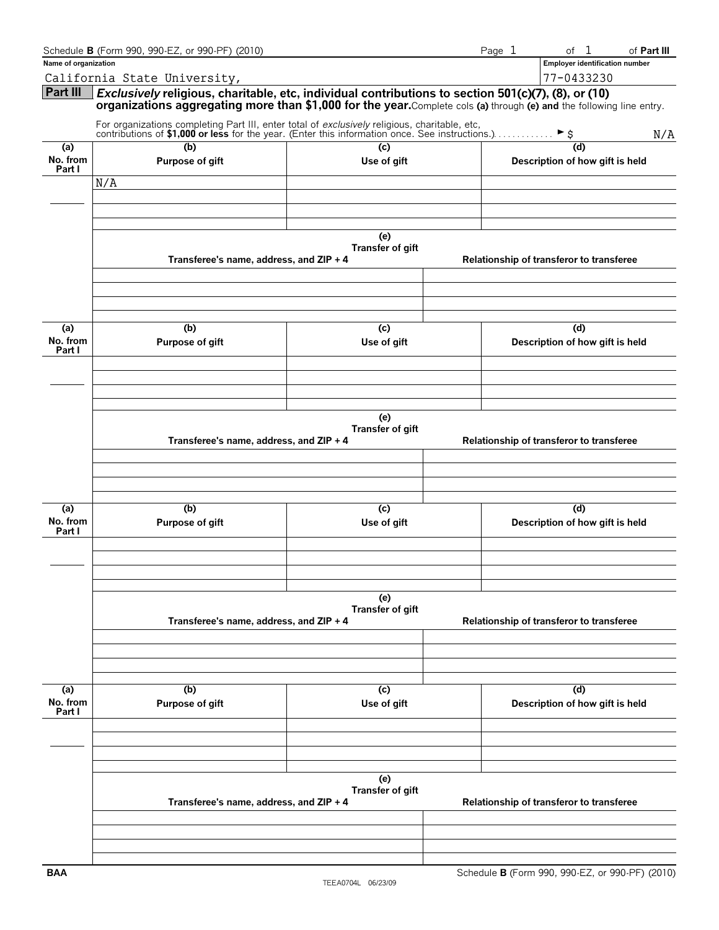|                           | Schedule <b>B</b> (Form 990, 990-EZ, or 990-PF) (2010)                                                                                                                                                                      |                         |                                          | Page 1 | of <sub>1</sub>                          | of Part III |
|---------------------------|-----------------------------------------------------------------------------------------------------------------------------------------------------------------------------------------------------------------------------|-------------------------|------------------------------------------|--------|------------------------------------------|-------------|
| Name of organization      |                                                                                                                                                                                                                             |                         |                                          |        | <b>Employer identification number</b>    |             |
|                           | California State University,                                                                                                                                                                                                |                         |                                          |        | 77-0433230                               |             |
| Part III                  | Exclusively religious, charitable, etc, individual contributions to section 501(c)(7), (8), or (10)<br>organizations aggregating more than \$1,000 for the year.Complete cols (a) through (e) and the following line entry. |                         |                                          |        |                                          |             |
|                           | For organizations completing Part III, enter total of <i>exclusively</i> reigious, charmanie, etc.,<br>contributions of <b>\$1,000 or less</b> for the year. (Enter this information once. See instructions.)               |                         |                                          |        |                                          | N/A         |
| (a)                       | (b)                                                                                                                                                                                                                         | (c)                     |                                          |        |                                          |             |
| No. from<br>Part I        | Purpose of gift                                                                                                                                                                                                             | Use of gift             |                                          |        | Description of how gift is held          |             |
|                           | N/A                                                                                                                                                                                                                         |                         |                                          |        |                                          |             |
|                           |                                                                                                                                                                                                                             |                         |                                          |        |                                          |             |
|                           |                                                                                                                                                                                                                             |                         |                                          |        |                                          |             |
|                           |                                                                                                                                                                                                                             |                         |                                          |        |                                          |             |
|                           |                                                                                                                                                                                                                             | (e)<br>Transfer of gift |                                          |        |                                          |             |
|                           | Transferee's name, address, and ZIP + 4                                                                                                                                                                                     |                         |                                          |        | Relationship of transferor to transferee |             |
|                           |                                                                                                                                                                                                                             |                         |                                          |        |                                          |             |
|                           |                                                                                                                                                                                                                             |                         |                                          |        |                                          |             |
| (a)<br>No. from<br>Part I | (b)<br>Purpose of gift                                                                                                                                                                                                      | (c)<br>Use of gift      |                                          |        | (d)<br>Description of how gift is held   |             |
|                           |                                                                                                                                                                                                                             |                         |                                          |        |                                          |             |
|                           |                                                                                                                                                                                                                             |                         |                                          |        |                                          |             |
|                           | Transferee's name, address, and ZIP + 4                                                                                                                                                                                     | (e)<br>Transfer of gift |                                          |        | Relationship of transferor to transferee |             |
|                           |                                                                                                                                                                                                                             |                         |                                          |        |                                          |             |
|                           |                                                                                                                                                                                                                             |                         |                                          |        |                                          |             |
| (a)<br>No. from           | (b)<br>Purpose of gift                                                                                                                                                                                                      | (c)<br>Use of gift      |                                          |        | (d)<br>Description of how gift is held   |             |
| Part I                    |                                                                                                                                                                                                                             |                         |                                          |        |                                          |             |
|                           |                                                                                                                                                                                                                             |                         |                                          |        |                                          |             |
|                           | Transferee's name, address, and ZIP + 4                                                                                                                                                                                     | (e)<br>Transfer of gift |                                          |        | Relationship of transferor to transferee |             |
|                           |                                                                                                                                                                                                                             |                         |                                          |        |                                          |             |
|                           |                                                                                                                                                                                                                             |                         |                                          |        |                                          |             |
| (a)                       | (b)                                                                                                                                                                                                                         | (c)                     |                                          |        | (d)                                      |             |
| No. from<br>Part I        | Purpose of gift                                                                                                                                                                                                             | Use of gift             |                                          |        | Description of how gift is held          |             |
|                           |                                                                                                                                                                                                                             |                         |                                          |        |                                          |             |
|                           |                                                                                                                                                                                                                             |                         |                                          |        |                                          |             |
|                           |                                                                                                                                                                                                                             |                         |                                          |        |                                          |             |
|                           |                                                                                                                                                                                                                             | (e)<br>Transfer of gift |                                          |        |                                          |             |
|                           | Transferee's name, address, and ZIP + 4                                                                                                                                                                                     |                         | Relationship of transferor to transferee |        |                                          |             |
|                           |                                                                                                                                                                                                                             |                         |                                          |        |                                          |             |
|                           |                                                                                                                                                                                                                             |                         |                                          |        |                                          |             |
|                           |                                                                                                                                                                                                                             |                         |                                          |        |                                          |             |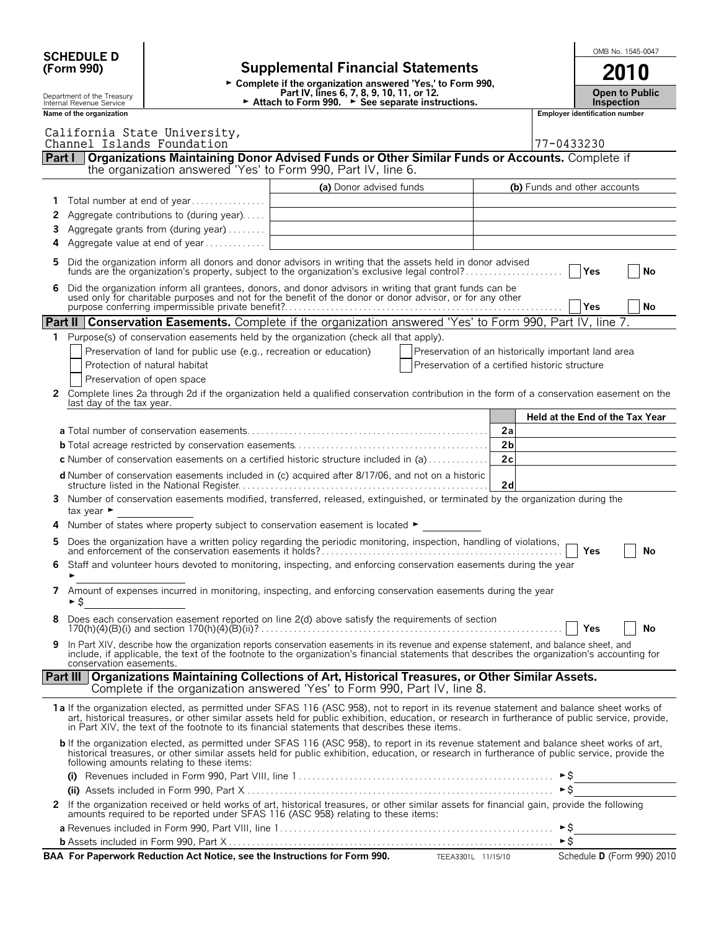|        | OMB No. 1545-0047<br><b>SCHEDULE D</b>                 |                                                                     |                                                                                                                                                                                                                                                                                                                                                                                               |                                                     |                                       |                            |                       |    |
|--------|--------------------------------------------------------|---------------------------------------------------------------------|-----------------------------------------------------------------------------------------------------------------------------------------------------------------------------------------------------------------------------------------------------------------------------------------------------------------------------------------------------------------------------------------------|-----------------------------------------------------|---------------------------------------|----------------------------|-----------------------|----|
|        | (Form 990)                                             |                                                                     | <b>Supplemental Financial Statements</b>                                                                                                                                                                                                                                                                                                                                                      |                                                     |                                       |                            |                       |    |
|        |                                                        |                                                                     |                                                                                                                                                                                                                                                                                                                                                                                               |                                                     |                                       |                            |                       |    |
|        | Department of the Treasury<br>Internal Revenue Service |                                                                     | Complete if the organization answered 'Yes,' to Form 990,<br>Part IV, lines 6, 7, 8, 9, 10, 11, or 12.<br>Attach to Form 990. ► See separate instructions.                                                                                                                                                                                                                                    |                                                     |                                       | <b>Inspection</b>          | <b>Open to Public</b> |    |
|        | Name of the organization                               |                                                                     |                                                                                                                                                                                                                                                                                                                                                                                               |                                                     | <b>Employer identification number</b> |                            |                       |    |
|        |                                                        | California State University,                                        |                                                                                                                                                                                                                                                                                                                                                                                               |                                                     |                                       |                            |                       |    |
|        |                                                        | Channel Islands Foundation                                          |                                                                                                                                                                                                                                                                                                                                                                                               |                                                     | 77-0433230                            |                            |                       |    |
| Part I |                                                        |                                                                     | Organizations Maintaining Donor Advised Funds or Other Similar Funds or Accounts. Complete if                                                                                                                                                                                                                                                                                                 |                                                     |                                       |                            |                       |    |
|        |                                                        |                                                                     | the organization answered 'Yes' to Form 990, Part IV, line 6.                                                                                                                                                                                                                                                                                                                                 |                                                     |                                       |                            |                       |    |
|        |                                                        |                                                                     | (a) Donor advised funds                                                                                                                                                                                                                                                                                                                                                                       |                                                     | (b) Funds and other accounts          |                            |                       |    |
| 1      |                                                        | Total number at end of year                                         |                                                                                                                                                                                                                                                                                                                                                                                               |                                                     |                                       |                            |                       |    |
| 2      |                                                        | Aggregate contributions to (during year)                            |                                                                                                                                                                                                                                                                                                                                                                                               |                                                     |                                       |                            |                       |    |
| 3      |                                                        | Aggregate grants from (during year)                                 |                                                                                                                                                                                                                                                                                                                                                                                               |                                                     |                                       |                            |                       |    |
| 4      |                                                        | Aggregate value at end of year                                      |                                                                                                                                                                                                                                                                                                                                                                                               |                                                     |                                       |                            |                       |    |
| 5      |                                                        |                                                                     | Did the organization inform all donors and donor advisors in writing that the assets held in donor advised<br>funds are the organization's property, subject to the organization's exclusive legal control?                                                                                                                                                                                   |                                                     |                                       | Yes                        |                       | No |
| 6      |                                                        |                                                                     | Did the organization inform all grantees, donors, and donor advisors in writing that grant funds can be used only for charitable purposes and not for the benefit of the donor or donor advisor, or for any other                                                                                                                                                                             |                                                     |                                       |                            |                       |    |
|        |                                                        |                                                                     |                                                                                                                                                                                                                                                                                                                                                                                               |                                                     |                                       | Yes                        |                       | No |
|        |                                                        |                                                                     | <b>Part II   Conservation Easements.</b> Complete if the organization answered 'Yes' to Form 990, Part IV, line 7.                                                                                                                                                                                                                                                                            |                                                     |                                       |                            |                       |    |
|        |                                                        |                                                                     | 1 Purpose(s) of conservation easements held by the organization (check all that apply).                                                                                                                                                                                                                                                                                                       |                                                     |                                       |                            |                       |    |
|        |                                                        | Preservation of land for public use (e.g., recreation or education) |                                                                                                                                                                                                                                                                                                                                                                                               | Preservation of an historically important land area |                                       |                            |                       |    |
|        |                                                        | Protection of natural habitat                                       |                                                                                                                                                                                                                                                                                                                                                                                               | Preservation of a certified historic structure      |                                       |                            |                       |    |
|        |                                                        | Preservation of open space                                          |                                                                                                                                                                                                                                                                                                                                                                                               |                                                     |                                       |                            |                       |    |
| 2      |                                                        |                                                                     | Complete lines 2a through 2d if the organization held a qualified conservation contribution in the form of a conservation easement on the                                                                                                                                                                                                                                                     |                                                     |                                       |                            |                       |    |
|        | last day of the tax year.                              |                                                                     |                                                                                                                                                                                                                                                                                                                                                                                               |                                                     |                                       |                            |                       |    |
|        |                                                        |                                                                     |                                                                                                                                                                                                                                                                                                                                                                                               |                                                     | Held at the End of the Tax Year       |                            |                       |    |
|        |                                                        |                                                                     |                                                                                                                                                                                                                                                                                                                                                                                               | 2a<br>2 <sub>b</sub>                                |                                       |                            |                       |    |
|        |                                                        |                                                                     | <b>c</b> Number of conservation easements on a certified historic structure included in (a)                                                                                                                                                                                                                                                                                                   | 2c                                                  |                                       |                            |                       |    |
|        |                                                        |                                                                     |                                                                                                                                                                                                                                                                                                                                                                                               |                                                     |                                       |                            |                       |    |
|        |                                                        |                                                                     | d Number of conservation easements included in (c) acquired after 8/17/06, and not on a historic                                                                                                                                                                                                                                                                                              | 2d                                                  |                                       |                            |                       |    |
| 3.     | tax year $\blacktriangleright$                         |                                                                     | Number of conservation easements modified, transferred, released, extinguished, or terminated by the organization during the                                                                                                                                                                                                                                                                  |                                                     |                                       |                            |                       |    |
| 4      |                                                        |                                                                     | Number of states where property subject to conservation easement is located $\blacktriangleright$                                                                                                                                                                                                                                                                                             |                                                     |                                       |                            |                       |    |
| 5      |                                                        |                                                                     |                                                                                                                                                                                                                                                                                                                                                                                               |                                                     |                                       | Yes                        |                       | No |
|        |                                                        |                                                                     | Staff and volunteer hours devoted to monitoring, inspecting, and enforcing conservation easements during the year                                                                                                                                                                                                                                                                             |                                                     |                                       |                            |                       |    |
| 7      | ►S                                                     |                                                                     | Amount of expenses incurred in monitoring, inspecting, and enforcing conservation easements during the year                                                                                                                                                                                                                                                                                   |                                                     |                                       |                            |                       |    |
| 8      |                                                        |                                                                     | Does each conservation easement reported on line 2(d) above satisfy the requirements of section                                                                                                                                                                                                                                                                                               |                                                     |                                       | Yes                        |                       | No |
| 9      | conservation easements.                                |                                                                     | In Part XIV, describe how the organization reports conservation easements in its revenue and expense statement, and balance sheet, and<br>include, if applicable, the text of the footnote to the organization's financial statements that describes the organization's accounting for                                                                                                        |                                                     |                                       |                            |                       |    |
|        |                                                        |                                                                     | Part III   Organizations Maintaining Collections of Art, Historical Treasures, or Other Similar Assets.<br>Complete if the organization answered 'Yes' to Form 990, Part IV, line 8.                                                                                                                                                                                                          |                                                     |                                       |                            |                       |    |
|        |                                                        |                                                                     | 1a If the organization elected, as permitted under SFAS 116 (ASC 958), not to report in its revenue statement and balance sheet works of<br>art, historical treasures, or other similar assets held for public exhibition, education, or research in furtherance of public service, provide,<br>in Part XIV, the text of the footnote to its financial statements that describes these items. |                                                     |                                       |                            |                       |    |
|        |                                                        | following amounts relating to these items:                          | <b>b</b> If the organization elected, as permitted under SFAS 116 (ASC 958), to report in its revenue statement and balance sheet works of art,<br>historical treasures, or other similar assets held for public exhibition, education, or research in furtherance of public service, provide the                                                                                             |                                                     |                                       |                            |                       |    |
|        |                                                        |                                                                     |                                                                                                                                                                                                                                                                                                                                                                                               |                                                     |                                       |                            |                       |    |
|        |                                                        |                                                                     |                                                                                                                                                                                                                                                                                                                                                                                               |                                                     | $\triangleright$ \$                   |                            |                       |    |
|        |                                                        |                                                                     | 2 If the organization received or held works of art, historical treasures, or other similar assets for financial gain, provide the following<br>amounts required to be reported under SFAS 116 (ASC 958) relating to these items:                                                                                                                                                             |                                                     |                                       |                            |                       |    |
|        |                                                        |                                                                     |                                                                                                                                                                                                                                                                                                                                                                                               |                                                     | ►\$                                   |                            |                       |    |
|        |                                                        |                                                                     |                                                                                                                                                                                                                                                                                                                                                                                               |                                                     |                                       |                            |                       |    |
|        |                                                        |                                                                     | BAA For Paperwork Reduction Act Notice, see the Instructions for Form 990. TEEA3301L 11/15/10                                                                                                                                                                                                                                                                                                 |                                                     |                                       | Schedule D (Form 990) 2010 |                       |    |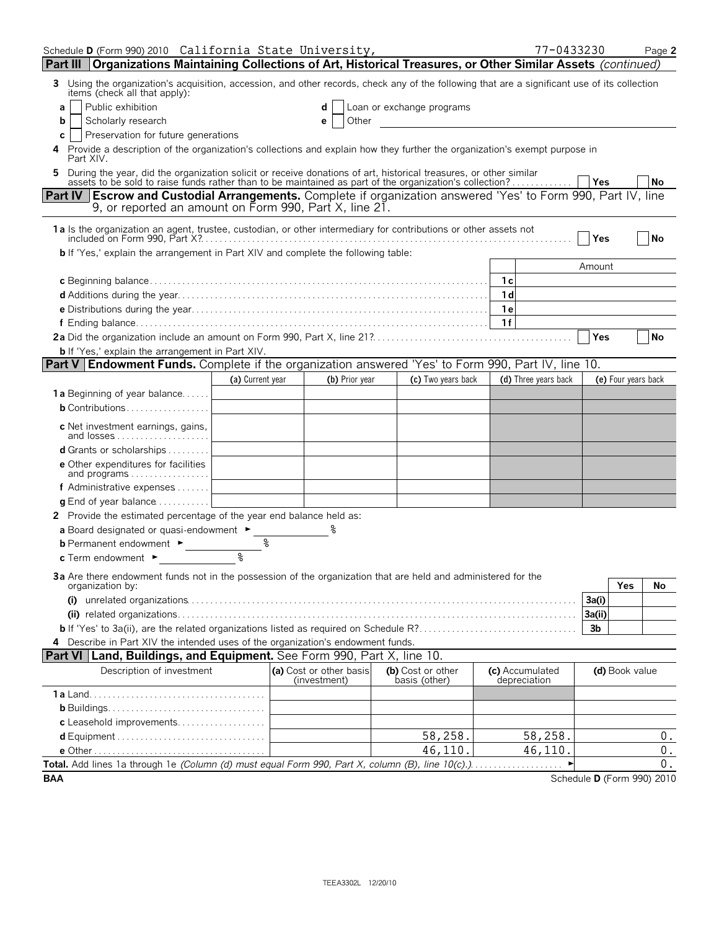| Schedule D (Form 990) 2010 California State University,                                                                                                                                                                        |                  |                                         |                                    | 77-0433230                      |                            | Page 2              |
|--------------------------------------------------------------------------------------------------------------------------------------------------------------------------------------------------------------------------------|------------------|-----------------------------------------|------------------------------------|---------------------------------|----------------------------|---------------------|
| Part III   Organizations Maintaining Collections of Art, Historical Treasures, or Other Similar Assets (continued)                                                                                                             |                  |                                         |                                    |                                 |                            |                     |
| Using the organization's acquisition, accession, and other records, check any of the following that are a significant use of its collection<br>3<br>items (check all that apply):                                              |                  |                                         |                                    |                                 |                            |                     |
| Public exhibition<br>a                                                                                                                                                                                                         |                  | d                                       | Loan or exchange programs          |                                 |                            |                     |
| Scholarly research<br>b                                                                                                                                                                                                        |                  | Other<br>e                              |                                    |                                 |                            |                     |
| Preservation for future generations<br>С                                                                                                                                                                                       |                  |                                         |                                    |                                 |                            |                     |
| Provide a description of the organization's collections and explain how they further the organization's exempt purpose in<br>4<br>Part XIV.                                                                                    |                  |                                         |                                    |                                 |                            |                     |
| 5 During the year, did the organization solicit or receive donations of art, historical treasures, or other similar<br>assets to be sold to raise funds rather than to be maintained as part of the organization's collection? |                  |                                         |                                    |                                 | Yes                        | No                  |
| Part IV   Escrow and Custodial Arrangements. Complete if organization answered 'Yes' to Form 990, Part IV, line<br>9, or reported an amount on Form 990, Part X, line 21.                                                      |                  |                                         |                                    |                                 |                            |                     |
| 1a Is the organization an agent, trustee, custodian, or other intermediary for contributions or other assets not                                                                                                               |                  |                                         |                                    |                                 | Yes                        | <b>No</b>           |
| <b>b</b> If 'Yes,' explain the arrangement in Part XIV and complete the following table:                                                                                                                                       |                  |                                         |                                    |                                 |                            |                     |
|                                                                                                                                                                                                                                |                  |                                         |                                    |                                 | Amount                     |                     |
|                                                                                                                                                                                                                                |                  |                                         |                                    | 1c                              |                            |                     |
|                                                                                                                                                                                                                                |                  |                                         |                                    | 1 <sub>d</sub>                  |                            |                     |
|                                                                                                                                                                                                                                |                  |                                         |                                    | 1 e                             |                            |                     |
|                                                                                                                                                                                                                                |                  |                                         |                                    | 1f                              |                            |                     |
|                                                                                                                                                                                                                                |                  |                                         |                                    |                                 | Yes                        | <b>No</b>           |
| <b>b</b> If 'Yes,' explain the arrangement in Part XIV.                                                                                                                                                                        |                  |                                         |                                    |                                 |                            |                     |
| <b>Part V Endowment Funds.</b> Complete if the organization answered 'Yes' to Form 990, Part IV, line 10.                                                                                                                      |                  |                                         |                                    |                                 |                            |                     |
|                                                                                                                                                                                                                                | (a) Current year | (b) Prior year                          | (c) Two years back                 | (d) Three years back            |                            | (e) Four years back |
| 1a Beginning of year balance                                                                                                                                                                                                   |                  |                                         |                                    |                                 |                            |                     |
| <b>b</b> Contributions                                                                                                                                                                                                         |                  |                                         |                                    |                                 |                            |                     |
| c Net investment earnings, gains,<br>and losses                                                                                                                                                                                |                  |                                         |                                    |                                 |                            |                     |
| d Grants or scholarships                                                                                                                                                                                                       |                  |                                         |                                    |                                 |                            |                     |
| e Other expenditures for facilities<br>and programs                                                                                                                                                                            |                  |                                         |                                    |                                 |                            |                     |
| f Administrative expenses                                                                                                                                                                                                      |                  |                                         |                                    |                                 |                            |                     |
| g End of year balance                                                                                                                                                                                                          |                  |                                         |                                    |                                 |                            |                     |
| 2 Provide the estimated percentage of the year end balance held as:                                                                                                                                                            |                  |                                         |                                    |                                 |                            |                     |
| a Board designated or quasi-endowment ►                                                                                                                                                                                        |                  |                                         |                                    |                                 |                            |                     |
| <b>b</b> Permanent endowment ►                                                                                                                                                                                                 | ٩                |                                         |                                    |                                 |                            |                     |
| <b>c</b> Term endowment $\blacktriangleright$                                                                                                                                                                                  | °                |                                         |                                    |                                 |                            |                     |
| 3a Are there endowment funds not in the possession of the organization that are held and administered for the                                                                                                                  |                  |                                         |                                    |                                 | Yes                        |                     |
| organization by:                                                                                                                                                                                                               |                  |                                         |                                    |                                 | 3a(i)                      | No.                 |
|                                                                                                                                                                                                                                |                  |                                         |                                    |                                 | 3a(ii)                     |                     |
|                                                                                                                                                                                                                                |                  |                                         |                                    |                                 | 3 <sub>b</sub>             |                     |
| 4 Describe in Part XIV the intended uses of the organization's endowment funds.                                                                                                                                                |                  |                                         |                                    |                                 |                            |                     |
| <b>Part VI   Land, Buildings, and Equipment.</b> See Form 990, Part X, line 10.                                                                                                                                                |                  |                                         |                                    |                                 |                            |                     |
| Description of investment                                                                                                                                                                                                      |                  | (a) Cost or other basis<br>(investment) | (b) Cost or other<br>basis (other) | (c) Accumulated<br>depreciation | (d) Book value             |                     |
|                                                                                                                                                                                                                                |                  |                                         |                                    |                                 |                            |                     |
|                                                                                                                                                                                                                                |                  |                                         |                                    |                                 |                            |                     |
| c Leasehold improvements                                                                                                                                                                                                       |                  |                                         |                                    |                                 |                            |                     |
|                                                                                                                                                                                                                                |                  |                                         | 58,258.                            | 58,258.                         |                            | 0.                  |
|                                                                                                                                                                                                                                |                  |                                         | 46,110.                            | 46,110.                         |                            | $\mathbf 0$ .       |
|                                                                                                                                                                                                                                |                  |                                         |                                    |                                 |                            | 0.                  |
| <b>BAA</b>                                                                                                                                                                                                                     |                  |                                         |                                    |                                 | Schedule D (Form 990) 2010 |                     |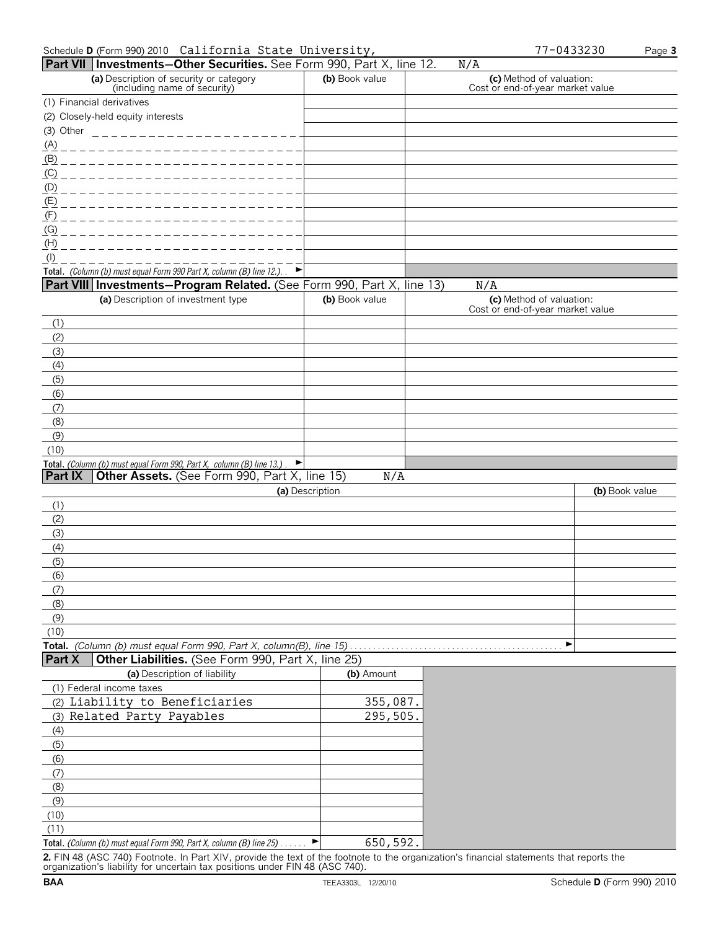| Schedule D (Form 990) 2010 California State University,                  | 77-0433230 | Page 3 |
|--------------------------------------------------------------------------|------------|--------|
| <b>Part VII Investments-Other Securities</b> See Form 990 Part X line 12 |            |        |

|                | Part VII Investments-Other Securities. See Form 990, Part X, line 12.                                                 |                        | N/A                                                          |                |
|----------------|-----------------------------------------------------------------------------------------------------------------------|------------------------|--------------------------------------------------------------|----------------|
|                | (a) Description of security or category<br>(including name of security)                                               | (b) Book value         | (c) Method of valuation:<br>Cost or end-of-year market value |                |
|                | (1) Financial derivatives                                                                                             |                        |                                                              |                |
|                | (2) Closely-held equity interests                                                                                     |                        |                                                              |                |
| (3) Other      | ________________________                                                                                              |                        |                                                              |                |
| <u>(A)</u>     | --------------------------                                                                                            |                        |                                                              |                |
|                |                                                                                                                       |                        |                                                              |                |
| (C)            | _________________________                                                                                             |                        |                                                              |                |
|                |                                                                                                                       |                        |                                                              |                |
|                |                                                                                                                       |                        |                                                              |                |
| (F)            | __________________________                                                                                            |                        |                                                              |                |
| (G)            |                                                                                                                       |                        |                                                              |                |
| (H)            |                                                                                                                       |                        |                                                              |                |
| $($ l $)$      |                                                                                                                       |                        |                                                              |                |
|                | Total. (Column (b) must equal Form 990 Part X, column (B) line 12.). $\blacktriangleright$                            |                        |                                                              |                |
|                | Part VIII Investments-Program Related. (See Form 990, Part X, line 13)<br>(a) Description of investment type          | (b) Book value         | N/A                                                          |                |
|                |                                                                                                                       |                        | (c) Method of valuation:<br>Cost or end-of-year market value |                |
| (1)            |                                                                                                                       |                        |                                                              |                |
| (2)            |                                                                                                                       |                        |                                                              |                |
| (3)            |                                                                                                                       |                        |                                                              |                |
| (4)            |                                                                                                                       |                        |                                                              |                |
| (5)            |                                                                                                                       |                        |                                                              |                |
| (6)            |                                                                                                                       |                        |                                                              |                |
| (7)            |                                                                                                                       |                        |                                                              |                |
| (8)            |                                                                                                                       |                        |                                                              |                |
| (9)            |                                                                                                                       |                        |                                                              |                |
| (10)           |                                                                                                                       |                        |                                                              |                |
| <b>Part IX</b> | Total. (Column (b) must equal Form 990, Part X, column (B) line 13.)<br>Other Assets. (See Form 990, Part X, line 15) |                        |                                                              |                |
|                |                                                                                                                       | N/A<br>(a) Description |                                                              | (b) Book value |
| (1)            |                                                                                                                       |                        |                                                              |                |
| (2)            |                                                                                                                       |                        |                                                              |                |
| (3)            |                                                                                                                       |                        |                                                              |                |
| (4)            |                                                                                                                       |                        |                                                              |                |
| (5)            |                                                                                                                       |                        |                                                              |                |
| (6)            |                                                                                                                       |                        |                                                              |                |
| (7)            |                                                                                                                       |                        |                                                              |                |
| (8)            |                                                                                                                       |                        |                                                              |                |
| (9)            |                                                                                                                       |                        |                                                              |                |
| (10)           |                                                                                                                       |                        |                                                              |                |
|                | Total. (Column (b) must equal Form 990, Part X, column(B), line 15)                                                   |                        | ▶                                                            |                |
| <b>Part X</b>  | Other Liabilities. (See Form 990, Part X, line 25)                                                                    |                        |                                                              |                |
|                | (a) Description of liability                                                                                          | (b) Amount             |                                                              |                |
|                | (1) Federal income taxes                                                                                              |                        |                                                              |                |
|                | (2) Liability to Beneficiaries                                                                                        | 355,087.               |                                                              |                |
|                | (3) Related Party Payables                                                                                            | 295,505.               |                                                              |                |
| (4)            |                                                                                                                       |                        |                                                              |                |
| (5)            |                                                                                                                       |                        |                                                              |                |
| (6)            |                                                                                                                       |                        |                                                              |                |
| (7)            |                                                                                                                       |                        |                                                              |                |
| (8)            |                                                                                                                       |                        |                                                              |                |
| (9)            |                                                                                                                       |                        |                                                              |                |
| (10)<br>(11)   |                                                                                                                       |                        |                                                              |                |
|                |                                                                                                                       |                        |                                                              |                |
|                | Total. (Column (b) must equal Form 990, Part X, column (B) line 25)                                                   | 650,592.<br>▶          |                                                              |                |

**2.** FIN 48 (ASC 740) Footnote. In Part XIV, provide the text of the footnote to the organization's financial statements that reports the organization's liability for uncertain tax positions under FIN 48 (ASC 740).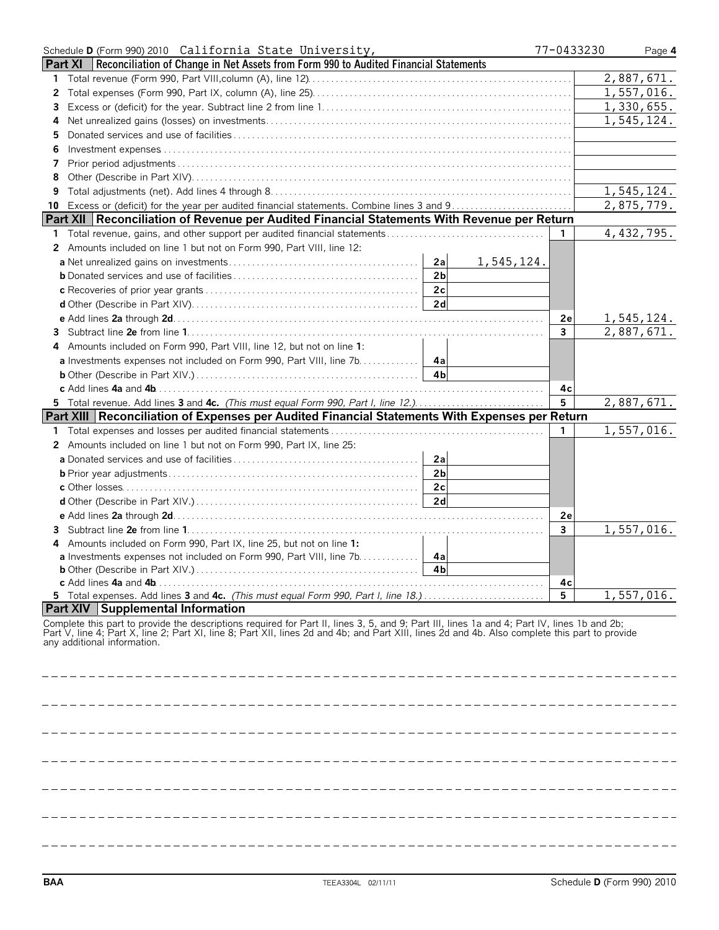|                | Schedule D (Form 990) 2010 California State University,                                                                                                                                                                                                          | 77-0433230   | Page 4     |
|----------------|------------------------------------------------------------------------------------------------------------------------------------------------------------------------------------------------------------------------------------------------------------------|--------------|------------|
|                | Reconciliation of Change in Net Assets from Form 990 to Audited Financial Statements<br>Part XI                                                                                                                                                                  |              |            |
| 1              |                                                                                                                                                                                                                                                                  |              | 2,887,671. |
| $\overline{2}$ |                                                                                                                                                                                                                                                                  |              | 1,557,016. |
| 3              |                                                                                                                                                                                                                                                                  |              | 1,330,655. |
| 4              |                                                                                                                                                                                                                                                                  |              | 1,545,124. |
| 5              |                                                                                                                                                                                                                                                                  |              |            |
| 6              |                                                                                                                                                                                                                                                                  |              |            |
| 7              |                                                                                                                                                                                                                                                                  |              |            |
| 8              |                                                                                                                                                                                                                                                                  |              |            |
| 9              |                                                                                                                                                                                                                                                                  |              | 1,545,124. |
| 10             |                                                                                                                                                                                                                                                                  |              | 2,875,779. |
|                | Part XII   Reconciliation of Revenue per Audited Financial Statements With Revenue per Return                                                                                                                                                                    |              |            |
| 1              |                                                                                                                                                                                                                                                                  | $\mathbf{1}$ | 4,432,795. |
|                | 2 Amounts included on line 1 but not on Form 990, Part VIII, line 12:                                                                                                                                                                                            |              |            |
|                | 2a<br>1,545,124.                                                                                                                                                                                                                                                 |              |            |
|                | 2 <sub>b</sub>                                                                                                                                                                                                                                                   |              |            |
|                | 2c                                                                                                                                                                                                                                                               |              |            |
|                | 2d                                                                                                                                                                                                                                                               |              |            |
|                |                                                                                                                                                                                                                                                                  | 2e           | 1,545,124. |
|                |                                                                                                                                                                                                                                                                  | 3            | 2,887,671. |
|                | 4 Amounts included on Form 990, Part VIII, line 12, but not on line 1:                                                                                                                                                                                           |              |            |
|                | <b>a</b> Investments expenses not included on Form 990, Part VIII, line 7b. 4a                                                                                                                                                                                   |              |            |
|                | 4 <sub>h</sub>                                                                                                                                                                                                                                                   |              |            |
|                |                                                                                                                                                                                                                                                                  | 4c           |            |
|                | 5 Total revenue. Add lines 3 and 4c. (This must equal Form 990, Part I, line 12.)                                                                                                                                                                                | 5            | 2,887,671. |
|                | Part XIII Reconciliation of Expenses per Audited Financial Statements With Expenses per Return                                                                                                                                                                   |              |            |
|                |                                                                                                                                                                                                                                                                  | 1            | 1,557,016. |
|                | 2 Amounts included on line 1 but not on Form 990, Part IX, line 25:                                                                                                                                                                                              |              |            |
|                | 2a                                                                                                                                                                                                                                                               |              |            |
|                | 2 <sub>b</sub>                                                                                                                                                                                                                                                   |              |            |
|                | 2c                                                                                                                                                                                                                                                               |              |            |
|                | 2d                                                                                                                                                                                                                                                               |              |            |
|                |                                                                                                                                                                                                                                                                  | 2e           |            |
|                |                                                                                                                                                                                                                                                                  | 3            | 1,557,016. |
| 4              | Amounts included on Form 990, Part IX, line 25, but not on line 1:                                                                                                                                                                                               |              |            |
|                | a Investments expenses not included on Form 990, Part VIII, line 7b. 4a                                                                                                                                                                                          |              |            |
|                | 4 <sub>b</sub>                                                                                                                                                                                                                                                   |              |            |
|                |                                                                                                                                                                                                                                                                  | 4с           |            |
|                |                                                                                                                                                                                                                                                                  | 5            | 1,557,016. |
|                | Part XIV Supplemental Information                                                                                                                                                                                                                                |              |            |
|                | Complete this part to provide the descriptions required for Part II, lines 3, 5, and 9; Part III, lines 1a and 4; Part IV, lines 1b and 2b;<br>Part V, line 4; Part X, line 2; Part XI, line 8; Part XII, lines 2d and 4b; and Pa<br>any additional information. |              |            |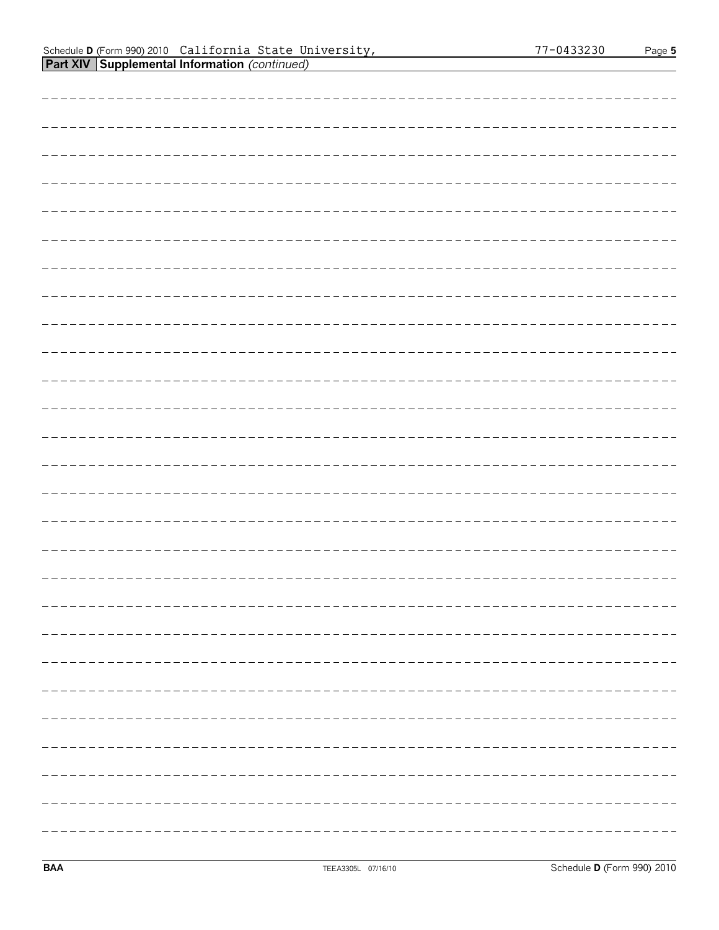#### Schedule **D** (Form 990) 2010 Page **5 Part XIV Supplemental Information** *(continued)* California State University, 77-0433230

| -------------------------------------- |
|----------------------------------------|
|                                        |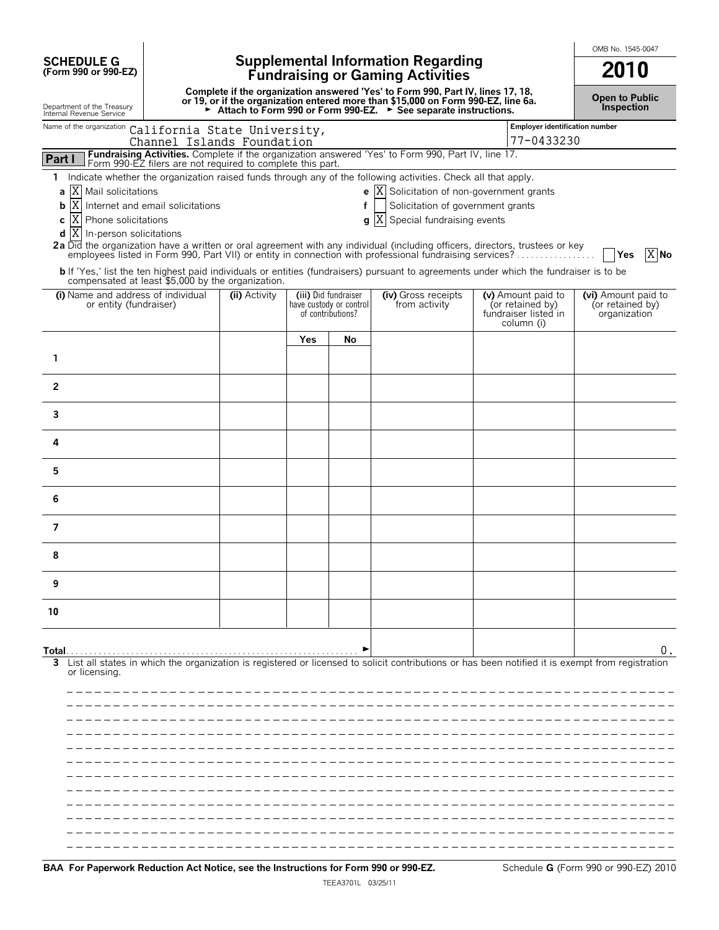**SCHEDULE G (Form 990 or 990-EZ)**

# **Supplemental Information Regarding Fundraising or Gaming Activities 2010**

**Complete if the organization answered 'Yes' to Form 990, Part IV, lines 17, 18,** or 19, or if the organization entered more than \$15,000 on Form 990-EZ, line 6a.<br>► Attach to Form 990 or Form 990-EZ. ► See separate instructions.

**Open to Public Inspection**

OMB No. 1545-0047

| Department of the Treasury<br>Internal Revenue Service                                                                                                                                             |                                                                                                                                  |     |                                                 | Attach to Form 990 or Form 990-EZ. > See separate instructions. |                                        | <b>Inspection</b>                       |
|----------------------------------------------------------------------------------------------------------------------------------------------------------------------------------------------------|----------------------------------------------------------------------------------------------------------------------------------|-----|-------------------------------------------------|-----------------------------------------------------------------|----------------------------------------|-----------------------------------------|
| Name of the organization California State University,                                                                                                                                              |                                                                                                                                  |     |                                                 |                                                                 | Employer identification number         |                                         |
|                                                                                                                                                                                                    | Channel Islands Foundation<br>Fundraising Activities. Complete if the organization answered 'Yes' to Form 990, Part IV, line 17. |     |                                                 |                                                                 | 77-0433230                             |                                         |
| Part I                                                                                                                                                                                             | Form 990-EZ filers are not required to complete this part.                                                                       |     |                                                 |                                                                 |                                        |                                         |
| Indicate whether the organization raised funds through any of the following activities. Check all that apply.<br>1<br>X Mail solicitations<br>a                                                    |                                                                                                                                  |     |                                                 | e $ X $ Solicitation of non-government grants                   |                                        |                                         |
| X<br>Internet and email solicitations<br>b                                                                                                                                                         |                                                                                                                                  |     | f                                               | Solicitation of government grants                               |                                        |                                         |
| X Phone solicitations<br>c                                                                                                                                                                         |                                                                                                                                  |     |                                                 | Special fundraising events<br>g X                               |                                        |                                         |
| $d$ $X$<br>In-person solicitations                                                                                                                                                                 |                                                                                                                                  |     |                                                 |                                                                 |                                        |                                         |
| 2a Did the organization have a written or oral agreement with any individual (including officers, directors, trustees or key                                                                       |                                                                                                                                  |     |                                                 |                                                                 |                                        | X No<br><b>Yes</b>                      |
| <b>b</b> If 'Yes,' list the ten highest paid individuals or entities (fundraisers) pursuant to agreements under which the fundraiser is to be<br>compensated at least \$5,000 by the organization. |                                                                                                                                  |     |                                                 |                                                                 |                                        |                                         |
| (i) Name and address of individual<br>or entity (fundraiser)                                                                                                                                       | (ii) Activity                                                                                                                    |     | (iii) Did fundraiser<br>have custody or control | (iv) Gross receipts<br>from activity                            | (v) Amount paid to<br>(or retained by) | (vi) Amount paid to<br>(or retained by) |
|                                                                                                                                                                                                    |                                                                                                                                  |     | of contributions?                               |                                                                 | fundraiser listed in<br>column (i)     | organization                            |
|                                                                                                                                                                                                    |                                                                                                                                  | Yes | No                                              |                                                                 |                                        |                                         |
| 1                                                                                                                                                                                                  |                                                                                                                                  |     |                                                 |                                                                 |                                        |                                         |
| $\overline{2}$                                                                                                                                                                                     |                                                                                                                                  |     |                                                 |                                                                 |                                        |                                         |
| 3                                                                                                                                                                                                  |                                                                                                                                  |     |                                                 |                                                                 |                                        |                                         |
| 4                                                                                                                                                                                                  |                                                                                                                                  |     |                                                 |                                                                 |                                        |                                         |
| 5                                                                                                                                                                                                  |                                                                                                                                  |     |                                                 |                                                                 |                                        |                                         |
| 6                                                                                                                                                                                                  |                                                                                                                                  |     |                                                 |                                                                 |                                        |                                         |
| $\overline{7}$                                                                                                                                                                                     |                                                                                                                                  |     |                                                 |                                                                 |                                        |                                         |
| 8                                                                                                                                                                                                  |                                                                                                                                  |     |                                                 |                                                                 |                                        |                                         |
| 9                                                                                                                                                                                                  |                                                                                                                                  |     |                                                 |                                                                 |                                        |                                         |
| 10                                                                                                                                                                                                 |                                                                                                                                  |     |                                                 |                                                                 |                                        |                                         |
| Total                                                                                                                                                                                              |                                                                                                                                  |     |                                                 |                                                                 |                                        | υ.                                      |
| List all states in which the organization is registered or licensed to solicit contributions or has been notified it is exempt from registration<br>3                                              |                                                                                                                                  |     |                                                 |                                                                 |                                        |                                         |
| or licensing.                                                                                                                                                                                      |                                                                                                                                  |     |                                                 |                                                                 |                                        |                                         |
|                                                                                                                                                                                                    |                                                                                                                                  |     |                                                 |                                                                 |                                        |                                         |
|                                                                                                                                                                                                    |                                                                                                                                  |     |                                                 |                                                                 |                                        |                                         |
|                                                                                                                                                                                                    |                                                                                                                                  |     |                                                 |                                                                 |                                        |                                         |
|                                                                                                                                                                                                    |                                                                                                                                  |     |                                                 |                                                                 |                                        |                                         |
|                                                                                                                                                                                                    |                                                                                                                                  |     |                                                 |                                                                 |                                        |                                         |
|                                                                                                                                                                                                    |                                                                                                                                  |     |                                                 |                                                                 |                                        |                                         |
|                                                                                                                                                                                                    |                                                                                                                                  |     |                                                 |                                                                 |                                        |                                         |
|                                                                                                                                                                                                    |                                                                                                                                  |     |                                                 |                                                                 |                                        |                                         |
|                                                                                                                                                                                                    |                                                                                                                                  |     |                                                 |                                                                 |                                        |                                         |
|                                                                                                                                                                                                    |                                                                                                                                  |     |                                                 |                                                                 |                                        |                                         |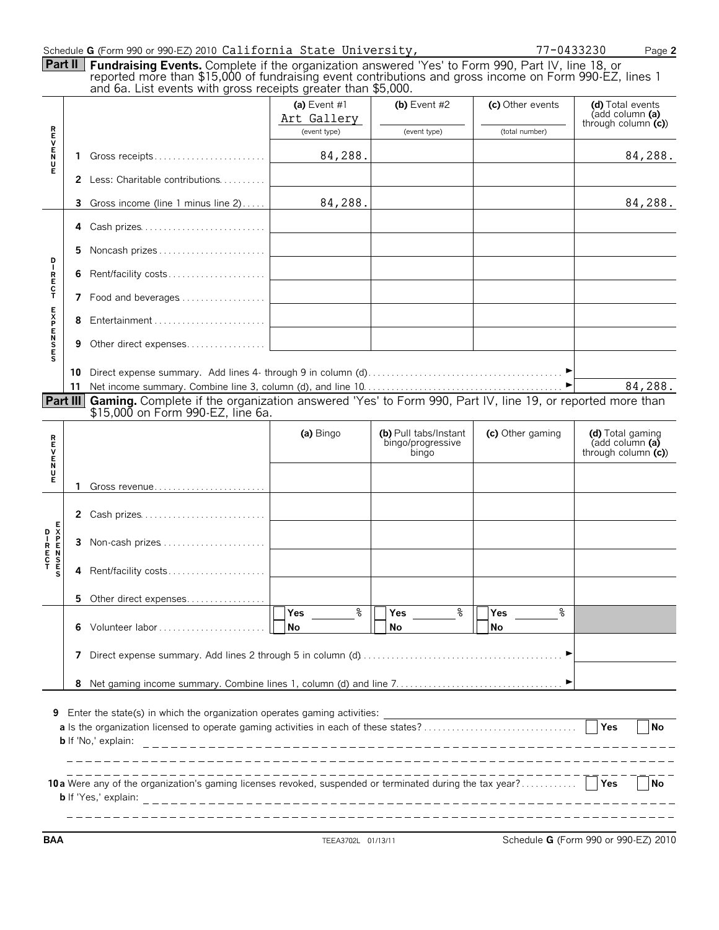| Part II                                  |    | Schedule G (Form 990 or 990-EZ) 2010 California State University,<br>Fundraising Events. Complete if the organization answered 'Yes' to Form 990, Part IV, line 18, or<br>reported more than \$15,000 of fundraising event contributions and gross income on Form 990-EZ, lines 1<br>and 6a. List events with gross receipts greater than \$5,000. |                               |                                                     | 77-0433230                         | Page 2                                                      |
|------------------------------------------|----|----------------------------------------------------------------------------------------------------------------------------------------------------------------------------------------------------------------------------------------------------------------------------------------------------------------------------------------------------|-------------------------------|-----------------------------------------------------|------------------------------------|-------------------------------------------------------------|
|                                          |    |                                                                                                                                                                                                                                                                                                                                                    | (a) Event $#1$<br>Art Gallery | (b) Event $#2$                                      | (c) Other events<br>(total number) | (d) Total events<br>(add column (a)<br>through column $(c)$ |
| <b>REVENU</b>                            | 1. | Gross receipts                                                                                                                                                                                                                                                                                                                                     | (event type)<br>84,288.       | (event type)                                        |                                    | 84,288.                                                     |
| Ė                                        | 2  | Less: Charitable contributions                                                                                                                                                                                                                                                                                                                     |                               |                                                     |                                    |                                                             |
|                                          | 3  | Gross income (line 1 minus line 2)                                                                                                                                                                                                                                                                                                                 | 84,288.                       |                                                     |                                    | 84,288.                                                     |
|                                          | 4  | Cash prizes                                                                                                                                                                                                                                                                                                                                        |                               |                                                     |                                    |                                                             |
|                                          | 5. | Noncash prizes                                                                                                                                                                                                                                                                                                                                     |                               |                                                     |                                    |                                                             |
| D – R E C T                              | 6  | Rent/facility costs                                                                                                                                                                                                                                                                                                                                |                               |                                                     |                                    |                                                             |
|                                          |    | 7 Food and beverages                                                                                                                                                                                                                                                                                                                               |                               |                                                     |                                    |                                                             |
|                                          | 8  |                                                                                                                                                                                                                                                                                                                                                    |                               |                                                     |                                    |                                                             |
| <b>SESPENSE</b>                          | 9  | Other direct expenses                                                                                                                                                                                                                                                                                                                              |                               |                                                     |                                    |                                                             |
|                                          | 10 |                                                                                                                                                                                                                                                                                                                                                    |                               |                                                     |                                    |                                                             |
|                                          |    | Part III Gaming. Complete if the organization answered 'Yes' to Form 990, Part IV, line 19, or reported more than                                                                                                                                                                                                                                  |                               |                                                     |                                    | 84,288.                                                     |
|                                          |    | \$15,000 on Form 990-EZ, line 6a.                                                                                                                                                                                                                                                                                                                  | (a) Bingo                     | (b) Pull tabs/Instant<br>bingo/progressive<br>bingo | (c) Other gaming                   | (d) Total gaming<br>(add column (a)<br>through column $(c)$ |
| ヒロリヒード                                   | 1. | Gross revenue                                                                                                                                                                                                                                                                                                                                      |                               |                                                     |                                    |                                                             |
|                                          | 2  | Cash prizes                                                                                                                                                                                                                                                                                                                                        |                               |                                                     |                                    |                                                             |
| D – R E N S<br>E N S E N S E S<br>T<br>S | 3  |                                                                                                                                                                                                                                                                                                                                                    |                               |                                                     |                                    |                                                             |
|                                          | 4  | Rent/facility costs                                                                                                                                                                                                                                                                                                                                |                               |                                                     |                                    |                                                             |
|                                          | 5  | Other direct expenses                                                                                                                                                                                                                                                                                                                              |                               |                                                     |                                    |                                                             |
|                                          | 6  |                                                                                                                                                                                                                                                                                                                                                    | နွ<br>Yes<br>No               | $\,{}^{\circ}\!\!\delta$<br>Yes<br>No               | နွ<br>Yes<br>No                    |                                                             |
|                                          | 7  |                                                                                                                                                                                                                                                                                                                                                    |                               |                                                     |                                    |                                                             |
|                                          | 8  |                                                                                                                                                                                                                                                                                                                                                    |                               |                                                     |                                    |                                                             |
|                                          |    | 9 Enter the state(s) in which the organization operates gaming activities:<br><b>b</b> If 'No,' explain:                                                                                                                                                                                                                                           |                               |                                                     |                                    | Yes<br><b>No</b>                                            |
|                                          |    | 10a Were any of the organization's gaming licenses revoked, suspended or terminated during the tax year?<br><b>b</b> If 'Yes,' explain:                                                                                                                                                                                                            |                               |                                                     |                                    | <b>No</b><br><b>Yes</b>                                     |

**BAA** TEEA3702L 01/13/11 Schedule **G** (Form 990 or 990-EZ) 2010

 $\sim$ 

 $\overline{\phantom{0}}$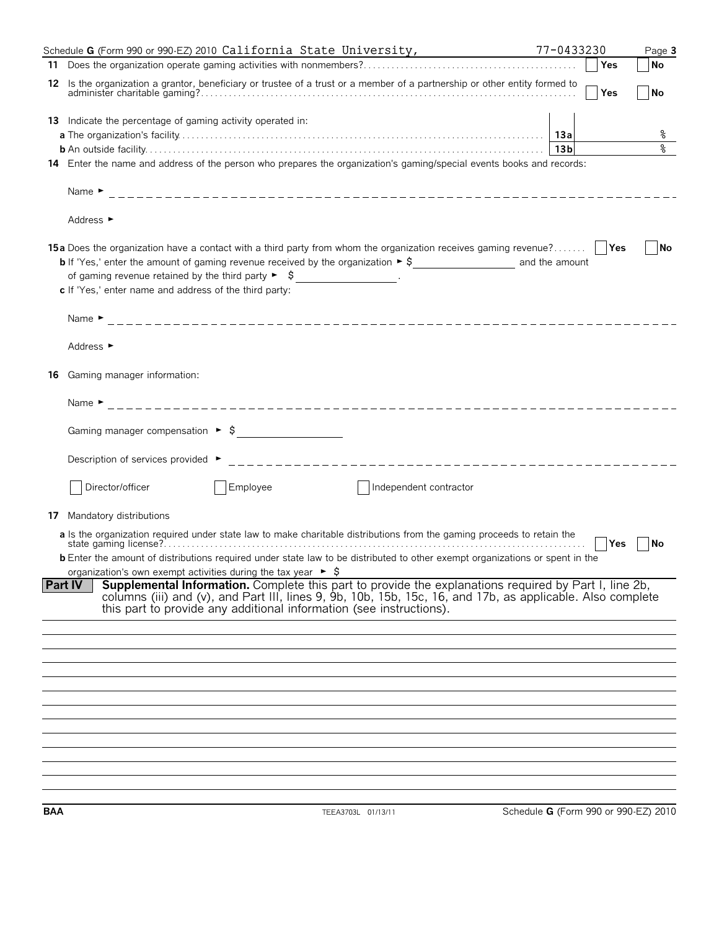|    | Schedule G (Form 990 or 990-EZ) 2010 California State University,                                                                                                                                                                                                                       | 77-0433230      | Page 3                      |
|----|-----------------------------------------------------------------------------------------------------------------------------------------------------------------------------------------------------------------------------------------------------------------------------------------|-----------------|-----------------------------|
|    |                                                                                                                                                                                                                                                                                         | Yes             | $\overline{\mathsf{No}}$    |
|    | 12 Is the organization a grantor, beneficiary or trustee of a trust or a member of a partnership or other entity formed to                                                                                                                                                              | <b>Yes</b>      | $\overline{\phantom{a}}$ No |
|    | <b>13</b> Indicate the percentage of gaming activity operated in:                                                                                                                                                                                                                       |                 |                             |
|    |                                                                                                                                                                                                                                                                                         |                 | ್ಠಿ                         |
|    |                                                                                                                                                                                                                                                                                         | 13 <sub>b</sub> | $\,{}^{\circ}\!$            |
|    | 14 Enter the name and address of the person who prepares the organization's gaming/special events books and records:                                                                                                                                                                    |                 |                             |
|    |                                                                                                                                                                                                                                                                                         |                 |                             |
|    | Address ►                                                                                                                                                                                                                                                                               |                 |                             |
|    | 15a Does the organization have a contact with a third party from whom the organization receives gaming revenue?                                                                                                                                                                         |                 | No                          |
|    | of gaming revenue retained by the third party $\triangleright$ $\uparrow$ $\downarrow$                                                                                                                                                                                                  |                 |                             |
|    | c If 'Yes,' enter name and address of the third party:                                                                                                                                                                                                                                  |                 |                             |
|    |                                                                                                                                                                                                                                                                                         |                 |                             |
|    | Address $\blacktriangleright$                                                                                                                                                                                                                                                           |                 |                             |
| 16 | Gaming manager information:                                                                                                                                                                                                                                                             |                 |                             |
|    |                                                                                                                                                                                                                                                                                         |                 |                             |
|    | Gaming manager compensation $\triangleright$ $\uparrow$                                                                                                                                                                                                                                 |                 |                             |
|    | Description of services provided ►                                                                                                                                                                                                                                                      |                 |                             |
|    | Director/officer<br>Employee<br>Independent contractor                                                                                                                                                                                                                                  |                 |                             |
| 17 | Mandatory distributions                                                                                                                                                                                                                                                                 |                 |                             |
|    | a Is the organization required under state law to make charitable distributions from the gaming proceeds to retain the                                                                                                                                                                  | ∣ ∣Yes          | No                          |
|    | <b>b</b> Enter the amount of distributions required under state law to be distributed to other exempt organizations or spent in the<br>organization's own exempt activities during the tax year $\triangleright$ \$                                                                     |                 |                             |
|    | <b>Part IV</b>                                                                                                                                                                                                                                                                          |                 |                             |
|    | Supplemental Information. Complete this part to provide the explanations required by Part I, line 2b, columns (iii) and (v), and Part III, lines 9, 9b, 10b, 15b, 15c, 16, and 17b, as applicable. Also complete<br>this part to provide any additional information (see instructions). |                 |                             |
|    |                                                                                                                                                                                                                                                                                         |                 |                             |
|    |                                                                                                                                                                                                                                                                                         |                 |                             |
|    |                                                                                                                                                                                                                                                                                         |                 |                             |
|    |                                                                                                                                                                                                                                                                                         |                 |                             |
|    |                                                                                                                                                                                                                                                                                         |                 |                             |
|    |                                                                                                                                                                                                                                                                                         |                 |                             |
|    |                                                                                                                                                                                                                                                                                         |                 |                             |
|    |                                                                                                                                                                                                                                                                                         |                 |                             |
|    |                                                                                                                                                                                                                                                                                         |                 |                             |
|    |                                                                                                                                                                                                                                                                                         |                 |                             |
|    |                                                                                                                                                                                                                                                                                         |                 |                             |
|    |                                                                                                                                                                                                                                                                                         |                 |                             |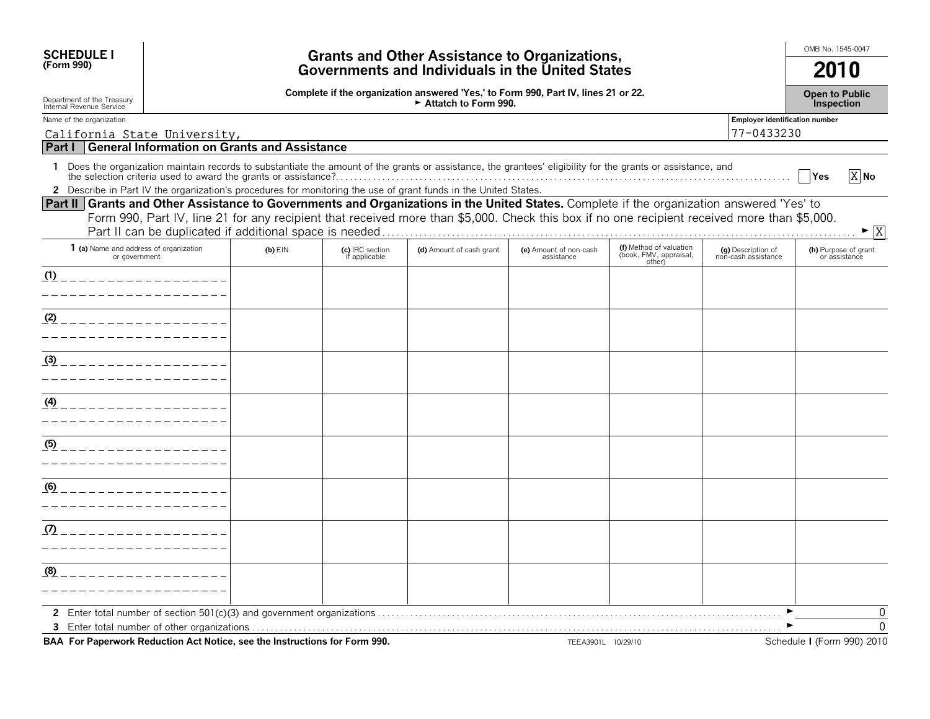| <b>SCHEDULE I</b>                                                                                                                         |                                                                 |                                  | <b>Grants and Other Assistance to Organizations,</b>                                                                                                                                                                                                                            |                                      |                                                             |                                              | OMB No. 1545-0047                          |
|-------------------------------------------------------------------------------------------------------------------------------------------|-----------------------------------------------------------------|----------------------------------|---------------------------------------------------------------------------------------------------------------------------------------------------------------------------------------------------------------------------------------------------------------------------------|--------------------------------------|-------------------------------------------------------------|----------------------------------------------|--------------------------------------------|
| (Form 990)                                                                                                                                |                                                                 |                                  | Governments and Individuals in the United States                                                                                                                                                                                                                                |                                      |                                                             |                                              | 2010                                       |
| Department of the Treasury<br>Internal Revenue Service                                                                                    |                                                                 |                                  | Complete if the organization answered 'Yes,' to Form 990, Part IV, lines 21 or 22.<br>Attatch to Form 990.                                                                                                                                                                      |                                      |                                                             |                                              | <b>Open to Public</b><br><b>Inspection</b> |
| Name of the organization<br>California State University,                                                                                  |                                                                 |                                  |                                                                                                                                                                                                                                                                                 |                                      |                                                             | Employer identification number<br>77-0433230 |                                            |
| Part I                                                                                                                                    | <b>General Information on Grants and Assistance</b>             |                                  |                                                                                                                                                                                                                                                                                 |                                      |                                                             |                                              |                                            |
|                                                                                                                                           |                                                                 |                                  | 1 Does the organization maintain records to substantiate the amount of the grants or assistance, the grantees' eligibility for the grants or assistance, and<br>2 Describe in Part IV the organization's procedures for monitoring the use of grant funds in the United States. |                                      |                                                             |                                              | $\overline{X}$ No<br>  Yes                 |
| Part II Grants and Other Assistance to Governments and Organizations in the United States. Complete if the organization answered 'Yes' to |                                                                 |                                  | Form 990, Part IV, line 21 for any recipient that received more than \$5,000. Check this box if no one recipient received more than \$5,000.                                                                                                                                    |                                      |                                                             |                                              | $\blacktriangleright$ X                    |
| 1 (a) Name and address of organization<br>or government                                                                                   | $(b)$ EIN                                                       | (c) IRC section<br>if applicable | (d) Amount of cash grant                                                                                                                                                                                                                                                        | (e) Amount of non-cash<br>assistance | (f) Method of valuation<br>(book, FMV, appraisal,<br>other) | (g) Description of<br>non-cash assistance    | (h) Purpose of grant<br>or assistance      |
| (1)                                                                                                                                       |                                                                 |                                  |                                                                                                                                                                                                                                                                                 |                                      |                                                             |                                              |                                            |
| (2)                                                                                                                                       |                                                                 |                                  |                                                                                                                                                                                                                                                                                 |                                      |                                                             |                                              |                                            |
| $\frac{(3)}{(2)}$ _ _ _ _ _ _ _ _ _ _ _ _ _ _ _                                                                                           |                                                                 |                                  |                                                                                                                                                                                                                                                                                 |                                      |                                                             |                                              |                                            |
| (4)                                                                                                                                       |                                                                 |                                  |                                                                                                                                                                                                                                                                                 |                                      |                                                             |                                              |                                            |
| (5)                                                                                                                                       |                                                                 |                                  |                                                                                                                                                                                                                                                                                 |                                      |                                                             |                                              |                                            |
| (6)<br>_______________                                                                                                                    |                                                                 |                                  |                                                                                                                                                                                                                                                                                 |                                      |                                                             |                                              |                                            |
| (7)                                                                                                                                       |                                                                 |                                  |                                                                                                                                                                                                                                                                                 |                                      |                                                             |                                              |                                            |
| (8)                                                                                                                                       |                                                                 |                                  |                                                                                                                                                                                                                                                                                 |                                      |                                                             |                                              |                                            |
|                                                                                                                                           | $\mathbf{a}$ and $\mathbf{a}$ and $\mathbf{a}$ and $\mathbf{a}$ |                                  |                                                                                                                                                                                                                                                                                 |                                      |                                                             |                                              | 0<br>$\Omega$                              |

**BAA For Paperwork Reduction Act Notice, see the Instructions for Form 990.** TEEA3901L 10/29/10 SChedule I (Form 990) 2010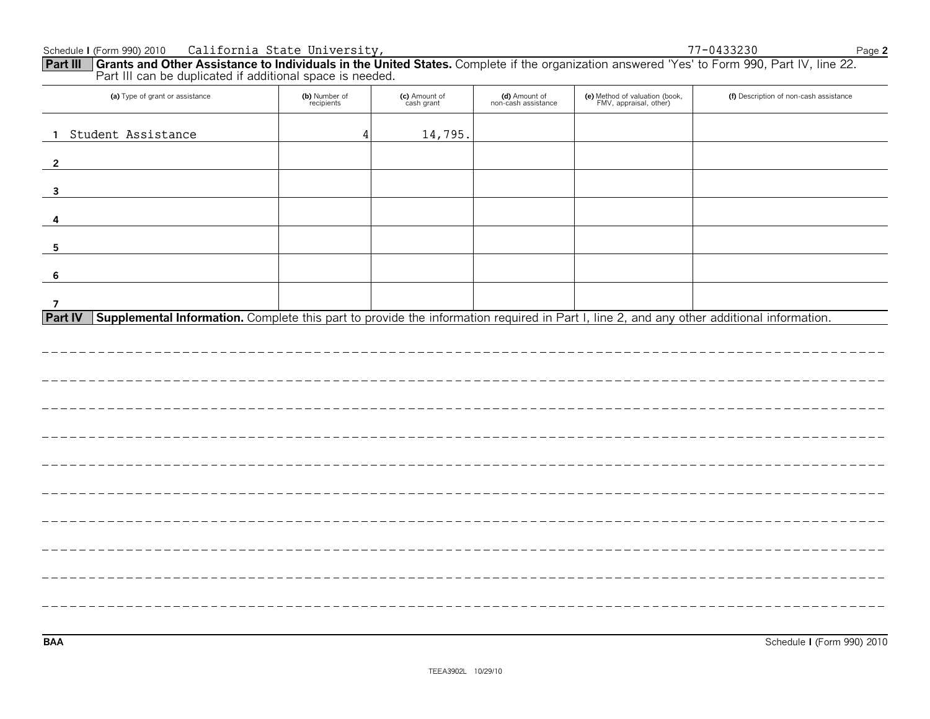| Schedule I (Form 990) 2010                                                                                                                                                                                        | California State University, |                             |                                      |                                                          | 77-0433230                             | Page 2 |
|-------------------------------------------------------------------------------------------------------------------------------------------------------------------------------------------------------------------|------------------------------|-----------------------------|--------------------------------------|----------------------------------------------------------|----------------------------------------|--------|
| Part III Grants and Other Assistance to Individuals in the United States. Complete if the organization answered 'Yes' to Form 990, Part IV, line 22.<br>Part III can be duplicated if additional space is needed. |                              |                             |                                      |                                                          |                                        |        |
| (a) Type of grant or assistance                                                                                                                                                                                   | (b) Number of<br>recipients  | (c) Amount of<br>cash grant | (d) Amount of<br>non-cash assistance | (e) Method of valuation (book,<br>FMV, appraisal, other) | (f) Description of non-cash assistance |        |
| Student Assistance<br>-1.                                                                                                                                                                                         |                              | 14,795.                     |                                      |                                                          |                                        |        |
| $\overline{2}$                                                                                                                                                                                                    |                              |                             |                                      |                                                          |                                        |        |
| $\overline{\mathbf{3}}$                                                                                                                                                                                           |                              |                             |                                      |                                                          |                                        |        |
|                                                                                                                                                                                                                   |                              |                             |                                      |                                                          |                                        |        |
| 5                                                                                                                                                                                                                 |                              |                             |                                      |                                                          |                                        |        |
| -6                                                                                                                                                                                                                |                              |                             |                                      |                                                          |                                        |        |
| 7<br>Supplemental Information. Complete this part to provide the information required in Part I, line 2, and any other additional information.<br><b>Part IV</b>                                                  |                              |                             |                                      |                                                          |                                        |        |
|                                                                                                                                                                                                                   |                              |                             |                                      |                                                          |                                        |        |
|                                                                                                                                                                                                                   |                              |                             |                                      |                                                          |                                        |        |
|                                                                                                                                                                                                                   |                              |                             |                                      |                                                          |                                        |        |
|                                                                                                                                                                                                                   |                              |                             |                                      |                                                          |                                        |        |
|                                                                                                                                                                                                                   |                              |                             |                                      |                                                          |                                        |        |
|                                                                                                                                                                                                                   |                              |                             |                                      |                                                          |                                        |        |
|                                                                                                                                                                                                                   |                              |                             |                                      |                                                          |                                        |        |
|                                                                                                                                                                                                                   |                              |                             |                                      |                                                          |                                        |        |
|                                                                                                                                                                                                                   |                              |                             |                                      |                                                          |                                        |        |
|                                                                                                                                                                                                                   |                              |                             |                                      |                                                          |                                        |        |

**BAA** Schedule **I** (Form 990) 2010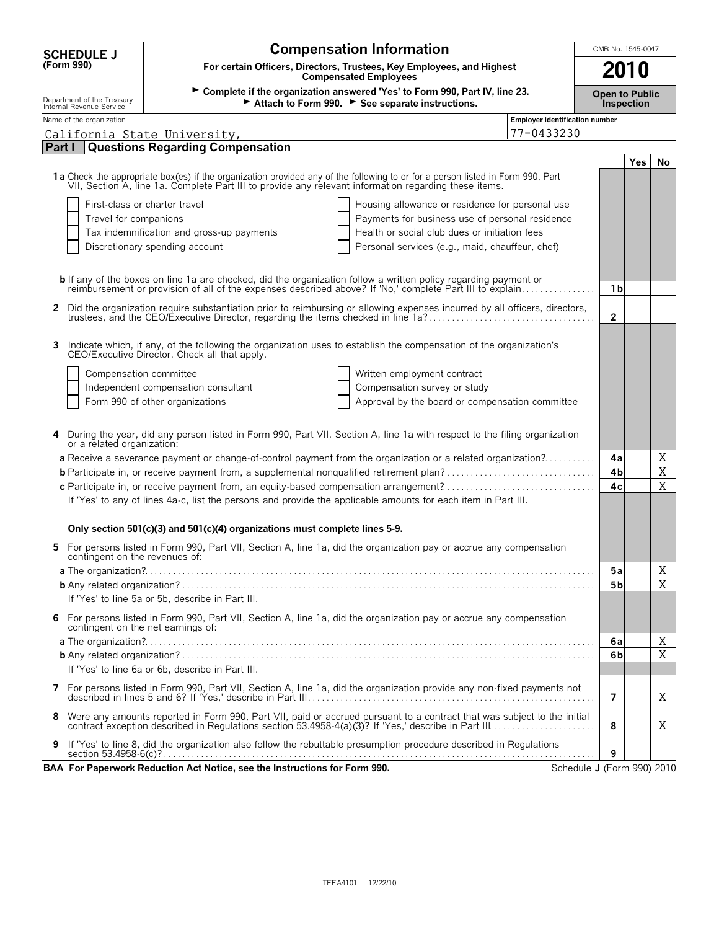| <b>Compensation Information</b><br>OMB No. 1545-0047<br><b>SCHEDULE J</b>                  |                                                                                                                                                                                                                                         |                            |            |    |  |  |  |  |
|--------------------------------------------------------------------------------------------|-----------------------------------------------------------------------------------------------------------------------------------------------------------------------------------------------------------------------------------------|----------------------------|------------|----|--|--|--|--|
| (Form 990)                                                                                 | For certain Officers, Directors, Trustees, Key Employees, and Highest<br><b>Compensated Employees</b>                                                                                                                                   |                            | 2010       |    |  |  |  |  |
| Department of the Treasury<br>Internal Revenue Service                                     | > Complete if the organization answered 'Yes' to Form 990, Part IV, line 23.<br>Attach to Form 990. See separate instructions.                                                                                                          | <b>Open to Public</b>      | Inspection |    |  |  |  |  |
| Name of the organization                                                                   | <b>Employer identification number</b>                                                                                                                                                                                                   |                            |            |    |  |  |  |  |
| California State University,                                                               | 77-0433230                                                                                                                                                                                                                              |                            |            |    |  |  |  |  |
| Part I                                                                                     | <b>Questions Regarding Compensation</b>                                                                                                                                                                                                 |                            |            |    |  |  |  |  |
|                                                                                            | 1a Check the appropriate box(es) if the organization provided any of the following to or for a person listed in Form 990, Part<br>VII, Section A, line 1a. Complete Part III to provide any relevant information regarding these items. |                            | Yes        | No |  |  |  |  |
|                                                                                            | First-class or charter travel<br>Housing allowance or residence for personal use                                                                                                                                                        |                            |            |    |  |  |  |  |
| Travel for companions                                                                      | Payments for business use of personal residence                                                                                                                                                                                         |                            |            |    |  |  |  |  |
| Health or social club dues or initiation fees<br>Tax indemnification and gross-up payments |                                                                                                                                                                                                                                         |                            |            |    |  |  |  |  |
|                                                                                            | Discretionary spending account<br>Personal services (e.g., maid, chauffeur, chef)                                                                                                                                                       |                            |            |    |  |  |  |  |
|                                                                                            |                                                                                                                                                                                                                                         |                            |            |    |  |  |  |  |
|                                                                                            |                                                                                                                                                                                                                                         |                            |            |    |  |  |  |  |
|                                                                                            | <b>b</b> If any of the boxes on line 1a are checked, did the organization follow a written policy regarding payment or reimbursement or provision of all of the expenses described above? If 'No,' complete Part III to explain         | 1 b                        |            |    |  |  |  |  |
|                                                                                            |                                                                                                                                                                                                                                         |                            |            |    |  |  |  |  |
|                                                                                            | 2 Did the organization require substantiation prior to reimbursing or allowing expenses incurred by all officers, directors, trustees, and the CEO/Executive Director, regarding the items checked in line 1a?                          | $\mathbf{2}$               |            |    |  |  |  |  |
|                                                                                            |                                                                                                                                                                                                                                         |                            |            |    |  |  |  |  |
| 3                                                                                          | Indicate which, if any, of the following the organization uses to establish the compensation of the organization's<br>CEO/Executive Director. Check all that apply.                                                                     |                            |            |    |  |  |  |  |
|                                                                                            |                                                                                                                                                                                                                                         |                            |            |    |  |  |  |  |
| Compensation committee                                                                     | Written employment contract                                                                                                                                                                                                             |                            |            |    |  |  |  |  |
|                                                                                            | Independent compensation consultant<br>Compensation survey or study                                                                                                                                                                     |                            |            |    |  |  |  |  |
|                                                                                            | Form 990 of other organizations<br>Approval by the board or compensation committee                                                                                                                                                      |                            |            |    |  |  |  |  |
| or a related organization:                                                                 | 4 During the year, did any person listed in Form 990, Part VII, Section A, line 1a with respect to the filing organization                                                                                                              |                            |            |    |  |  |  |  |
|                                                                                            | a Receive a severance payment or change-of-control payment from the organization or a related organization?                                                                                                                             | 4a                         |            | Χ  |  |  |  |  |
|                                                                                            | <b>b</b> Participate in, or receive payment from, a supplemental nonqualified retirement plan?                                                                                                                                          | 4b                         |            | X  |  |  |  |  |
|                                                                                            | c Participate in, or receive payment from, an equity-based compensation arrangement?                                                                                                                                                    | 4c                         |            | X  |  |  |  |  |
|                                                                                            | If 'Yes' to any of lines 4a-c, list the persons and provide the applicable amounts for each item in Part III.                                                                                                                           |                            |            |    |  |  |  |  |
|                                                                                            | Only section 501(c)(3) and 501(c)(4) organizations must complete lines 5-9.                                                                                                                                                             |                            |            |    |  |  |  |  |
| contingent on the revenues of:                                                             | For persons listed in Form 990, Part VII, Section A, line 1a, did the organization pay or accrue any compensation                                                                                                                       |                            |            |    |  |  |  |  |
|                                                                                            |                                                                                                                                                                                                                                         | 5a                         |            | Χ  |  |  |  |  |
|                                                                                            |                                                                                                                                                                                                                                         | 5b                         |            | X  |  |  |  |  |
|                                                                                            | If 'Yes' to line 5a or 5b, describe in Part III.                                                                                                                                                                                        |                            |            |    |  |  |  |  |
| contingent on the net earnings of:                                                         | 6 For persons listed in Form 990, Part VII, Section A, line 1a, did the organization pay or accrue any compensation                                                                                                                     |                            |            |    |  |  |  |  |
|                                                                                            |                                                                                                                                                                                                                                         | 6a                         |            | Χ  |  |  |  |  |
|                                                                                            |                                                                                                                                                                                                                                         | 6b                         |            | X  |  |  |  |  |
|                                                                                            | If 'Yes' to line 6a or 6b, describe in Part III.                                                                                                                                                                                        |                            |            |    |  |  |  |  |
|                                                                                            |                                                                                                                                                                                                                                         | $\overline{7}$             |            | Χ  |  |  |  |  |
| 8.                                                                                         | Were any amounts reported in Form 990, Part VII, paid or accrued pursuant to a contract that was subject to the initial contract exception described in Regulations section 53.4958-4(a)(3)? If 'Yes,' describe in Part III             | 8                          |            | Χ  |  |  |  |  |
| 9                                                                                          | If 'Yes' to line 8, did the organization also follow the rebuttable presumption procedure described in Regulations                                                                                                                      | 9                          |            |    |  |  |  |  |
|                                                                                            | BAA For Paperwork Reduction Act Notice, see the Instructions for Form 990.                                                                                                                                                              | Schedule J (Form 990) 2010 |            |    |  |  |  |  |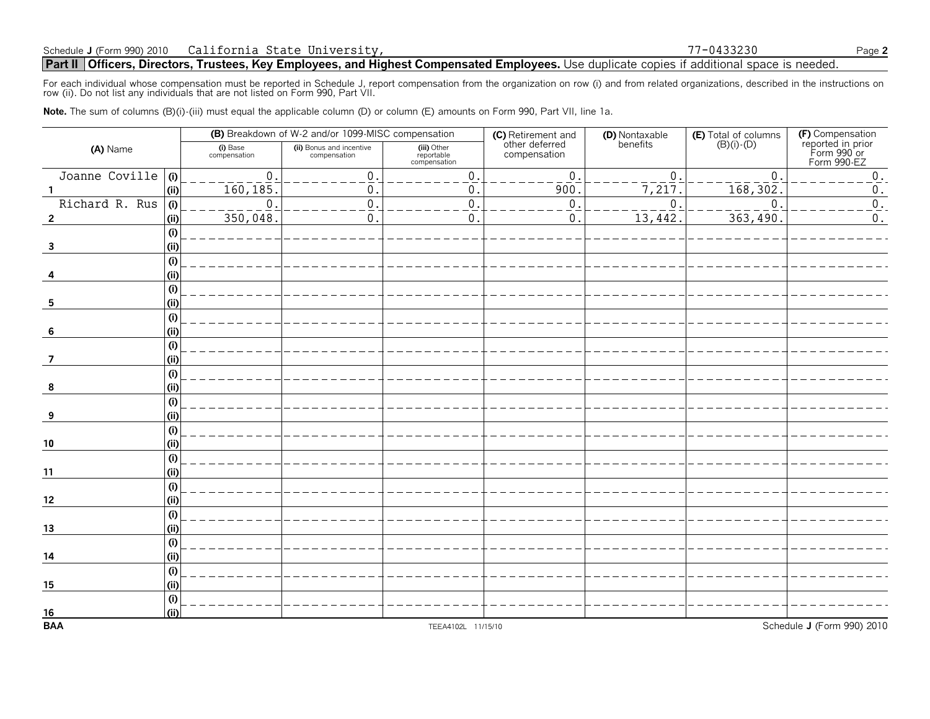**Part II** Officers, Directors, Trustees, Key Employees, and Highest Compensated Employees. Use duplicate copies if additional space is needed.

For each individual whose compensation must be reported in Schedule J, report compensation from the organization on row (i) and from related organizations, described in the instructions on<br>row (ii). Do not list any individ

Note. The sum of columns (B)(i)-(iii) must equal the applicable column (D) or column (E) amounts on Form 990, Part VII, line 1a.

|                           |            |                          | (B) Breakdown of W-2 and/or 1099-MISC compensation |                                           | (C) Retirement and<br>other deferred | (D) Nontaxable<br>benefits | <b>(E)</b> Total of columns $(B)(i) \cdot (D)$ |                                                                     |
|---------------------------|------------|--------------------------|----------------------------------------------------|-------------------------------------------|--------------------------------------|----------------------------|------------------------------------------------|---------------------------------------------------------------------|
| (A) Name                  |            | (i) Base<br>compensation | (ii) Bonus and incentive<br>compensation           | (iii) Other<br>reportable<br>compensation | compensation                         |                            |                                                | (F) Compensation<br>reported in prior<br>Form 990 or<br>Form 990-EZ |
| Joanne Coville (i)        |            | $\mathbf 0$ .            | $\boldsymbol{0}$ .                                 | 0.                                        | 0.                                   | $\overline{0}$ .           | $\mathbf 0$                                    | $0$ .                                                               |
|                           | (i)        | 160, 185.                | 0.                                                 | 0.                                        | 900                                  | $\overline{7,217}$         | 168,302                                        | $\boldsymbol{0}$ .                                                  |
| Richard R. Rus $(i)$      |            | $\Omega$                 | $0$ .                                              | 0.                                        | 0.                                   | $\Omega$                   | $\Omega$                                       | $0$ .                                                               |
| $\overline{2}$            | (i)        | 350,048.                 | 0.                                                 | 0.                                        | 0.                                   | $\overline{13,442}$        | 363,490                                        | $\mathbf 0$ .                                                       |
|                           | (i)        |                          |                                                    |                                           |                                      |                            |                                                |                                                                     |
| $\mathbf{3}$              | (i)        |                          |                                                    |                                           |                                      |                            |                                                |                                                                     |
|                           | (i)        |                          |                                                    |                                           |                                      |                            |                                                |                                                                     |
|                           | (i)        |                          |                                                    |                                           |                                      |                            |                                                |                                                                     |
|                           | (i)        |                          |                                                    |                                           |                                      |                            |                                                |                                                                     |
| 5                         | (i)        |                          |                                                    |                                           |                                      |                            |                                                |                                                                     |
|                           | (i)        |                          |                                                    |                                           |                                      |                            |                                                |                                                                     |
| -6                        | (ii)       |                          |                                                    |                                           |                                      |                            |                                                |                                                                     |
|                           | (i)        |                          |                                                    |                                           |                                      |                            |                                                |                                                                     |
| $\overline{7}$            | (i)        |                          |                                                    |                                           |                                      |                            |                                                |                                                                     |
|                           | (i)        |                          |                                                    |                                           |                                      |                            |                                                |                                                                     |
| 8                         | (i)        |                          |                                                    |                                           |                                      |                            |                                                |                                                                     |
|                           | (i)        |                          |                                                    |                                           |                                      |                            |                                                |                                                                     |
| 9                         | (i)<br>(i) |                          |                                                    |                                           |                                      |                            |                                                |                                                                     |
| $10$                      | (i)        |                          |                                                    |                                           |                                      |                            |                                                |                                                                     |
|                           | (i)        |                          |                                                    |                                           |                                      |                            |                                                |                                                                     |
| 11                        | (i)        |                          |                                                    |                                           |                                      |                            |                                                |                                                                     |
|                           | (i)        |                          |                                                    |                                           |                                      |                            |                                                |                                                                     |
| 12                        | (ii)       |                          |                                                    |                                           |                                      |                            |                                                |                                                                     |
|                           | (i)        |                          |                                                    |                                           |                                      |                            |                                                |                                                                     |
| 13                        | (i)        |                          |                                                    |                                           |                                      |                            |                                                |                                                                     |
|                           | (i)        |                          |                                                    |                                           |                                      |                            |                                                |                                                                     |
| 14                        | (i)        |                          |                                                    |                                           |                                      |                            |                                                |                                                                     |
|                           | (i)        |                          |                                                    |                                           |                                      |                            |                                                |                                                                     |
| 15                        | (i)        |                          |                                                    |                                           |                                      |                            |                                                |                                                                     |
|                           | (i)        |                          |                                                    |                                           |                                      |                            |                                                |                                                                     |
|                           | (i)        |                          |                                                    |                                           |                                      |                            |                                                |                                                                     |
| $\frac{16}{\mathsf{BAA}}$ |            |                          |                                                    | TEEA4102L 11/15/10                        |                                      |                            |                                                | Schedule J (Form 990) 2010                                          |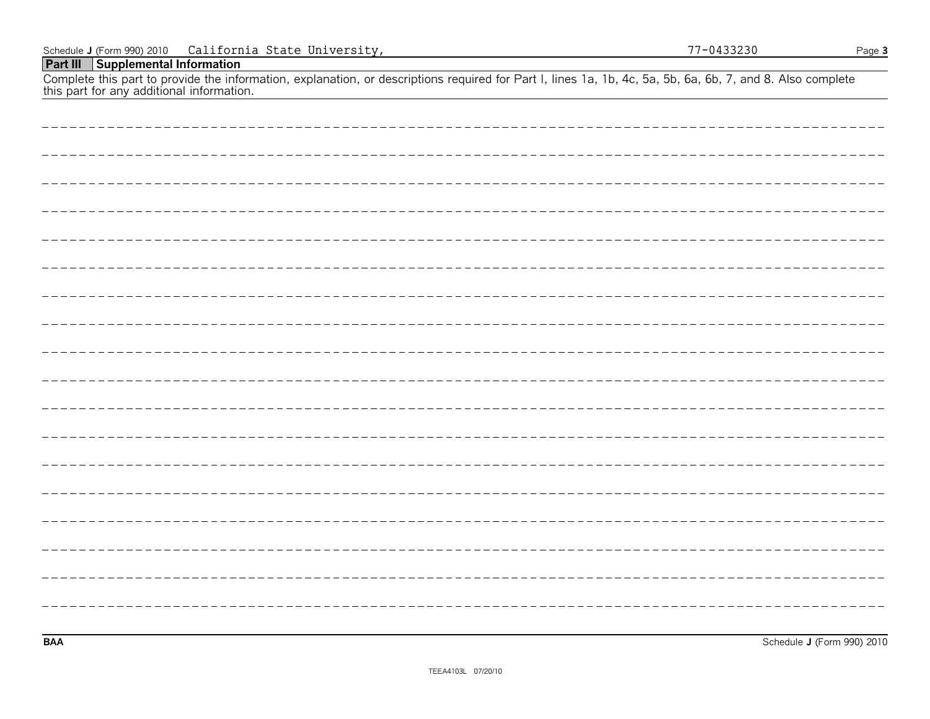| Schedule J (Form 990) 2010 California State University,                                                                                                                                                 | 77-0433230 | Page 3 |
|---------------------------------------------------------------------------------------------------------------------------------------------------------------------------------------------------------|------------|--------|
| <b>Part III</b> Supplemental Information                                                                                                                                                                |            |        |
| Complete this part to provide the information, explanation, or descriptions required for Part I, lines 1a, 1b, 4c, 5a, 5b, 6a, 6b, 7, and 8. Also complete<br>this part for any additional information. |            |        |
|                                                                                                                                                                                                         |            |        |
|                                                                                                                                                                                                         |            |        |
|                                                                                                                                                                                                         |            |        |
|                                                                                                                                                                                                         |            |        |
|                                                                                                                                                                                                         |            |        |
|                                                                                                                                                                                                         |            |        |
|                                                                                                                                                                                                         |            |        |
|                                                                                                                                                                                                         |            |        |

**BAA** Schedule **J** (Form 990) 2010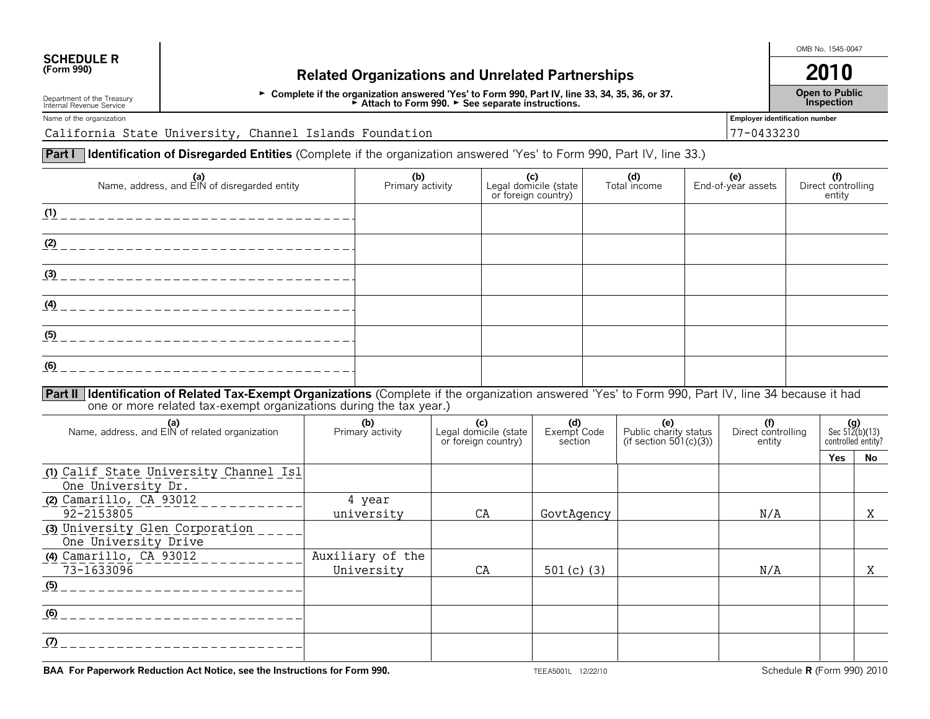# **SCHEDULE R**<br>(Form 990)

# **(Form 8)** Related Organizations and Unrelated Partnerships **2010**

G **Complete if the organization answered 'Yes' to Form 990, Part IV, line 33, 34, 35, 36, or 37.** G **Attach to Form 990.** G **See separate instructions.**

Department of the Treasury Internal Revenue Service

**Inspection** Name of the organization **Employer identification number** 

California State University, Channel Islands Foundation 77-0433230

**Part I | Identification of Disregarded Entities** (Complete if the organization answered 'Yes' to Form 990, Part IV, line 33.)

| (a)<br>Name, address, and EIN of disregarded entity                                                                                                                                                                          |  | (b)<br>(c)<br>Primary activity<br>Legal domicile (state<br>or foreign country) |                                                                                |    |                               | (d)<br>Total income |                                                           | (e)<br>End-of-year assets | (f)<br>Direct controlling<br>entity |  |                                                                   |   |
|------------------------------------------------------------------------------------------------------------------------------------------------------------------------------------------------------------------------------|--|--------------------------------------------------------------------------------|--------------------------------------------------------------------------------|----|-------------------------------|---------------------|-----------------------------------------------------------|---------------------------|-------------------------------------|--|-------------------------------------------------------------------|---|
|                                                                                                                                                                                                                              |  |                                                                                |                                                                                |    |                               |                     |                                                           |                           |                                     |  |                                                                   |   |
|                                                                                                                                                                                                                              |  |                                                                                |                                                                                |    |                               |                     |                                                           |                           |                                     |  |                                                                   |   |
|                                                                                                                                                                                                                              |  |                                                                                |                                                                                |    |                               |                     |                                                           |                           |                                     |  |                                                                   |   |
|                                                                                                                                                                                                                              |  |                                                                                |                                                                                |    |                               |                     |                                                           |                           |                                     |  |                                                                   |   |
|                                                                                                                                                                                                                              |  |                                                                                |                                                                                |    |                               |                     |                                                           |                           |                                     |  |                                                                   |   |
| (6)                                                                                                                                                                                                                          |  |                                                                                |                                                                                |    |                               |                     |                                                           |                           |                                     |  |                                                                   |   |
| Part II   Identification of Related Tax-Exempt Organizations (Complete if the organization answered 'Yes' to Form 990, Part IV, line 34 because it had<br>one or more related tax-exempt organizations during the tax year.) |  |                                                                                |                                                                                |    |                               |                     |                                                           |                           |                                     |  |                                                                   |   |
| (a)<br>Name, address, and EIN of related organization                                                                                                                                                                        |  |                                                                                | (b)<br>(c)<br>Primary activity<br>Legal domicile (state<br>or foreign country) |    | (d)<br>Exempt Code<br>section |                     | (e)<br>Public charity status<br>(if section $501(c)(3)$ ) |                           | (f)<br>Direct controlling<br>entity |  | (g)<br>Sec $512(b)(13)$<br>controlled entity?<br><b>Yes</b><br>No |   |
| (1) Calif State University Channel Isl<br>One University Dr.                                                                                                                                                                 |  |                                                                                |                                                                                |    |                               |                     |                                                           |                           |                                     |  |                                                                   |   |
| $(2)$ Camarillo, CA 93012<br>92-2153805                                                                                                                                                                                      |  | 4 year<br>university                                                           | CA                                                                             |    | GovtAgency                    |                     |                                                           |                           | N/A                                 |  |                                                                   | X |
| (3) University Glen Corporation<br>One University Drive                                                                                                                                                                      |  |                                                                                |                                                                                |    |                               |                     |                                                           |                           |                                     |  |                                                                   |   |
| (4) Camarillo, CA 93012<br>73-1633096                                                                                                                                                                                        |  | Auxiliary of the<br>University                                                 |                                                                                | CA | 501 $(c)$ $(3)$               |                     |                                                           |                           | N/A                                 |  |                                                                   | X |
|                                                                                                                                                                                                                              |  |                                                                                |                                                                                |    |                               |                     |                                                           |                           |                                     |  |                                                                   |   |
| <u> 1989 - Johann Barn, mars ann an t-Amhain Aonaichte ann an t-Aonaichte ann an t-Aonaichte ann an t-Aonaichte a</u>                                                                                                        |  |                                                                                |                                                                                |    |                               |                     |                                                           |                           |                                     |  |                                                                   |   |
|                                                                                                                                                                                                                              |  |                                                                                |                                                                                |    |                               |                     |                                                           |                           |                                     |  |                                                                   |   |

OMB No. 1545-0047

**Open to Public**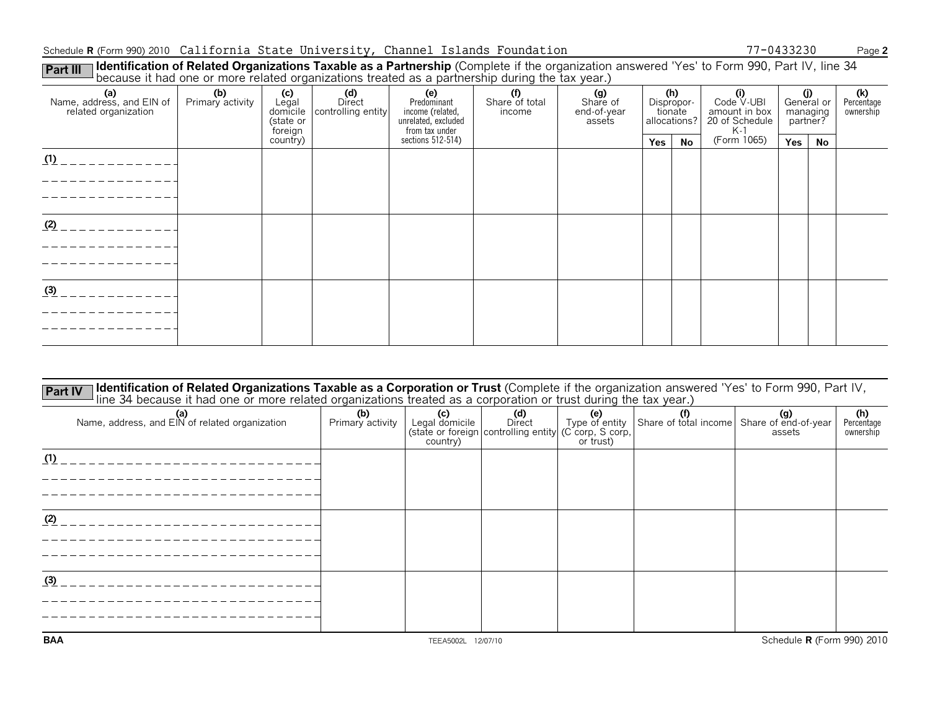### Schedule **R** (Form 990) 2010 Page **2** California State University, Channel Islands Foundation 77-0433230

**Identification of Related Organizations Taxable as a Partnership** (Complete if the organization answered 'Yes' to Form 990, Part IV, line 34 **Part III** | **Identification of Related Organizations Taxable as a Partnership** (Complete if the organization<br>because it had one or more related organizations treated as a partnership during the tax year.)

| (a)<br>Name, address, and EIN of<br>related organization | (b)<br>Primary activity | $(c)$<br>Legal<br>(state or<br>foreign | (d)<br>Direct<br>domicile controlling entity | (e)<br>Predominant<br>income (related,<br>unrelated, excluded<br>from tax under | (f)<br>Share of total<br>income | (g)<br>Share of<br>end-of-year<br>assets | (h)<br>Dispropor-<br>tionate<br>allocations? |    | $\overset{\textbf{(i)}}{\text{Code V-UBI}}$<br>amount in box<br>20 of Schedule<br>$K-1$ | (i)<br>General or<br>managing<br>partner? |    | (k)<br>Percentage<br>ownership |
|----------------------------------------------------------|-------------------------|----------------------------------------|----------------------------------------------|---------------------------------------------------------------------------------|---------------------------------|------------------------------------------|----------------------------------------------|----|-----------------------------------------------------------------------------------------|-------------------------------------------|----|--------------------------------|
|                                                          |                         | country)                               |                                              | sections 512-514)                                                               |                                 |                                          | Yes                                          | No | (Form 1065)                                                                             | <b>Yes</b>                                | No |                                |
| (1)                                                      |                         |                                        |                                              |                                                                                 |                                 |                                          |                                              |    |                                                                                         |                                           |    |                                |
|                                                          |                         |                                        |                                              |                                                                                 |                                 |                                          |                                              |    |                                                                                         |                                           |    |                                |
|                                                          |                         |                                        |                                              |                                                                                 |                                 |                                          |                                              |    |                                                                                         |                                           |    |                                |
| (2)                                                      |                         |                                        |                                              |                                                                                 |                                 |                                          |                                              |    |                                                                                         |                                           |    |                                |
|                                                          |                         |                                        |                                              |                                                                                 |                                 |                                          |                                              |    |                                                                                         |                                           |    |                                |
|                                                          |                         |                                        |                                              |                                                                                 |                                 |                                          |                                              |    |                                                                                         |                                           |    |                                |
|                                                          |                         |                                        |                                              |                                                                                 |                                 |                                          |                                              |    |                                                                                         |                                           |    |                                |
| (3)                                                      |                         |                                        |                                              |                                                                                 |                                 |                                          |                                              |    |                                                                                         |                                           |    |                                |
|                                                          |                         |                                        |                                              |                                                                                 |                                 |                                          |                                              |    |                                                                                         |                                           |    |                                |
|                                                          |                         |                                        |                                              |                                                                                 |                                 |                                          |                                              |    |                                                                                         |                                           |    |                                |

| Identification of Related Organizations Taxable as a Corporation or Trust (Complete if the organization answered 'Yes' to Form 990, Part IV,<br><b>Part IV</b><br>line 34 because it had one or more related organizations treated as a corporation or trust during the tax year.) |                         |                                                 |                                                                        |                                    |                                            |                                   |                                |
|------------------------------------------------------------------------------------------------------------------------------------------------------------------------------------------------------------------------------------------------------------------------------------|-------------------------|-------------------------------------------------|------------------------------------------------------------------------|------------------------------------|--------------------------------------------|-----------------------------------|--------------------------------|
| (a)<br>Name, address, and EIN of related organization                                                                                                                                                                                                                              | (b)<br>Primary activity | $\left( c\right)$<br>Legal domicile<br>country) | (d)<br>Direct<br>(state or foreign controlling entity (C corp, S corp, | (e)<br>Type of entity<br>or trust) | Share of total income Share of end-of-year | assets                            | (h)<br>Percentage<br>ownership |
| (1)                                                                                                                                                                                                                                                                                |                         |                                                 |                                                                        |                                    |                                            |                                   |                                |
| (2)                                                                                                                                                                                                                                                                                |                         |                                                 |                                                                        |                                    |                                            |                                   |                                |
| (3)                                                                                                                                                                                                                                                                                |                         |                                                 |                                                                        |                                    |                                            |                                   |                                |
| <b>BAA</b>                                                                                                                                                                                                                                                                         |                         | TEEA5002L 12/07/10                              |                                                                        |                                    |                                            | Schedule <b>R</b> (Form 990) 2010 |                                |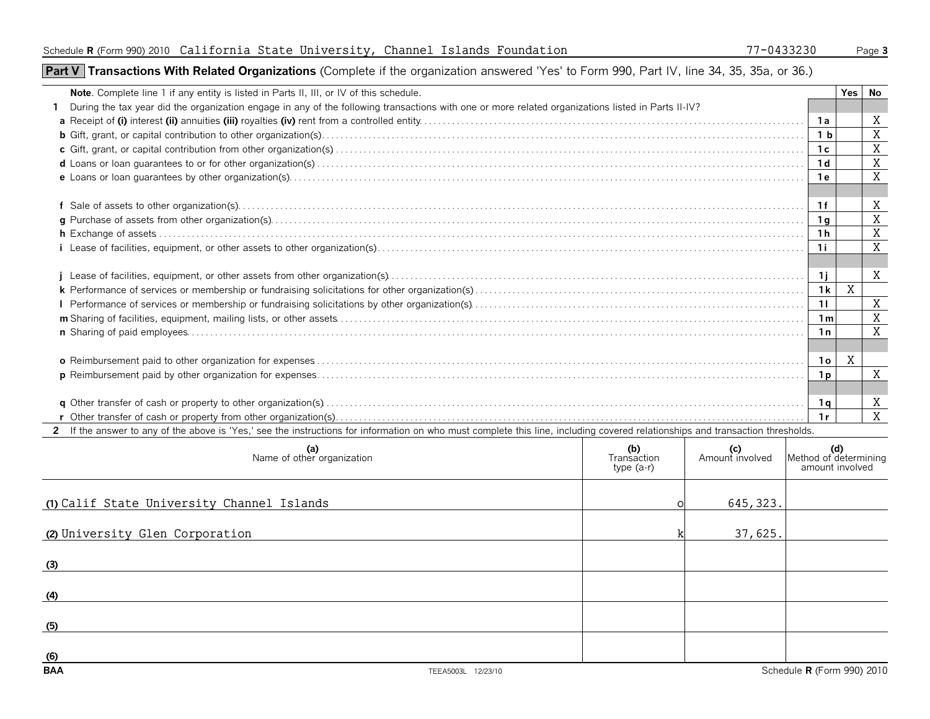# **Part V | Transactions With Related Organizations** (Complete if the organization answered 'Yes' to Form 990, Part IV, line 34, 35, 35a, or 36.)

| Note. Complete line 1 if any entity is listed in Parts II, III, or IV of this schedule.                                                                                        |                           |                                                                                                |                | Yes l    | No             |
|--------------------------------------------------------------------------------------------------------------------------------------------------------------------------------|---------------------------|------------------------------------------------------------------------------------------------|----------------|----------|----------------|
| During the tax year did the organization engage in any of the following transactions with one or more related organizations listed in Parts II-IV?                             |                           |                                                                                                |                |          |                |
|                                                                                                                                                                                |                           |                                                                                                | 1а             |          | X              |
|                                                                                                                                                                                |                           |                                                                                                | 1 <sub>b</sub> |          | $\mathbf X$    |
|                                                                                                                                                                                |                           |                                                                                                | 1c             |          | X              |
|                                                                                                                                                                                |                           |                                                                                                | 1 <sub>d</sub> |          | X              |
|                                                                                                                                                                                |                           |                                                                                                | 1 e            |          | X              |
|                                                                                                                                                                                |                           |                                                                                                | 1 f            |          | X              |
|                                                                                                                                                                                |                           |                                                                                                | 1 g            |          | $\mathbf X$    |
|                                                                                                                                                                                |                           |                                                                                                |                |          | $\mathbf X$    |
|                                                                                                                                                                                |                           |                                                                                                |                |          | X              |
|                                                                                                                                                                                |                           |                                                                                                | 1i             |          |                |
|                                                                                                                                                                                |                           |                                                                                                | 1i             |          | X              |
|                                                                                                                                                                                |                           |                                                                                                |                | X<br>1 k |                |
|                                                                                                                                                                                |                           |                                                                                                | 11             |          | X              |
|                                                                                                                                                                                |                           |                                                                                                | 1m             |          | $\overline{X}$ |
|                                                                                                                                                                                |                           |                                                                                                | 1n             |          | X              |
|                                                                                                                                                                                |                           |                                                                                                |                |          |                |
|                                                                                                                                                                                |                           |                                                                                                | <b>10</b>      | X        |                |
|                                                                                                                                                                                |                           |                                                                                                | 1p             |          | X              |
|                                                                                                                                                                                |                           |                                                                                                |                |          |                |
|                                                                                                                                                                                |                           |                                                                                                | - 1 q          |          | Χ              |
|                                                                                                                                                                                |                           |                                                                                                |                |          | X              |
| 2 If the answer to any of the above is 'Yes,' see the instructions for information on who must complete this line, including covered relationships and transaction thresholds. |                           |                                                                                                |                |          |                |
| $(a)$<br>Name of other organization                                                                                                                                            | (b)<br><b>Transaction</b> | $\begin{array}{c} \mathbf{(c)} \\ \text{Amount involved} \\ \end{array}$ Method of determining |                |          |                |

| (b)<br>Transaction<br>type $(a-r)$ | (c)<br>Amount involved | Method of determining<br>amount involved |
|------------------------------------|------------------------|------------------------------------------|
|                                    | 645, 323.              |                                          |
|                                    | 37,625.                |                                          |
|                                    |                        |                                          |
|                                    |                        |                                          |
|                                    |                        |                                          |
|                                    |                        | Schedule R (Form 990) 2010               |
| TEEA5003L 12/23/10                 |                        |                                          |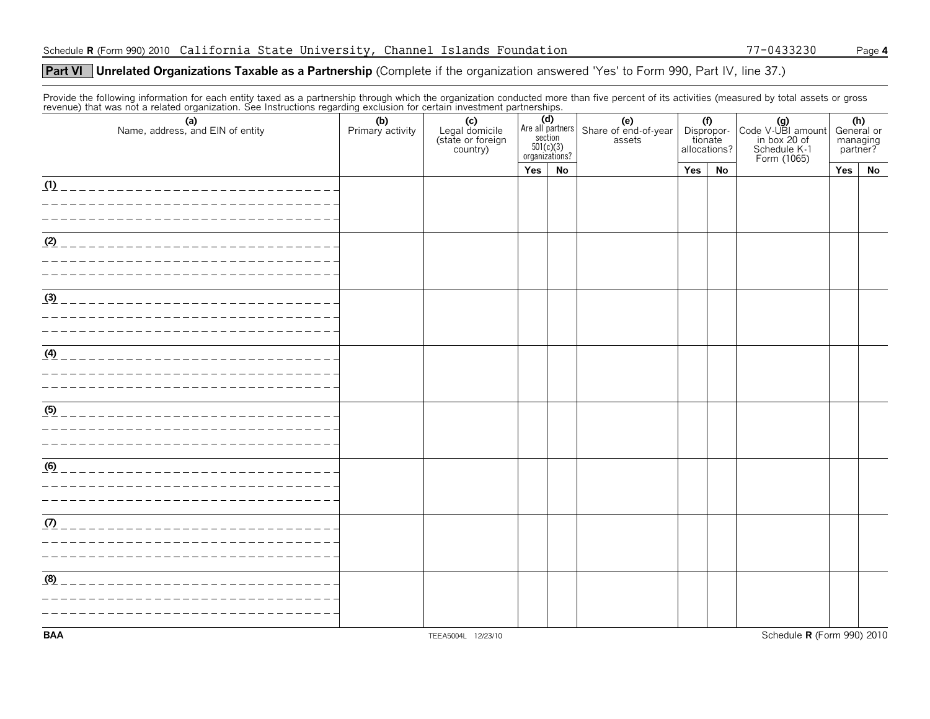## **Unrelated Organizations Taxable as a Partnership** (Complete if the organization answered 'Yes' to Form 990, Part IV, line 37.) **Part VI**

Provide the following information for each entity taxed as a partnership through which the organization conducted more than five percent of its activities (measured by total assets or gross<br>revenue) that was not a related

| (a)<br>Name, address, and EIN of entity | (b)<br>Primary activity | (c)<br>Legal domicile<br>(state or foreign<br>country) | Are all partners<br>$501(c)(3)$<br>organizations? |    | (e)<br>Share of end-of-year<br>assets | (f)<br>Dispropor-<br>tionate<br>allocations? |    | Code V-UBI amount<br>in box 20 of<br>Schedule K-1<br>Form (1065) | (h)<br>General or<br>managing<br>partner? |    |
|-----------------------------------------|-------------------------|--------------------------------------------------------|---------------------------------------------------|----|---------------------------------------|----------------------------------------------|----|------------------------------------------------------------------|-------------------------------------------|----|
|                                         |                         |                                                        | Yes                                               | No |                                       | Yes                                          | No |                                                                  | Yes                                       | No |
| (1)                                     |                         |                                                        |                                                   |    |                                       |                                              |    |                                                                  |                                           |    |
| (2)<br>_____________________            |                         |                                                        |                                                   |    |                                       |                                              |    |                                                                  |                                           |    |
| (3)                                     |                         |                                                        |                                                   |    |                                       |                                              |    |                                                                  |                                           |    |
| (4)                                     |                         |                                                        |                                                   |    |                                       |                                              |    |                                                                  |                                           |    |
| (5)                                     |                         |                                                        |                                                   |    |                                       |                                              |    |                                                                  |                                           |    |
| (6)                                     |                         |                                                        |                                                   |    |                                       |                                              |    |                                                                  |                                           |    |
| (7)                                     |                         |                                                        |                                                   |    |                                       |                                              |    |                                                                  |                                           |    |
| (8)                                     |                         |                                                        |                                                   |    |                                       |                                              |    |                                                                  |                                           |    |
| <b>BAA</b>                              |                         | TEEA5004L 12/23/10                                     |                                                   |    |                                       |                                              |    | Schedule R (Form 990) 2010                                       |                                           |    |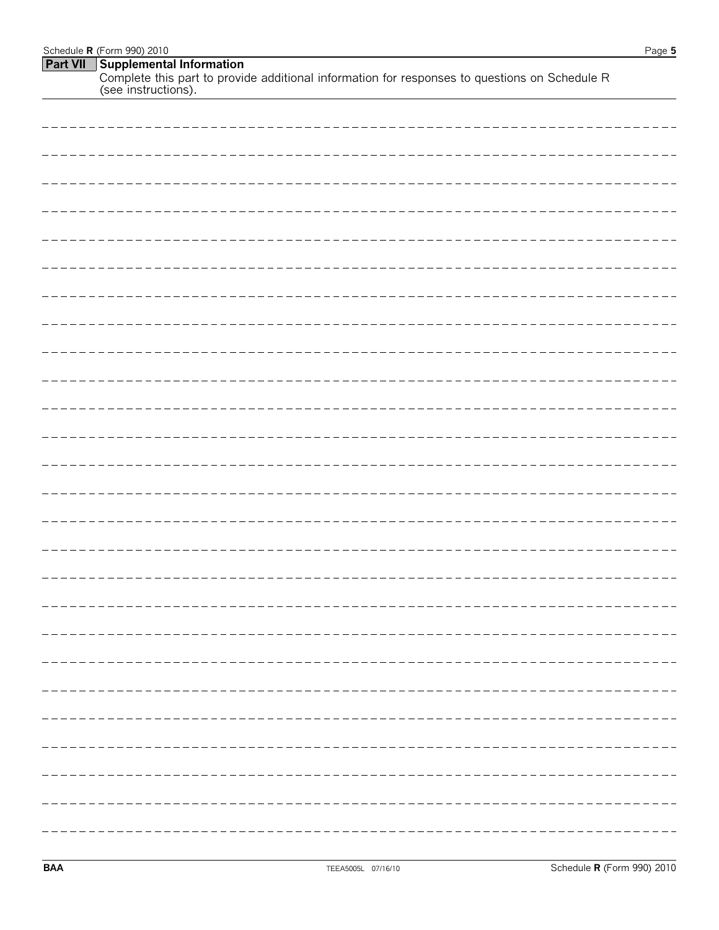| Schedule <b>R</b> (Form 990) 2010                                                                                    | Page 5 |
|----------------------------------------------------------------------------------------------------------------------|--------|
| <b>Part VII</b> Supplemental Information                                                                             |        |
| Complete this part to provide additional information for responses to questions on Schedule R<br>(see instructions). |        |

| --------------------------- |  |       |
|-----------------------------|--|-------|
|                             |  | ----- |
|                             |  |       |
|                             |  |       |
|                             |  |       |
|                             |  |       |
|                             |  | ----- |
|                             |  |       |
|                             |  |       |
|                             |  |       |
|                             |  |       |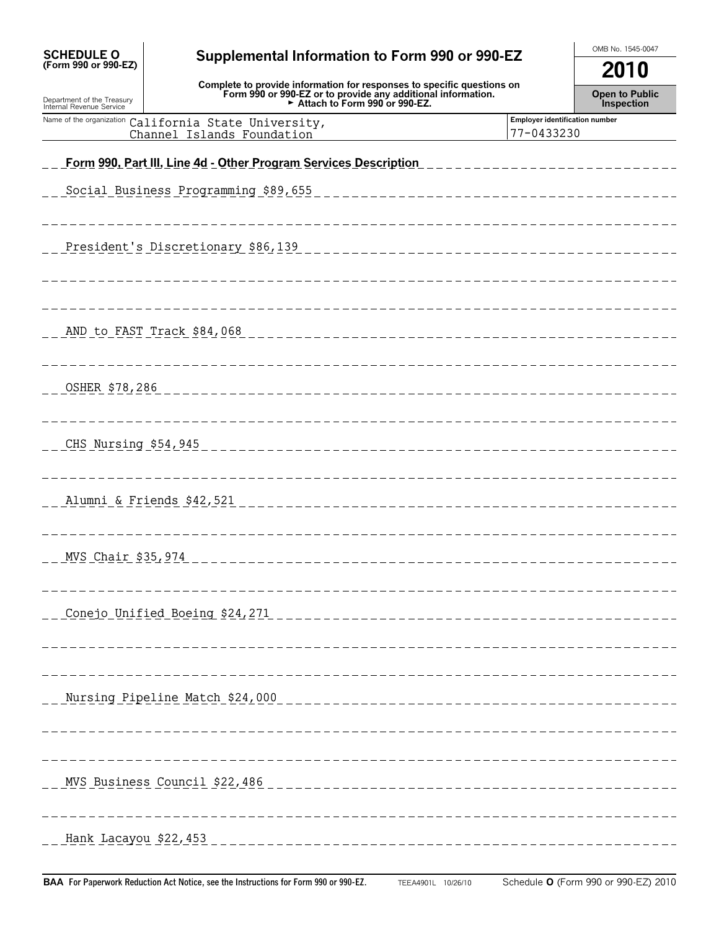| <b>SCHEDULE O</b><br>(Form 990 or 990-EZ)              | Supplemental Information to Form 990 or 990-EZ                                                                                                                          |                                              |                                             |  |  |
|--------------------------------------------------------|-------------------------------------------------------------------------------------------------------------------------------------------------------------------------|----------------------------------------------|---------------------------------------------|--|--|
| Department of the Treasury<br>Internal Revenue Service | Complete to provide information for responses to specific questions on<br>Form 990 or 990-EZ or to provide any additional information.<br>Attach to Form 990 or 990-EZ. |                                              | 2010<br><b>Open to Public</b><br>Inspection |  |  |
| Name of the organization                               | California State University,<br>Channel Islands Foundation                                                                                                              | Employer identification number<br>77-0433230 |                                             |  |  |
|                                                        |                                                                                                                                                                         |                                              |                                             |  |  |
|                                                        | Social Business Programming \$89,655                                                                                                                                    |                                              |                                             |  |  |
|                                                        |                                                                                                                                                                         |                                              |                                             |  |  |
|                                                        |                                                                                                                                                                         |                                              |                                             |  |  |
|                                                        | AND to FAST Track \$84,068                                                                                                                                              |                                              |                                             |  |  |
| OSHER \$78,286                                         |                                                                                                                                                                         |                                              |                                             |  |  |
|                                                        | ------------                                                                                                                                                            |                                              |                                             |  |  |
|                                                        |                                                                                                                                                                         |                                              |                                             |  |  |
|                                                        | ------------                                                                                                                                                            |                                              |                                             |  |  |
|                                                        |                                                                                                                                                                         |                                              |                                             |  |  |
|                                                        |                                                                                                                                                                         |                                              |                                             |  |  |
|                                                        | MVS Chair \$35, 974 ________<br>---------------------------------                                                                                                       |                                              |                                             |  |  |
|                                                        |                                                                                                                                                                         |                                              |                                             |  |  |
|                                                        |                                                                                                                                                                         |                                              |                                             |  |  |
|                                                        |                                                                                                                                                                         |                                              |                                             |  |  |
|                                                        |                                                                                                                                                                         |                                              |                                             |  |  |
|                                                        |                                                                                                                                                                         |                                              |                                             |  |  |
|                                                        |                                                                                                                                                                         |                                              |                                             |  |  |
|                                                        |                                                                                                                                                                         |                                              |                                             |  |  |
|                                                        |                                                                                                                                                                         |                                              |                                             |  |  |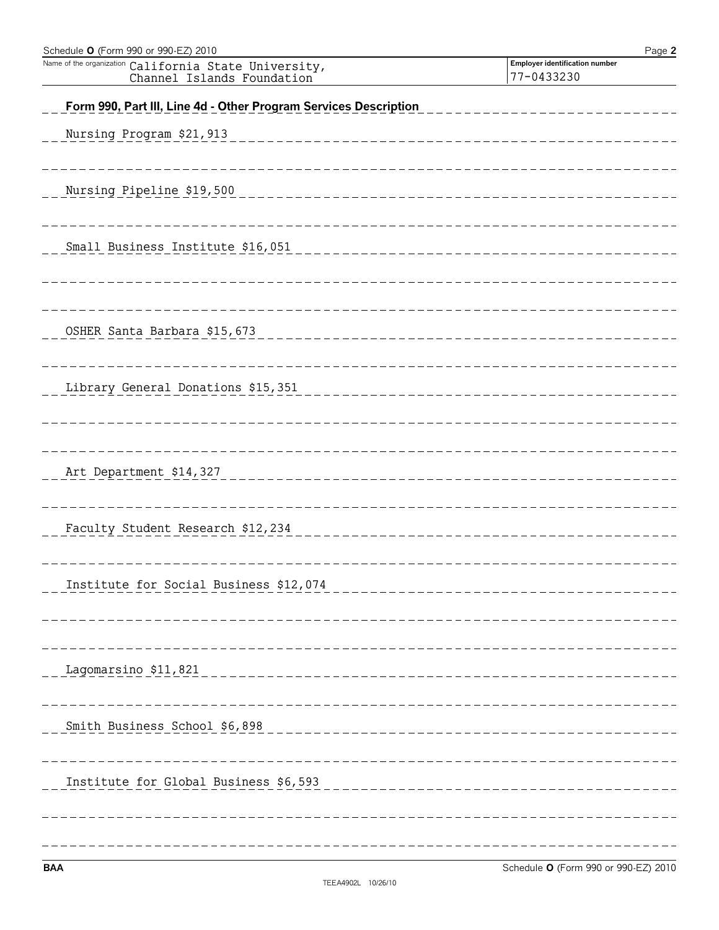| Schedule O (Form 990 or 990-EZ) 2010                                                | Page 2                                       |
|-------------------------------------------------------------------------------------|----------------------------------------------|
| Name of the organization California State University,<br>Channel Islands Foundation | Employer identification number<br>77-0433230 |
| Form 990, Part III, Line 4d - Other Program Services Description                    |                                              |
| Nursing Program \$21,913                                                            |                                              |
|                                                                                     |                                              |
| Nursing Pipeline \$19,500                                                           |                                              |
|                                                                                     |                                              |
| Small Business Institute \$16,051                                                   |                                              |
|                                                                                     |                                              |
|                                                                                     |                                              |
| OSHER Santa Barbara \$15,673                                                        |                                              |
|                                                                                     |                                              |
| Library General Donations \$15,351                                                  |                                              |
|                                                                                     |                                              |
| Art Department \$14,327                                                             |                                              |
|                                                                                     |                                              |
| Faculty Student Research \$12,234                                                   |                                              |
|                                                                                     |                                              |
| Institute for Social Business \$12,074                                              |                                              |
|                                                                                     |                                              |
|                                                                                     |                                              |
|                                                                                     |                                              |
|                                                                                     |                                              |
|                                                                                     |                                              |
|                                                                                     |                                              |
|                                                                                     |                                              |
|                                                                                     |                                              |
|                                                                                     |                                              |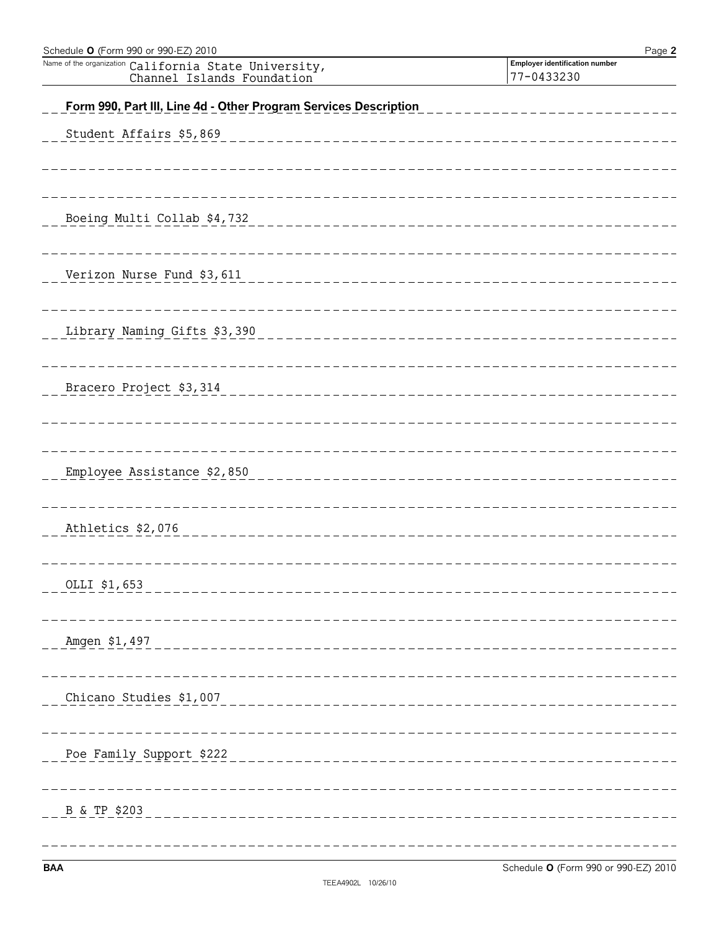| Schedule O (Form 990 or 990-EZ) 2010                                                | Page 2                                       |
|-------------------------------------------------------------------------------------|----------------------------------------------|
| Name of the organization California State University,<br>Channel Islands Foundation | Employer identification number<br>77-0433230 |
|                                                                                     |                                              |
| Form 990, Part III, Line 4d - Other Program Services Description                    |                                              |
| Student Affairs \$5,869                                                             |                                              |
|                                                                                     |                                              |
|                                                                                     |                                              |
|                                                                                     |                                              |
| Boeing Multi Collab \$4,732                                                         |                                              |
|                                                                                     |                                              |
| Verizon Nurse Fund \$3,611                                                          |                                              |
|                                                                                     |                                              |
|                                                                                     |                                              |
| Library Naming Gifts \$3,390                                                        |                                              |
|                                                                                     |                                              |
| Bracero Project \$3,314                                                             |                                              |
|                                                                                     |                                              |
|                                                                                     |                                              |
|                                                                                     |                                              |
| Employee Assistance \$2,850                                                         |                                              |
|                                                                                     |                                              |
|                                                                                     |                                              |
| Athletics \$2,076                                                                   |                                              |
|                                                                                     |                                              |
| OLLI \$1,653<br>_____________________________                                       |                                              |
|                                                                                     |                                              |
|                                                                                     |                                              |
| Amgen \$1,497<br>-------------------------                                          |                                              |
|                                                                                     |                                              |
| Chicano Studies \$1,007<br>_____________________________                            |                                              |
|                                                                                     |                                              |
|                                                                                     |                                              |
| Poe Family Support \$222<br>____________________________                            |                                              |
|                                                                                     |                                              |
| B & TP \$203<br>-------------------------                                           |                                              |
|                                                                                     |                                              |
|                                                                                     |                                              |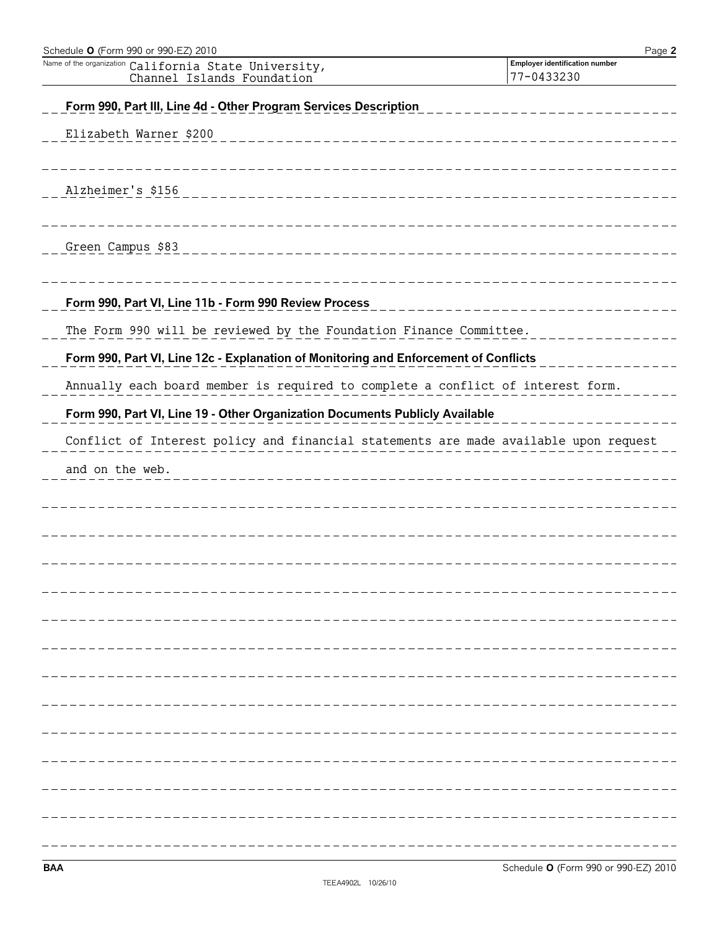| Schedule O (Form 990 or 990-EZ) 2010                                                                                                        | Page 2                                       |
|---------------------------------------------------------------------------------------------------------------------------------------------|----------------------------------------------|
| Name of the organization<br>California State University,<br>Channel Islands Foundation                                                      | Employer identification number<br>77-0433230 |
| Form 990, Part III, Line 4d - Other Program Services Description                                                                            |                                              |
| Elizabeth Warner \$200                                                                                                                      |                                              |
| __________________                                                                                                                          |                                              |
|                                                                                                                                             |                                              |
| Alzheimer's \$156<br><u> 1996 - Alexandr Alexandr Alexandr Alexandr Alexandr Alexandr Alexandr Alexandr Alexandr Alexandr Alexandr Alex</u> |                                              |
|                                                                                                                                             |                                              |
| Green Campus \$83<br>__________________________                                                                                             |                                              |
|                                                                                                                                             |                                              |
| Form 990, Part VI, Line 11b - Form 990 Review Process                                                                                       |                                              |
| The Form 990 will be reviewed by the Foundation Finance Committee.                                                                          |                                              |
| Form 990, Part VI, Line 12c - Explanation of Monitoring and Enforcement of Conflicts                                                        |                                              |
| Annually each board member is required to complete a conflict of interest form.                                                             |                                              |
| Form 990, Part VI, Line 19 - Other Organization Documents Publicly Available                                                                |                                              |
| Conflict of Interest policy and financial statements are made available upon request                                                        |                                              |
| and on the web.                                                                                                                             |                                              |
|                                                                                                                                             |                                              |
|                                                                                                                                             |                                              |
|                                                                                                                                             |                                              |
|                                                                                                                                             |                                              |
|                                                                                                                                             |                                              |
|                                                                                                                                             |                                              |
|                                                                                                                                             |                                              |
|                                                                                                                                             |                                              |
|                                                                                                                                             |                                              |
|                                                                                                                                             |                                              |
|                                                                                                                                             |                                              |
|                                                                                                                                             |                                              |
|                                                                                                                                             |                                              |
|                                                                                                                                             |                                              |
|                                                                                                                                             |                                              |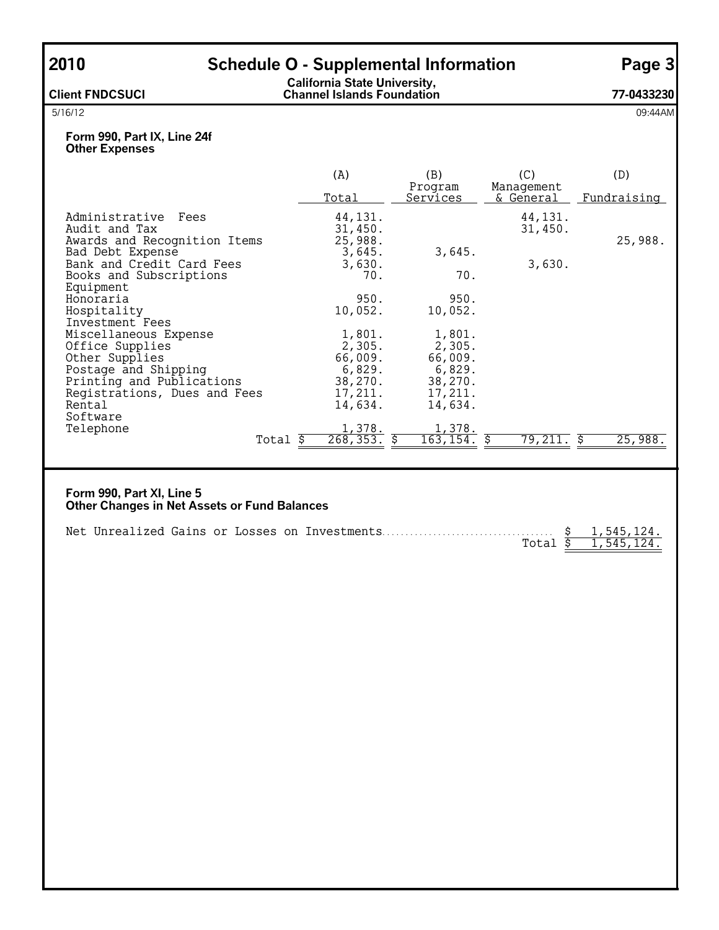| 2010                                                                                                                                                      |                      |                                                                        | <b>Schedule O - Supplemental Information</b>                           |                                | Page 3                   |
|-----------------------------------------------------------------------------------------------------------------------------------------------------------|----------------------|------------------------------------------------------------------------|------------------------------------------------------------------------|--------------------------------|--------------------------|
| <b>Client FNDCSUCI</b>                                                                                                                                    |                      | <b>California State University,<br/>Channel Islands Foundation</b>     |                                                                        |                                | 77-0433230               |
| 5/16/12                                                                                                                                                   |                      |                                                                        |                                                                        |                                | 09:44AM                  |
| Form 990, Part IX, Line 24f<br><b>Other Expenses</b>                                                                                                      |                      |                                                                        |                                                                        |                                |                          |
|                                                                                                                                                           |                      | (A)<br>Total                                                           | (B)<br>Program<br>Services                                             | (C)<br>Management<br>& General | (D)<br>Fundraising       |
| Administrative Fees<br>Audit and Tax<br>Awards and Recognition Items<br>Bad Debt Expense<br>Bank and Credit Card Fees                                     |                      | 44, 131.<br>31,450.<br>25,988.<br>3,645.<br>3,630.                     | 3,645.                                                                 | 44, 131.<br>31,450.<br>3,630.  | 25,988.                  |
| Books and Subscriptions<br>Equipment<br>Honoraria<br>Hospitality<br>Investment Fees                                                                       |                      | 70.<br>950.<br>10,052.                                                 | 70.<br>950.<br>10,052.                                                 |                                |                          |
| Miscellaneous Expense<br>Office Supplies<br>Other Supplies<br>Postage and Shipping<br>Printing and Publications<br>Registrations, Dues and Fees<br>Rental |                      | 1,801.<br>2,305.<br>66,009.<br>6,829.<br>38,270.<br>17,211.<br>14,634. | 1,801.<br>2,305.<br>66,009.<br>6,829.<br>38,270.<br>17,211.<br>14,634. |                                |                          |
| Software<br>Telephone                                                                                                                                     | Total $\overline{s}$ | 1,378.<br>268, 353.                                                    | 1,378.<br>Ŝ.<br>163, 154.                                              | 79,211.                        | 25,988.<br>\$            |
| Form 990, Part XI, Line 5<br><b>Other Changes in Net Assets or Fund Balances</b><br>Net Unrealized Gains or Losses on Investments                         |                      |                                                                        |                                                                        | Total $\overline{s}$           | 1,545,124.<br>1,545,124. |
|                                                                                                                                                           |                      |                                                                        |                                                                        |                                |                          |
|                                                                                                                                                           |                      |                                                                        |                                                                        |                                |                          |
|                                                                                                                                                           |                      |                                                                        |                                                                        |                                |                          |
|                                                                                                                                                           |                      |                                                                        |                                                                        |                                |                          |